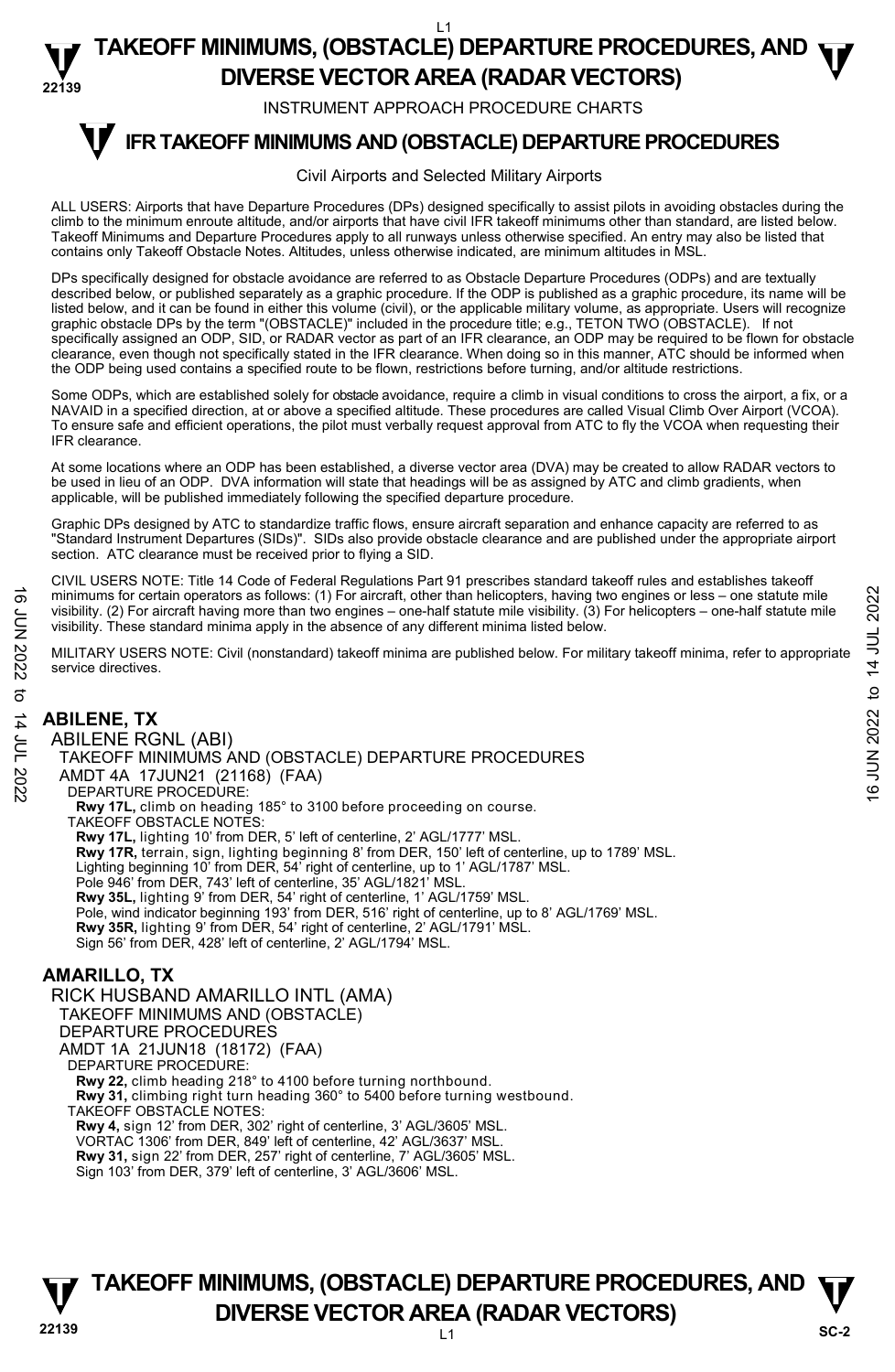INSTRUMENT APPROACH PROCEDURE CHARTS

#### **IFR TAKEOFF MINIMUMS AND (OBSTACLE) DEPARTURE PROCEDURES T**

#### Civil Airports and Selected Military Airports

ALL USERS: Airports that have Departure Procedures (DPs) designed specifically to assist pilots in avoiding obstacles during the climb to the minimum enroute altitude, and/or airports that have civil IFR takeoff minimums other than standard, are listed below. Takeoff Minimums and Departure Procedures apply to all runways unless otherwise specified. An entry may also be listed that contains only Takeoff Obstacle Notes. Altitudes, unless otherwise indicated, are minimum altitudes in MSL.

DPs specifically designed for obstacle avoidance are referred to as Obstacle Departure Procedures (ODPs) and are textually described below, or published separately as a graphic procedure. If the ODP is published as a graphic procedure, its name will be listed below, and it can be found in either this volume (civil), or the applicable military volume, as appropriate. Users will recognize graphic obstacle DPs by the term "(OBSTACLE)" included in the procedure title; e.g., TETON TWO (OBSTACLE). If not specifically assigned an ODP, SID, or RADAR vector as part of an IFR clearance, an ODP may be required to be flown for obstacle clearance, even though not specifically stated in the IFR clearance. When doing so in this manner, ATC should be informed when the ODP being used contains a specified route to be flown, restrictions before turning, and/or altitude restrictions.

Some ODPs, which are established solely for obstacle avoidance, require a climb in visual conditions to cross the airport, a fix, or a NAVAID in a specified direction, at or above a specified altitude. These procedures are called Visual Climb Over Airport (VCOA). To ensure safe and efficient operations, the pilot must verbally request approval from ATC to fly the VCOA when requesting their IFR clearance.

At some locations where an ODP has been established, a diverse vector area (DVA) may be created to allow RADAR vectors to be used in lieu of an ODP. DVA information will state that headings will be as assigned by ATC and climb gradients, when applicable, will be published immediately following the specified departure procedure.

Graphic DPs designed by ATC to standardize traffic flows, ensure aircraft separation and enhance capacity are referred to as "Standard Instrument Departures (SIDs)". SIDs also provide obstacle clearance and are published under the appropriate airport section. ATC clearance must be received prior to flying a SID.

CIVIL USERS NOTE: Title 14 Code of Federal Regulations Part 91 prescribes standard takeoff rules and establishes takeoff minimums for certain operators as follows: (1) For aircraft, other than helicopters, having two engines or less – one statute mile visibility. (2) For aircraft having more than two engines – one-half statute mile visibility. (3) For helicopters – one-half statute mile visibility. These standard minima apply in the absence of any different minima listed below.

MILITARY USERS NOTE: Civil (nonstandard) takeoff minima are published below. For military takeoff minima, refer to appropriate service directives.

## **ABILENE, TX**

ABILENE RGNL (ABI) TAKEOFF MINIMUMS AND (OBSTACLE) DEPARTURE PROCEDURES AMDT 4A 17JUN21 (21168) (FAA) DEPARTURE PROCEDURE: **Rwy 17L,** climb on heading 185° to 3100 before proceeding on course. TAKEOFF OBSTACLE NOTES: **Rwy 17L,** lighting 10' from DER, 5' left of centerline, 2' AGL/1777' MSL. **Rwy 17R,** terrain, sign, lighting beginning 8' from DER, 150' left of centerline, up to 1789' MSL. Lighting beginning 10' from DER, 54' right of centerline, up to 1' AGL/1787' MSL. Pole 946' from DER, 743' left of centerline, 35' AGL/1821' MSL. **Rwy 35L,** lighting 9' from DER, 54' right of centerline, 1' AGL/1759' MSL. Pole, wind indicator beginning 193' from DER, 516' right of centerline, up to 8' AGL/1769' MSL. **Rwy 35R,** lighting 9' from DER, 54' right of centerline, 2' AGL/1791' MSL. Sign 56' from DER, 428' left of centerline, 2' AGL/1794' MSL. minimums for certain operators as follows: (1) For aircraft, other than helicopters, having two engines or less – one statute mile<br>
visibility. (2) For aircraft having more than two engines – one-half statute mile<br>
visibi

#### **AMARILLO, TX**

RICK HUSBAND AMARILLO INTL (AMA) TAKEOFF MINIMUMS AND (OBSTACLE) DEPARTURE PROCEDURES AMDT 1A 21JUN18 (18172) (FAA) DEPARTURE PROCEDURE: **Rwy 22,** climb heading 218° to 4100 before turning northbound. **Rwy 31,** climbing right turn heading 360° to 5400 before turning westbound. TAKEOFF OBSTACLE NOTES: **Rwy 4,** sign 12' from DER, 302' right of centerline, 3' AGL/3605' MSL. VORTAC 1306' from DER, 849' left of centerline, 42' AGL/3637' MSL.

**Rwy 31,** sign 22' from DER, 257' right of centerline, 7' AGL/3605' MSL. Sign 103' from DER, 379' left of centerline, 3' AGL/3606' MSL.

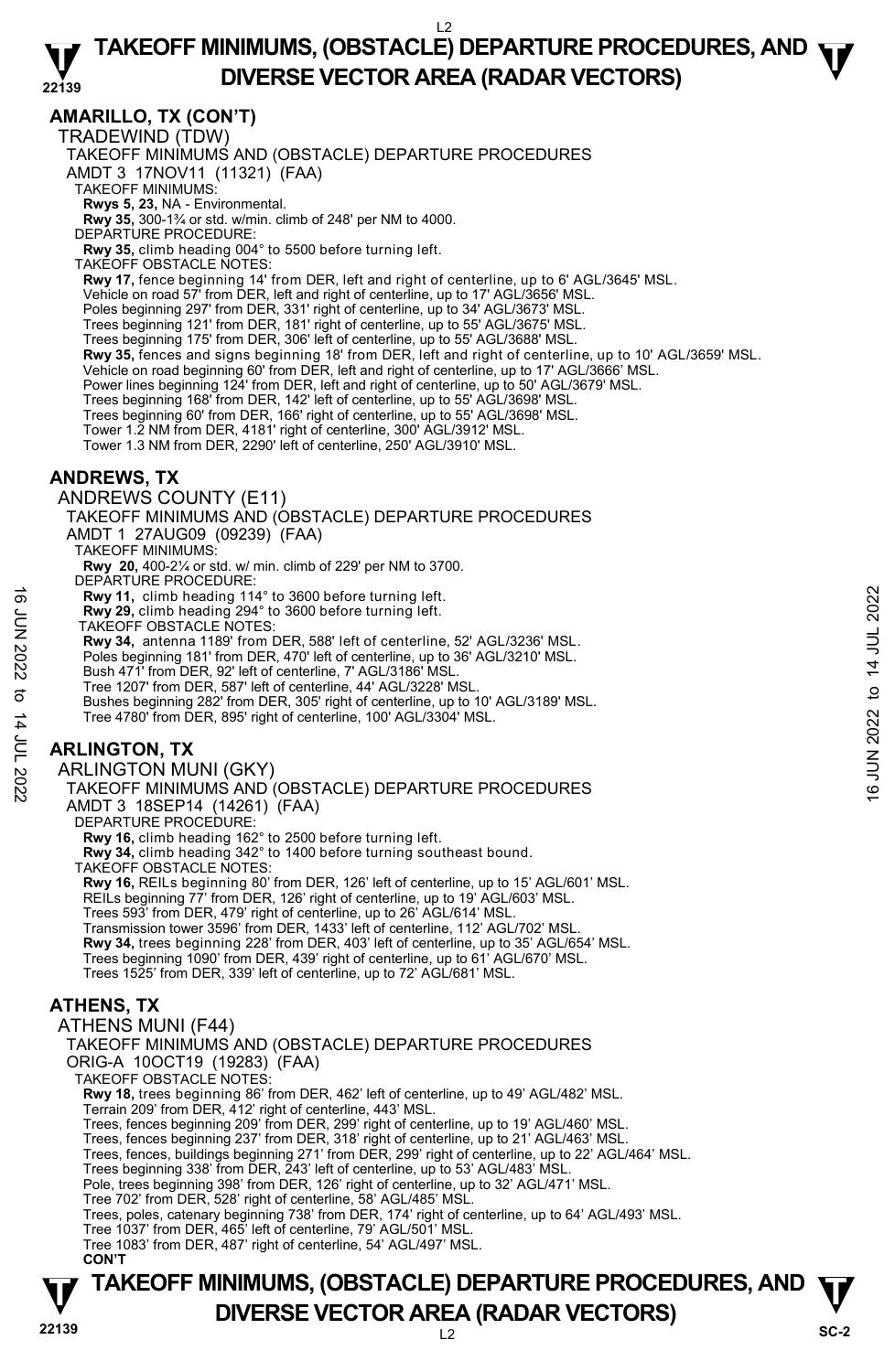#### **22139 TAKEOFF MINIMUMS, (OBSTACLE) DEPARTURE PROCEDURES, AND**  $\Psi$ **DIVERSE VECTOR AREA (RADAR VECTORS)**

**AMARILLO, TX (CON'T)** 

TRADEWIND (TDW)

TAKEOFF MINIMUMS AND (OBSTACLE) DEPARTURE PROCEDURES

AMDT 3 17NOV11 (11321) (FAA)

TAKEOFF MINIMUMS:

**Rwys 5, 23,** NA - Environmental.<br>**Rwy 35,** 300-1¾ or std. w/min. climb of 248' per NM to 4000.

DEPARTURE PROCEDURE:

**Rwy 35,** climb heading 004° to 5500 before turning left.

TAKEOFF OBSTACLE NOTES:

**Rwy 17,** fence beginning 14' from DER, left and right of centerline, up to 6' AGL/3645' MSL.

Vehicle on road 57' from DER, left and right of centerline, up to 17' AGL/3656' MSL.

Poles beginning 297' from DER, 331' right of centerline, up to 34' AGL/3673' MSL. Trees beginning 121' from DER, 181' right of centerline, up to 55' AGL/3675' MSL.

Trees beginning 175' from DER, 306' left of centerline, up to 55' AGL/3688' MSL.

**Rwy 35,** fences and signs beginning 18' from DER, left and right of centerline, up to 10' AGL/3659' MSL.<br>Vehicle on road beginning 60' from DER, left and right of centerline, up to 17' AGL/3666' MSL.

Power lines beginning 124' from DER, left and right of centerline, up to 50' AGL/3679' MSL.

Trees beginning 168' from DER, 142' left of centerline, up to 55' AGL/3698' MSL.

Trees beginning 60' from DER, 166' right of centerline, up to 55' AGL/3698' MSL. Tower 1.2 NM from DER, 4181' right of centerline, 300' AGL/3912' MSL.

Tower 1.3 NM from DER, 2290' left of centerline, 250' AGL/3910' MSL.

#### **ANDREWS, TX**

ANDREWS COUNTY (E11)

TAKEOFF MINIMUMS AND (OBSTACLE) DEPARTURE PROCEDURES AMDT 1 27AUG09 (09239) (FAA)

TAKEOFF MINIMUMS:

**Rwy 20,** 400-2¼ or std. w/ min. climb of 229' per NM to 3700. DEPARTURE PROCEDURE:

**Rwy 11,** climb heading 114° to 3600 before turning left.

**Rwy 29,** climb heading 294° to 3600 before turning left. TAKEOFF OBSTACLE NOTES:

**Rwy 34,** antenna 1189' from DER, 588' left of centerline, 52' AGL/3236' MSL.

Poles beginning 181' from DER, 470' left of centerline, up to 36' AGL/3210' MSL.

Bush 471' from DER, 92' left of centerline, 7' AGL/3186' MSL

Tree 1207' from DER, 587' left of centerline, 44' AGL/3228' MSL.

Bushes beginning 282' from DER, 305' right of centerline, up to 10' AGL/3189' MSL. Tree 4780' from DER, 895' right of centerline, 100' AGL/3304' MSL. **EVALUATION AND AND SET AND AND SET AND DEVALUATION CONSTACTS**<br> **EVALUATION** DRAGING 294° to 3600 before turning left.<br>
TAKEOFF OBSTACLE NOTES:<br> **EVALUATION** 34, antenna 1189 from DER, 58<sup>2</sup> left of centerline, up to 36'

#### **ARLINGTON, TX**

ARLINGTON MUNI (GKY)

TAKEOFF MINIMUMS AND (OBSTACLE) DEPARTURE PROCEDURES AMDT 3 18SEP14 (14261) (FAA)

DEPARTURE PROCEDURE:

**Rwy 16,** climb heading 162° to 2500 before turning left.

**Rwy 34,** climb heading 342° to 1400 before turning southeast bound.

TAKEOFF OBSTACLE NOTES:

**Rwy 16,** REILs beginning 80' from DER, 126' left of centerline, up to 15' AGL/601' MSL.

REILs beginning 77' from DER, 126' right of centerline, up to 19' AGL/603' MSL.

Trees 593' from DER, 479' right of centerline, up to 26' AGL/614' MSL.

Transmission tower 3596' from DER, 1433' left of centerline, 112' AGL/702' MSL.

**Rwy 34,** trees beginning 228' from DER, 403' left of centerline, up to 35' AGL/654' MSL.

Trees beginning 1090' from DER, 439' right of centerline, up to 61' AGL/670' MSL.

Trees 1525' from DER, 339' left of centerline, up to 72' AGL/681' MSL.

#### **ATHENS, TX**

ATHENS MUNI (F44) TAKEOFF MINIMUMS AND (OBSTACLE) DEPARTURE PROCEDURES ORIG-A 10OCT19 (19283) (FAA) TAKEOFF OBSTACLE NOTES: **Rwy 18,** trees beginning 86' from DER, 462' left of centerline, up to 49' AGL/482' MSL. Terrain 209' from DER, 412' right of centerline, 443' MSL. Trees, fences beginning 209' from DER, 299' right of centerline, up to 19' AGL/460' MSL. Trees, fences beginning 237' from DER, 318' right of centerline, up to 21' AGL/463' MSL. Trees, fences, buildings beginning 271' from DER, 299' right of centerline, up to 22' AGL/464' MSL. Trees beginning 338' from DER, 243' left of centerline, up to 53' AGL/483' MSL. Pole, trees beginning 398' from DER, 126' right of centerline, up to 32' AGL/471' MSL. Tree 702' from DER, 528' right of centerline, 58' AGL/485' MSL. Trees, poles, catenary beginning 738' from DER, 174' right of centerline, up to 64' AGL/493' MSL. Tree 1037' from DER, 465' left of centerline, 79' AGL/501' MSL. Tree 1083' from DER, 487' right of centerline, 54' AGL/497' MSL.  **CON'T** 

### **22139** L2 **TAKEOFF MINIMUMS, (OBSTACLE) DEPARTURE PROCEDURES, AND**  $\Psi$ **DIVERSE VECTOR AREA (RADAR VECTORS)** SC-2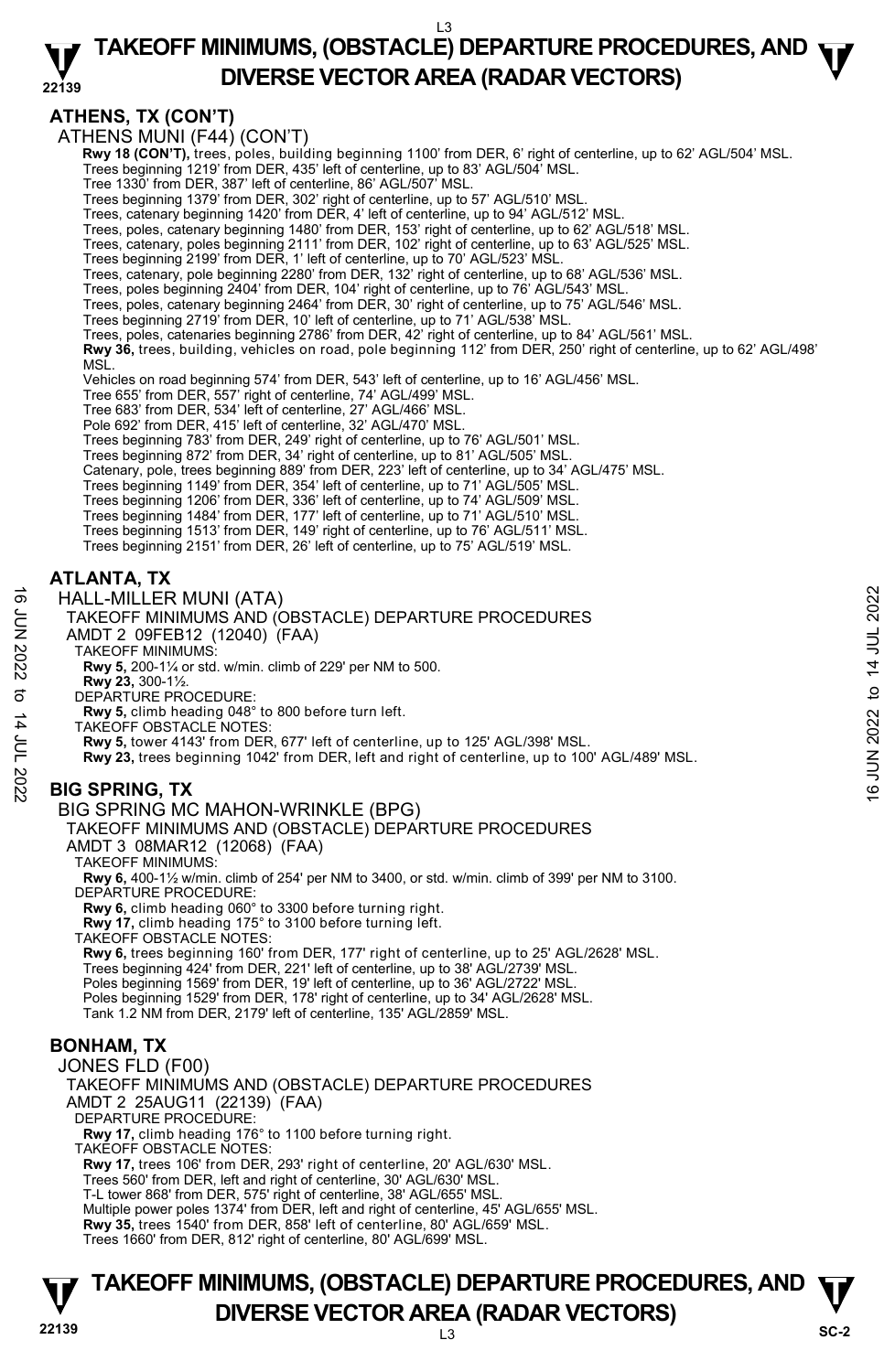**ATHENS, TX (CON'T)** 

ATHENS MUNI (F44) (CON'T)

 **Rwy 18 (CON'T),** trees, poles, building beginning 1100' from DER, 6' right of centerline, up to 62' AGL/504' MSL.

Trees beginning 1219' from DER, 435' left of centerline, up to 83' AGL/504' MSL. Tree 1330' from DER, 387' left of centerline, 86' AGL/507' MSL.

Trees beginning 1379' from DER, 302' right of centerline, up to 57' AGL/510' MSL.

Trees, catenary beginning 1420' from DER, 4' left of centerline, up to 94' AGL/512' MSL.

Trees, poles, catenary beginning 1480' from DER, 153' right of centerline, up to 62' AGL/518' MSL. Trees, catenary, poles beginning 2111' from DER, 102' right of centerline, up to 63' AGL/525' MSL.

Trees beginning 2199' from DER, 1' left of centerline, up to 70' AGL/523' MSL.<br>Trees, catenary, pole beginning 2280' from DER, 132' right of centerline, up to 68' AGL/536' MSL.

Trees, poles beginning 2404' from DER, 104' right of centerline, up to 76' AGL/543' MSL.

Trees, poles, catenary beginning 2464' from DER, 30' right of centerline, up to 75' AGL/546' MSL.<br>Trees beginning 2719' from DER, 10' left of centerline, up to 71' AGL/538' MSL.

Trees, poles, catenaries beginning 2786' from DER, 42' right of centerline, up to 84' AGL/561' MSL.

**Rwy 36,** trees, building, vehicles on road, pole beginning 112' from DER, 250' right of centerline, up to 62' AGL/498' MSL.

Vehicles on road beginning 574' from DER, 543' left of centerline, up to 16' AGL/456' MSL.

Tree 655' from DER, 557' right of centerline, 74' AGL/499' MSL.

Tree 683' from DER, 534' left of centerline, 27' AGL/466' MSL.

Pole 692' from DER, 415' left of centerline, 32' AGL/470' MSL.

Trees beginning 783' from DER, 249' right of centerline, up to 76' AGL/501' MSL.

Trees beginning 872' from DER, 34' right of centerline, up to 81' AGL/505' MSL. Catenary, pole, trees beginning 889' from DER, 223' left of centerline, up to 34' AGL/475' MSL.

Trees beginning 1149' from DER, 354' left of centerline, up to 71' AGL/505' MSL.

Trees beginning 1206' from DER, 336' left of centerline, up to 74' AGL/509' MSL.

Trees beginning 1484' from DER, 177' left of centerline, up to 71' AGL/510' MSL. Trees beginning 1513' from DER, 149' right of centerline, up to 76' AGL/511' MSL.

Trees beginning 2151' from DER, 26' left of centerline, up to 75' AGL/519' MSL.

#### **ATLANTA, TX**

HALL-MILLER MUNI (ATA)

TAKEOFF MINIMUMS AND (OBSTACLE) DEPARTURE PROCEDURES AMDT 2 09FEB12 (12040) (FAA) HALL-MILLER MUNI (ATA)<br>  $\frac{1}{2}$  TAKEOFF MINIMUMS AND (OBSTACLE) DEPARTURE PROCEDURES<br>
ANDT 2 09FEB12 (12040) (FAA)<br>
NOW 5, 200-1¼ or std. w/min. climb of 229' per NM to 500.<br>
RW 5, 200-1¼ or std. w/min. climb of 229'

TAKEOFF MINIMUMS:

**Rwy 5,** 200-1¼ or std. w/min. climb of 229' per NM to 500.

**Rwy 23,** 300-1½.

DEPARTURE PROCEDURE:

**Rwy 5,** climb heading 048° to 800 before turn left. TAKEOFF OBSTACLE NOTES:

**Rwy 5,** tower 4143' from DER, 677' left of centerline, up to 125' AGL/398' MSL.

**Rwy 23,** trees beginning 1042' from DER, left and right of centerline, up to 100' AGL/489' MSL.

**BIG SPRING, TX** 

#### BIG SPRING MC MAHON-WRINKLE (BPG)

TAKEOFF MINIMUMS AND (OBSTACLE) DEPARTURE PROCEDURES

AMDT 3 08MAR12 (12068) (FAA)

TAKEOFF MINIMUMS:

**Rwy 6,** 400-1½ w/min. climb of 254' per NM to 3400, or std. w/min. climb of 399' per NM to 3100. DEPARTURE PROCEDURE:

**Rwy 6,** climb heading 060° to 3300 before turning right.

**Rwy 17,** climb heading 175° to 3100 before turning left. TAKEOFF OBSTACLE NOTES:

**Rwy 6,** trees beginning 160' from DER, 177' right of centerline, up to 25' AGL/2628' MSL. Trees beginning 424' from DER, 221' left of centerline, up to 38' AGL/2739' MSL. Poles beginning 1569' from DER, 19' left of centerline, up to 36' AGL/2722' MSL. Poles beginning 1529' from DER, 178' right of centerline, up to 34' AGL/2628' MSL. Tank 1.2 NM from DER, 2179' left of centerline, 135' AGL/2859' MSL.

#### **BONHAM, TX**

JONES FLD (F00) TAKEOFF MINIMUMS AND (OBSTACLE) DEPARTURE PROCEDURES AMDT 2 25AUG11 (22139) (FAA) DEPARTURE PROCEDURE: **Rwy 17,** climb heading 176° to 1100 before turning right. TAKEOFF OBSTACLE NOTES: **Rwy 17,** trees 106' from DER, 293' right of centerline, 20' AGL/630' MSL. Trees 560' from DER, left and right of centerline, 30' AGL/630' MSL. T-L tower 868' from DER, 575' right of centerline, 38' AGL/655' MSL. Multiple power poles 1374' from DER, left and right of centerline, 45' AGL/655' MSL. **Rwy 35,** trees 1540' from DER, 858' left of centerline, 80' AGL/659' MSL.

Trees 1660' from DER, 812' right of centerline, 80' AGL/699' MSL.

#### **22139** L3 **TAKEOFF MINIMUMS, (OBSTACLE) DEPARTURE PROCEDURES, AND**  $\Psi$ **DIVERSE VECTOR AREA (RADAR VECTORS)** Sc-2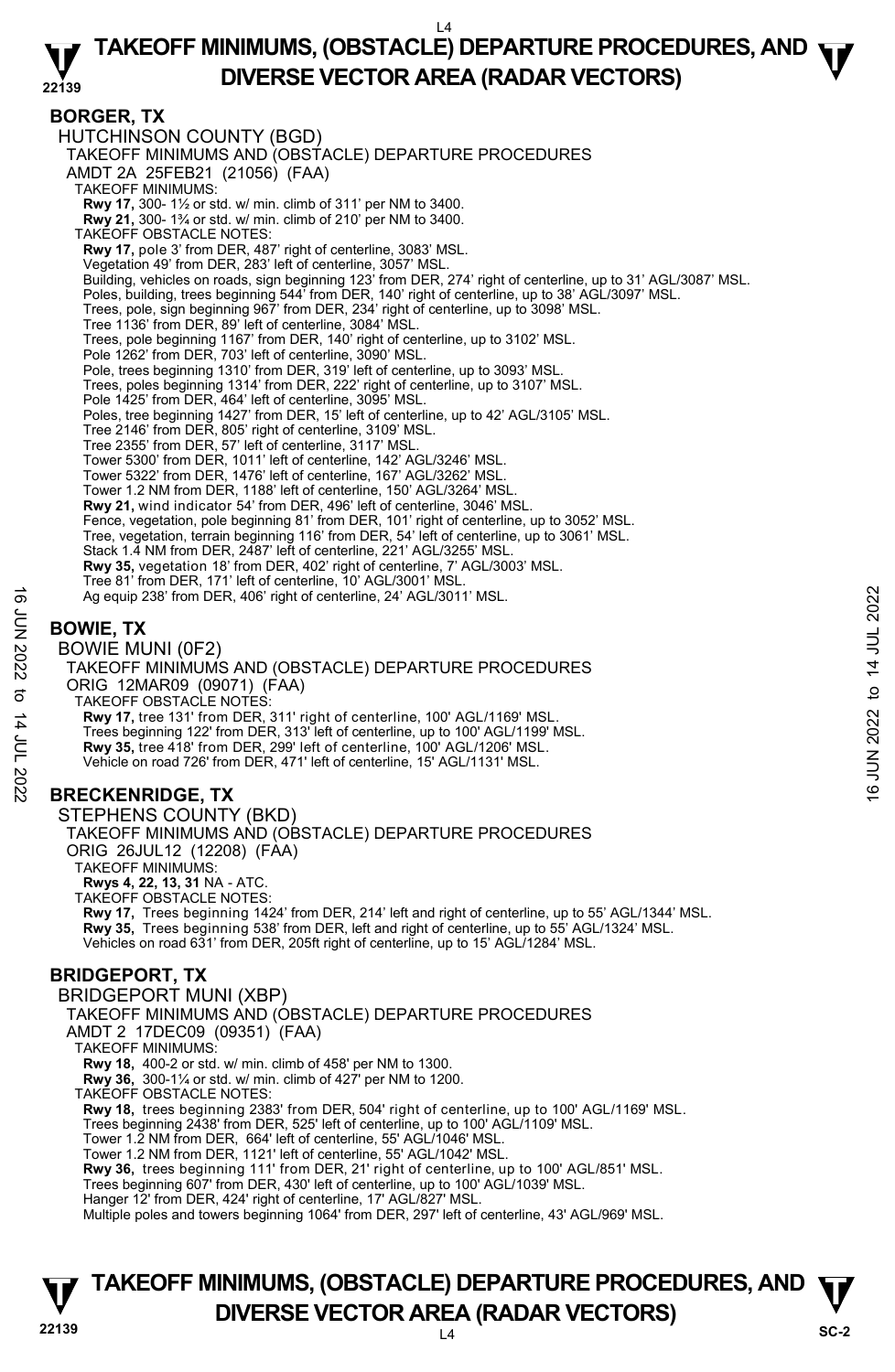#### **22139 TAKEOFF MINIMUMS, (OBSTACLE) DEPARTURE PROCEDURES, AND**  $\Psi$ **DIVERSE VECTOR AREA (RADAR VECTORS)**

#### **BORGER, TX**

HUTCHINSON COUNTY (BGD) TAKEOFF MINIMUMS AND (OBSTACLE) DEPARTURE PROCEDURES AMDT 2A 25FEB21 (21056) (FAA) TAKEOFF MINIMUMS: **Rwy 17,** 300- 1½ or std. w/ min. climb of 311' per NM to 3400. **Rwy 21,** 300- 1¾ or std. w/ min. climb of 210' per NM to 3400. TAKEOFF OBSTACLE NOTES: **Rwy 17,** pole 3' from DER, 487' right of centerline, 3083' MSL. Vegetation 49' from DER, 283' left of centerline, 3057' MSL. Building, vehicles on roads, sign beginning 123' from DER, 274' right of centerline, up to 31' AGL/3087' MSL. Poles, building, trees beginning 544' from DER, 140' right of centerline, up to 38' AGL/3097' MSL.<br>Trees, pole, sign beginning 967' from DER, 234' right of centerline, up to 3098' MSL.<br>Tree 1136' from DER, 89' left of cent Trees, pole beginning 1167' from DER, 140' right of centerline, up to 3102' MSL. Pole 1262' from DER, 703' left of centerline, 3090' MSL. Pole, trees beginning 1310' from DER, 319' left of centerline, up to 3093' MSL. Trees, poles beginning 1314' from DER, 222' right of centerline, up to 3107' MSL. Pole 1425' from DER, 464' left of centerline, 3095' MSL. Poles, tree beginning 1427' from DER, 15' left of centerline, up to 42' AGL/3105' MSL. Tree 2146' from DER, 805' right of centerline, 3109' MSL. Tree 2355' from DER, 57' left of centerline, 3117' MSL. Tower 5300' from DER, 1011' left of centerline, 142' AGL/3246' MSL. Tower 5322' from DER, 1476' left of centerline, 167' AGL/3262' MSL. Tower 1.2 NM from DER, 1188' left of centerline, 150' AGL/3264' MSL. **Rwy 21,** wind indicator 54' from DER, 496' left of centerline, 3046' MSL. Fence, vegetation, pole beginning 81' from DER, 101' right of centerline, up to 3052' MSL. Tree, vegetation, terrain beginning 116' from DER, 54' left of centerline, up to 3061' MSL. Stack 1.4 NM from DER, 2487' left of centerline, 221' AGL/3255' MSL. **Rwy 35,** vegetation 18' from DER, 402' right of centerline, 7' AGL/3003' MSL.<br>Tree 81' from DER, 171' left of centerline, 10' AGL/3001' MSL. Ag equip 238' from DER, 406' right of centerline, 24' AGL/3011' MSL. **BOWIE, TX**  BOWIE MUNI (0F2) TAKEOFF MINIMUMS AND (OBSTACLE) DEPARTURE PROCEDURES ORIG 12MAR09 (09071) (FAA) TAKEOFF OBSTACLE NOTES: **Rwy 17,** tree 131' from DER, 311' right of centerline, 100' AGL/1169' MSL. Trees beginning 122' from DER, 313' left of centerline, up to 100' AGL/1199' MSL. **Rwy 35,** tree 418' from DER, 299' left of centerline, 100' AGL/1206' MSL. Vehicle on road 726' from DER, 471' left of centerline, 15' AGL/1131' MSL. **BRECKENRIDGE, TX**  STEPHENS COUNTY (BKD) TAKEOFF MINIMUMS AND (OBSTACLE) DEPARTURE PROCEDURES ORIG 26JUL12 (12208) (FAA) TAKEOFF MINIMUMS: **Rwys 4, 22, 13, 31** NA - ATC. TAKEOFF OBSTACLE NOTES: **Rwy 17,** Trees beginning 1424' from DER, 214' left and right of centerline, up to 55' AGL/1344' MSL. **Rwy 35,** Trees beginning 538' from DER, left and right of centerline, up to 55' AGL/1324' MSL. Vehicles on road 631' from DER, 205ft right of centerline, up to 15' AGL/1284' MSL. **BRIDGEPORT, TX**  BRIDGEPORT MUNI (XBP) TAKEOFF MINIMUMS AND (OBSTACLE) DEPARTURE PROCEDURES AMDT 2 17DEC09 (09351) (FAA) TAKEOFF MINIMUMS: **Rwy 18,** 400-2 or std. w/ min. climb of 458' per NM to 1300. **Rwy 36,** 300-1¼ or std. w/ min. climb of 427' per NM to 1200. TAKEOFF OBSTACLE NOTES: **Rwy 18,** trees beginning 2383' from DER, 504' right of centerline, up to 100' AGL/1169' MSL. 4 equip 238' from DER, 406' right of centerline, 24' AGL/3011' MSL.<br>  $\frac{1}{2}$ <br> **BOWIE MUNI (0F2)**<br>
TAKEOFF MINIMUMS AND (OBSTACLE) DEPARTURE PROCEDURES<br>
ORIG 12MAR09 (09071) (FAA)<br>
TAKEOFF OBSTACLE NOTES:<br>
TAKEOFF OBST

Trees beginning 2438' from DER, 525' left of centerline, up to 100' AGL/1109' MSL. Tower 1.2 NM from DER, 664' left of centerline, 55' AGL/1046' MSL.

Tower 1.2 NM from DER, 1121' left of centerline, 55' AGL/1042' MSL.

**Rwy 36,** trees beginning 111' from DER, 21' right of centerline, up to 100' AGL/851' MSL.

Trees beginning 607' from DER, 430' left of centerline, up to 100' AGL/1039' MSL.

Hanger 12' from DER, 424' right of centerline, 17' AGL/827' MSL.

Multiple poles and towers beginning 1064' from DER, 297' left of centerline, 43' AGL/969' MSL.

#### **22139** L4 **TAKEOFF MINIMUMS, (OBSTACLE) DEPARTURE PROCEDURES, AND**  $\Psi$ **DIVERSE VECTOR AREA (RADAR VECTORS)** SC-2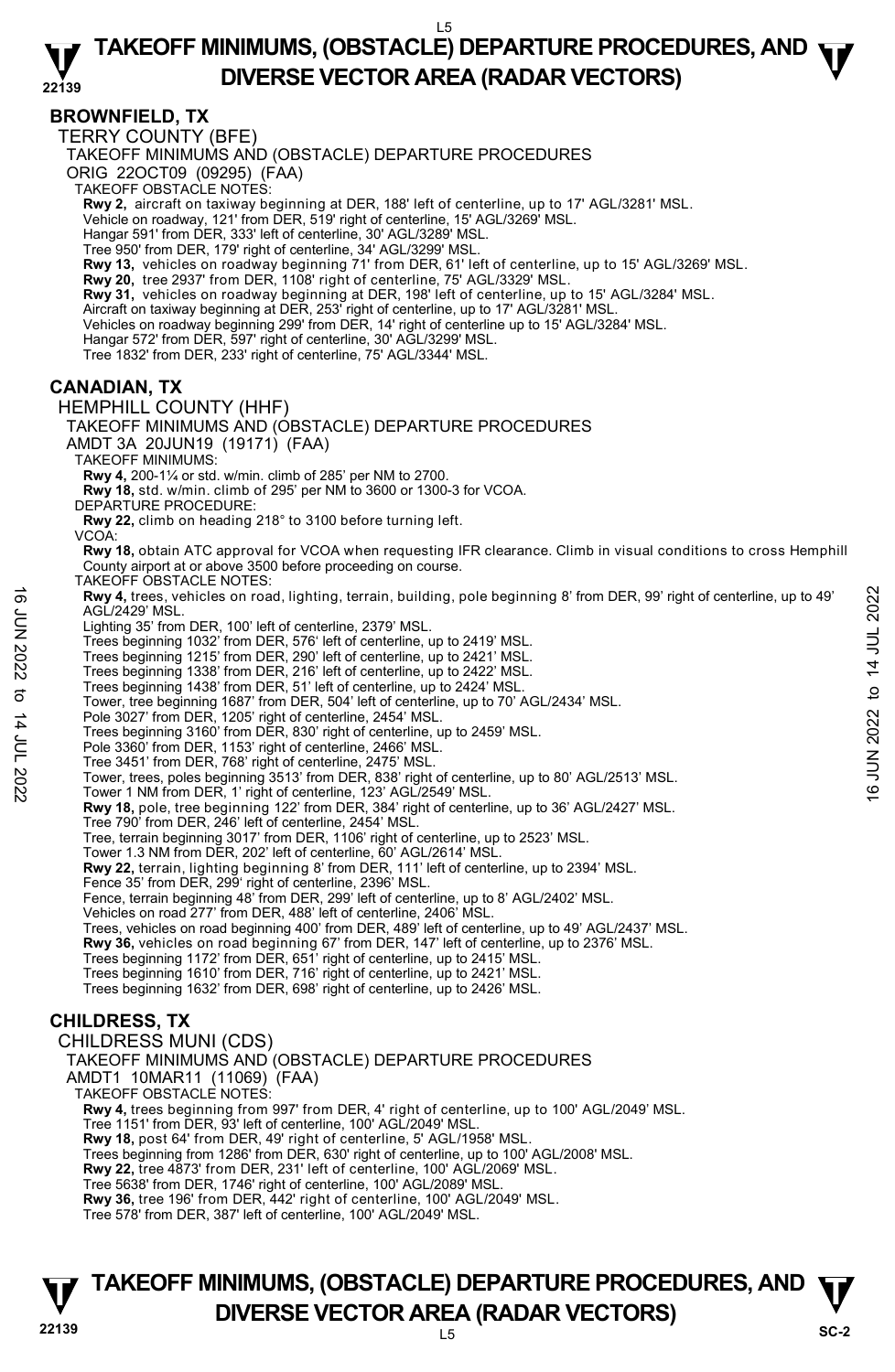#### **22139 TAKEOFF MINIMUMS, (OBSTACLE) DEPARTURE PROCEDURES, AND**  $\Psi$ **DIVERSE VECTOR AREA (RADAR VECTORS)**

#### **BROWNFIELD, TX**

TERRY COUNTY (BFE)

TAKEOFF MINIMUMS AND (OBSTACLE) DEPARTURE PROCEDURES

ORIG 22OCT09 (09295) (FAA)

TAKEOFF OBSTACLE NOTES:

**Rwy 2,** aircraft on taxiway beginning at DER, 188' left of centerline, up to 17' AGL/3281' MSL.<br>Vehicle on roadway, 121' from DER, 519' right of centerline, 15' AGL/3269' MSL.

Hangar 591' from DER, 333' left of centerline, 30' AGL/3289' MSL.

Tree 950' from DER, 179' right of centerline, 34' AGL/3299' MSL.

**Rwy 13,** vehicles on roadway beginning 71' from DER, 61' left of centerline, up to 15' AGL/3269' MSL.<br>**Rwy 20,** tree 2937' from DER, 1108' right of centerline, 75' AGL/3329' MSL.

**Rwy 31,** vehicles on roadway beginning at DER, 198' left of centerline, up to 15' AGL/3284' MSL. Aircraft on taxiway beginning at DER, 253' right of centerline, up to 17' AGL/3281' MSL.

Vehicles on roadway beginning 299' from DER, 14' right of centerline up to 15' AGL/3284' MSL.

Hangar 572' from DER, 597' right of centerline, 30' AGL/3299' MSL.

Tree 1832' from DER, 233' right of centerline, 75' AGL/3344' MSL.

#### **CANADIAN, TX**

HEMPHILL COUNTY (HHF) TAKEOFF MINIMUMS AND (OBSTACLE) DEPARTURE PROCEDURES

AMDT 3A 20JUN19 (19171) (FAA)

TAKEOFF MINIMUMS:

**Rwy 4,** 200-1¼ or std. w/min. climb of 285' per NM to 2700.

**Rwy 18,** std. w/min. climb of 295' per NM to 3600 or 1300-3 for VCOA.

DEPARTURE PROCEDURE:

**Rwy 22,** climb on heading 218° to 3100 before turning left. VCOA:

**Rwy 18,** obtain ATC approval for VCOA when requesting IFR clearance. Climb in visual conditions to cross Hemphill County airport at or above 3500 before proceeding on course.

TAKEOFF OBSTACLE NOTES:

**Rwy 4,** trees, vehicles on road, lighting, terrain, building, pole beginning 8' from DER, 99' right of centerline, up to 49' AGL/2429' MSL. Now 4, trees, vehicles on road, lighting, terrain, building, pole beginning 8' from DER, 99' right of centerline, up to 49'<br>
AGL/2429' MSL.<br>
Trees beginning 1032' from DER, 576' left of centerline, up to 2419' MSL.<br>
Trees

Lighting 35' from DER, 100' left of centerline, 2379' MSL.

Trees beginning 1032' from DER, 576' left of centerline, up to 2419' MSL.

Trees beginning 1215' from DER, 290' left of centerline, up to 2421' MSL.

Trees beginning 1338' from DER, 216' left of centerline, up to 2422' MSL.

Trees beginning 1438' from DER, 51' left of centerline, up to 2424' MSL.

Tower, tree beginning 1687' from DER, 504' left of centerline, up to 70' AGL/2434' MSL.

Pole 3027' from DER, 1205' right of centerline, 2454' MSL. Trees beginning 3160' from DER, 830' right of centerline, up to 2459' MSL.

Pole 3360' from DER, 1153' right of centerline, 2466' MSL.

Tree 3451' from DER, 768' right of centerline, 2475' MSL.

**Rwy 18,** pole, tree beginning 122' from DER, 384' right of centerline, up to 36' AGL/2427' MSL. Tree 790' from DER, 246' left of centerline, 2454' MSL.

Tree, terrain beginning 3017' from DER, 1106' right of centerline, up to 2523' MSL.

Tower 1.3 NM from DER, 202' left of centerline, 60' AGL/2614' MSL.

**Rwy 22,** terrain, lighting beginning 8' from DER, 111' left of centerline, up to 2394' MSL. Fence 35' from DER, 299' right of centerline, 2396' MSL.

Fence, terrain beginning 48' from DER, 299' left of centerline, up to 8' AGL/2402' MSL.

Vehicles on road 277' from DER, 488' left of centerline, 2406' MSL.

Trees, vehicles on road beginning 400' from DER, 489' left of centerline, up to 49' AGL/2437' MSL.

**Rwy 36,** vehicles on road beginning 67' from DER, 147' left of centerline, up to 2376' MSL.

Trees beginning 1172' from DER, 651' right of centerline, up to 2415' MSL.

Trees beginning 1610' from DER, 716' right of centerline, up to 2421' MSL.

Trees beginning 1632' from DER, 698' right of centerline, up to 2426' MSL.

#### **CHILDRESS, TX**

CHILDRESS MUNI (CDS) TAKEOFF MINIMUMS AND (OBSTACLE) DEPARTURE PROCEDURES AMDT1 10MAR11 (11069) (FAA) TAKEOFF OBSTACLE NOTES: **Rwy 4,** trees beginning from 997' from DER, 4' right of centerline, up to 100' AGL/2049' MSL. Tree 1151' from DER, 93' left of centerline, 100' AGL/2049' MSL. **Rwy 18,** post 64' from DER, 49' right of centerline, 5' AGL/1958' MSL. Trees beginning from 1286' from DER, 630' right of centerline, up to 100' AGL/2008' MSL. **Rwy 22,** tree 4873' from DER, 231' left of centerline, 100' AGL/2069' MSL. Tree 5638' from DER, 1746' right of centerline, 100' AGL/2089' MSL. **Rwy 36,** tree 196' from DER, 442' right of centerline, 100' AGL/2049' MSL. Tree 578' from DER, 387' left of centerline, 100' AGL/2049' MSL.

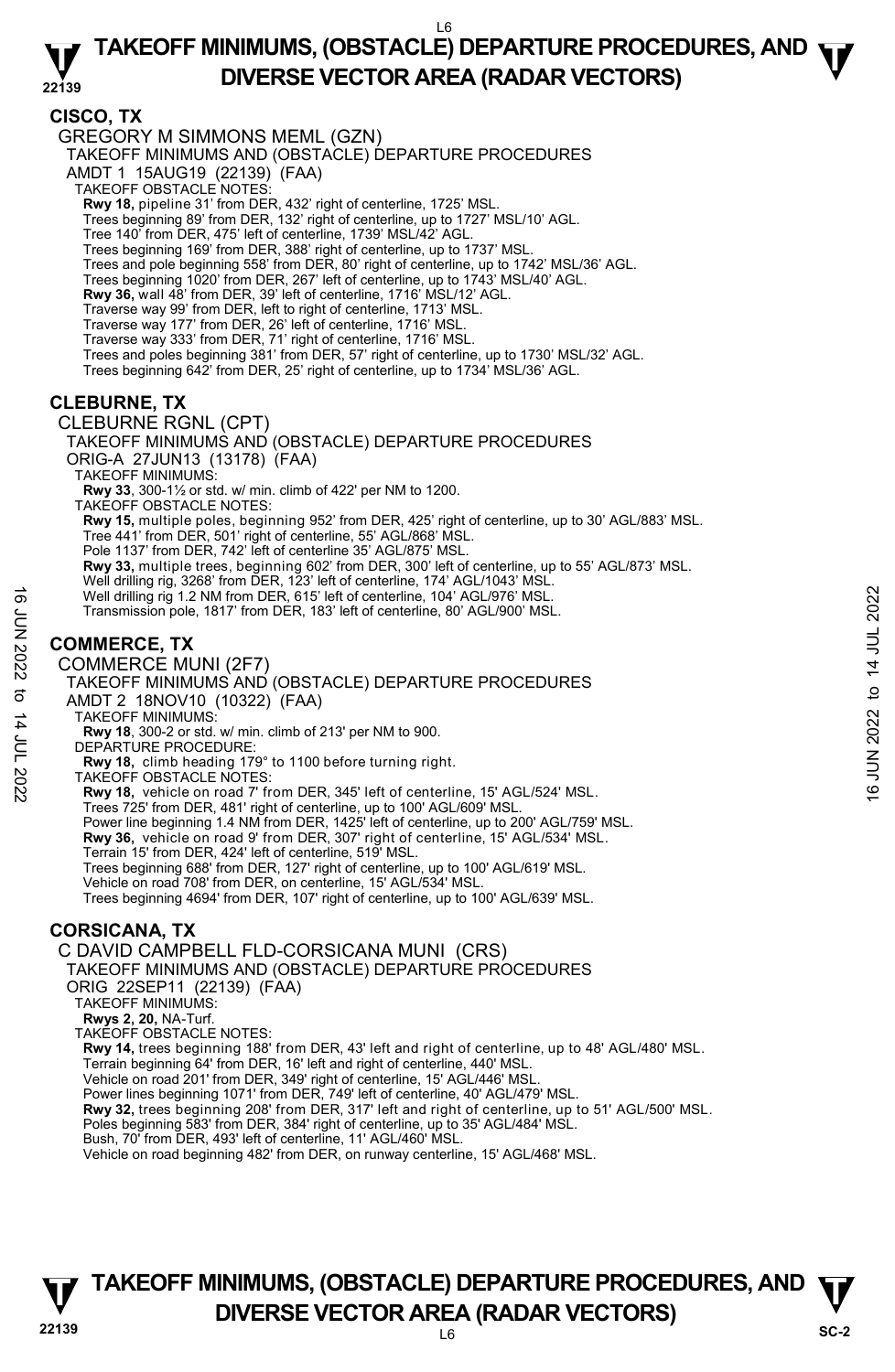**CISCO, TX** 

GREGORY M SIMMONS MEML (GZN)

TAKEOFF MINIMUMS AND (OBSTACLE) DEPARTURE PROCEDURES

AMDT 1 15AUG19 (22139) (FAA)

- TAKEOFF OBSTACLE NOTES:
- **Rwy 18,** pipeline 31' from DER, 432' right of centerline, 1725' MSL.

Trees beginning 89' from DER, 132' right of centerline, up to 1727' MSL/10' AGL.

- Tree 140' from DER, 475' left of centerline, 1739' MSL/42' AGL.
- Trees beginning 169' from DER, 388' right of centerline, up to 1737' MSL.
- Trees and pole beginning 558' from DER, 80' right of centerline, up to 1742' MSL/36' AGL.
- Trees beginning 1020' from DER, 267' left of centerline, up to 1743' MSL/40' AGL.
- **Rwy 36,** wall 48' from DER, 39' left of centerline, 1716' MSL/12' AGL.
- Traverse way 99' from DER, left to right of centerline, 1713' MSL.
- Traverse way 177' from DER, 26' left of centerline, 1716' MSL.
- Traverse way 333' from DER, 71' right of centerline, 1716' MSL.
- Trees and poles beginning 381' from DER, 57' right of centerline, up to 1730' MSL/32' AGL.
- Trees beginning 642' from DER, 25' right of centerline, up to 1734' MSL/36' AGL.

#### **CLEBURNE, TX**

CLEBURNE RGNL (CPT)

TAKEOFF MINIMUMS AND (OBSTACLE) DEPARTURE PROCEDURES

ORIG-A 27JUN13 (13178) (FAA)

TAKEOFF MINIMUMS:

**Rwy 33**, 300-1½ or std. w/ min. climb of 422' per NM to 1200.

TAKEOFF OBSTACLE NOTES:

**Rwy 15,** multiple poles, beginning 952' from DER, 425' right of centerline, up to 30' AGL/883' MSL.<br>Tree 441' from DER, 501' right of centerline, 55' AGL/868' MSL.

- Pole 1137' from DER, 742' left of centerline 35' AGL/875' MSL.
- **Rwy 33,** multiple trees, beginning 602' from DER, 300' left of centerline, up to 55' AGL/873' MSL.<br>Well drilling rig, 3268' from DER, 123' left of centerline, 174' AGL/1043' MSL.
- 
- Well drilling rig 1.2 NM from DER, 615' left of centerline, 104' AGL/976' MSL.
- Transmission pole, 1817' from DER, 183' left of centerline, 80' AGL/900' MSL.

#### **COMMERCE, TX**

#### COMMERCE MUNI (2F7)

TAKEOFF MINIMUMS AND (OBSTACLE) DEPARTURE PROCEDURES AMDT 2 18NOV10 (10322) (FAA) Well drilling rig 1.2 NM from DER, 615' left of centerline, 104' AGL/976' MSL.<br>
Transmission pole, 1817' from DER, 183' left of centerline, 80' AGL/900' MSL.<br>
COMMERCE, TX<br>
COMMERCE MINIMUMS AND (OBSTACLE) DEPARTURE PROCE

- TAKEOFF MINIMUMS:
- **Rwy 18**, 300-2 or std. w/ min. climb of 213' per NM to 900.
- DEPARTURE PROCEDURE:
- **Rwy 18,** climb heading 179° to 1100 before turning right.
- TAKEOFF OBSTACLE NOTES:
- **Rwy 18,** vehicle on road 7' from DER, 345' left of centerline, 15' AGL/524' MSL.
- Trees 725' from DER, 481' right of centerline, up to 100' AGL/609' MSL.
- Power line beginning 1.4 NM from DER, 1425' left of centerline, up to 200' AGL/759' MSL. **Rwy 36,** vehicle on road 9' from DER, 307' right of centerline, 15' AGL/534' MSL.
- 
- Terrain 15' from DER, 424' left of centerline, 519' MSL.
- Trees beginning 688' from DER, 127' right of centerline, up to 100' AGL/619' MSL.
- Vehicle on road 708' from DER, on centerline, 15' AGL/534' MSL.
- Trees beginning 4694' from DER, 107' right of centerline, up to 100' AGL/639' MSL.

#### **CORSICANA, TX**

C DAVID CAMPBELL FLD-CORSICANA MUNI (CRS)

TAKEOFF MINIMUMS AND (OBSTACLE) DEPARTURE PROCEDURES

- ORIG 22SEP11 (22139) (FAA)
- TAKEOFF MINIMUMS:
- **Rwys 2, 20,** NA-Turf.
- TAKEOFF OBSTACLE NOTES:

**Rwy 14,** trees beginning 188' from DER, 43' left and right of centerline, up to 48' AGL/480' MSL.

- Terrain beginning 64' from DER, 16' left and right of centerline, 440' MSL.
- Vehicle on road 201' from DER, 349' right of centerline, 15' AGL/446' MSL. Power lines beginning 1071' from DER, 749' left of centerline, 40' AGL/479' MSL.
- **Rwy 32,** trees beginning 208' from DER, 317' left and right of centerline, up to 51' AGL/500' MSL.
- 
- Poles beginning 583' from DER, 384' right of centerline, up to 35' AGL/484' MSL. Bush, 70' from DER, 493' left of centerline, 11' AGL/460' MSL.

Vehicle on road beginning 482' from DER, on runway centerline, 15' AGL/468' MSL.

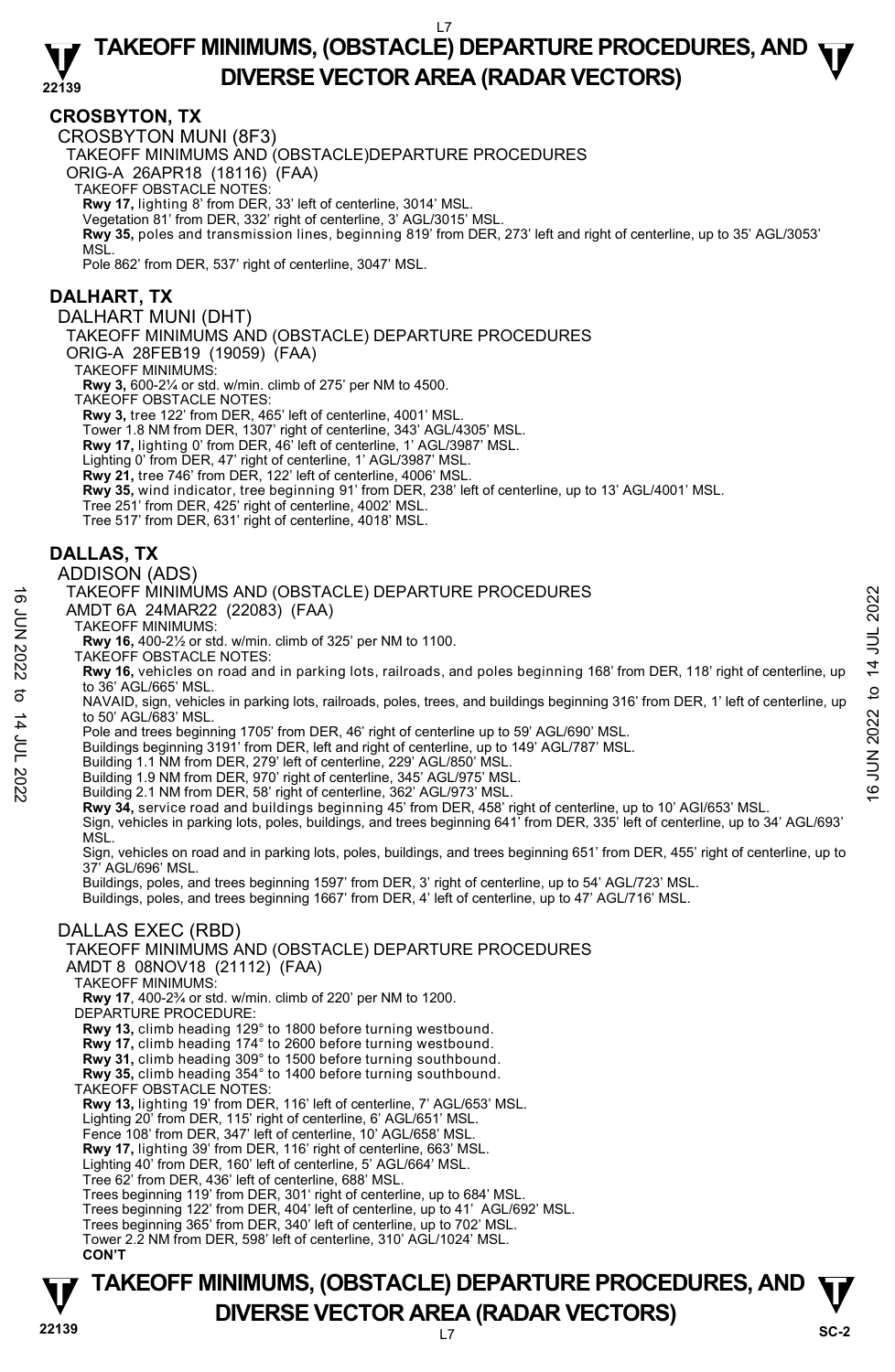#### **22139 TAKEOFF MINIMUMS, (OBSTACLE) DEPARTURE PROCEDURES, AND**  $\Psi$ **DIVERSE VECTOR AREA (RADAR VECTORS)**

#### **CROSBYTON, TX**

CROSBYTON MUNI (8F3)

TAKEOFF MINIMUMS AND (OBSTACLE)DEPARTURE PROCEDURES

ORIG-A 26APR18 (18116) (FAA)

TAKEOFF OBSTACLE NOTES:

**Rwy 17,** lighting 8' from DER, 33' left of centerline, 3014' MSL.

Vegetation 81' from DER, 332' right of centerline, 3' AGL/3015' MSL. **Rwy 35,** poles and transmission lines, beginning 819' from DER, 273' left and right of centerline, up to 35' AGL/3053' MSL.

Pole 862' from DER, 537' right of centerline, 3047' MSL.

#### **DALHART, TX**

DALHART MUNI (DHT)

TAKEOFF MINIMUMS AND (OBSTACLE) DEPARTURE PROCEDURES

ORIG-A 28FEB19 (19059) (FAA)

TAKEOFF MINIMUMS:

**Rwy 3,** 600-2¼ or std. w/min. climb of 275' per NM to 4500.

TAKEOFF OBSTACLE NOTES:

**Rwy 3,** tree 122' from DER, 465' left of centerline, 4001' MSL.

Tower 1.8 NM from DER, 1307' right of centerline, 343' AGL/4305' MSL. **Rwy 17,** lighting 0' from DER, 46' left of centerline, 1' AGL/3987' MSL.

Lighting 0' from DER, 47' right of centerline, 1' AGL/3987' MSL.

**Rwy 21,** tree 746' from DER, 122' left of centerline, 4006' MSL.

**Rwy 35,** wind indicator, tree beginning 91' from DER, 238' left of centerline, up to 13' AGL/4001' MSL.

Tree 251' from DER, 425' right of centerline, 4002' MSL.

Tree 517' from DER, 631' right of centerline, 4018' MSL.

#### **DALLAS, TX**

#### ADDISON (ADS)

#### TAKEOFF MINIMUMS AND (OBSTACLE) DEPARTURE PROCEDURES

- AMDT 6A 24MAR22 (22083) (FAA)
- TAKEOFF MINIMUMS:

**Rwy 16,** 400-2½ or std. w/min. climb of 325' per NM to 1100.

TAKEOFF OBSTACLE NOTES:

**Rwy 16,** vehicles on road and in parking lots, railroads, and poles beginning 168' from DER, 118' right of centerline, up to 36' AGL/665' MSL. TAKEOFF MINIMUMS AND (OBSTACLE) DEPARTURE PROCEDURES<br>
AMDT 6A 24MAR22 (22083) (FAA)<br>
TAKEOFF MINIMUMS:<br>
TAKEOFF MINIMUMS:<br>
TAKEOFF MINIMUMS:<br>
TAKEOFF MINIMUMS:<br>
NAV 16, 400-2's or std. w/min. climb of 325' per NM to 1100.

NAVAID, sign, vehicles in parking lots, railroads, poles, trees, and buildings beginning 316' from DER, 1' left of centerline, up to 50' AGL/683' MSL.

Pole and trees beginning 1705' from DER, 46' right of centerline up to 59' AGL/690' MSL.

Buildings beginning 3191' from DER, left and right of centerline, up to 149' AGL/787' MSL.

Building 1.1 NM from DER, 279' left of centerline, 229' AGL/850' MSL.

Building 1.9 NM from DER, 970' right of centerline, 345' AGL/975' MSL. Building 2.1 NM from DER, 58' right of centerline, 362' AGL/973' MSL.

**Rwy 34,** service road and buildings beginning 45' from DER, 458' right of centerline, up to 10' AGI/653' MSL.

Sign, vehicles in parking lots, poles, buildings, and trees beginning 641' from DER, 335' left of centerline, up to 34' AGL/693' MSL.

Sign, vehicles on road and in parking lots, poles, buildings, and trees beginning 651' from DER, 455' right of centerline, up to 37' AGL/696' MSL.

Buildings, poles, and trees beginning 1597' from DER, 3' right of centerline, up to 54' AGL/723' MSL.

Buildings, poles, and trees beginning 1667' from DER, 4' left of centerline, up to 47' AGL/716' MSL.

#### DALLAS EXEC (RBD)

TAKEOFF MINIMUMS AND (OBSTACLE) DEPARTURE PROCEDURES

AMDT 8 08NOV18 (21112) (FAA)

TAKEOFF MINIMUMS:

**Rwy 17**, 400-2¾ or std. w/min. climb of 220' per NM to 1200.

DEPARTURE PROCEDURE:

**Rwy 13,** climb heading 129° to 1800 before turning westbound. **Rwy 17,** climb heading 174° to 2600 before turning westbound.

**Rwy 31,** climb heading 309° to 1500 before turning southbound.

**Rwy 35,** climb heading 354° to 1400 before turning southbound.

TAKEOFF OBSTACLE NOTES:

**Rwy 13,** lighting 19' from DER, 116' left of centerline, 7' AGL/653' MSL.

Lighting 20' from DER, 115' right of centerline, 6' AGL/651' MSL.

Fence 108' from DER, 347' left of centerline, 10' AGL/658' MSL

**Rwy 17,** lighting 39' from DER, 116' right of centerline, 663' MSL.

Lighting 40' from DER, 160' left of centerline, 5' AGL/664' MSL.

Tree 62' from DER, 436' left of centerline, 688' MSL.

Trees beginning 119' from DER, 301' right of centerline, up to 684' MSL.

Trees beginning 122' from DER, 404' left of centerline, up to 41' AGL/692' MSL.

Trees beginning 365' from DER, 340' left of centerline, up to 702' MSL. Tower 2.2 NM from DER, 598' left of centerline, 310' AGL/1024' MSL.

**CON'T**

# **TAKEOFF MINIMUMS, (OBSTACLE) DEPARTURE PROCEDURES, AND**  $\Psi$ **DIVERSE VECTOR AREA (RADAR VECTORS)** Sc-2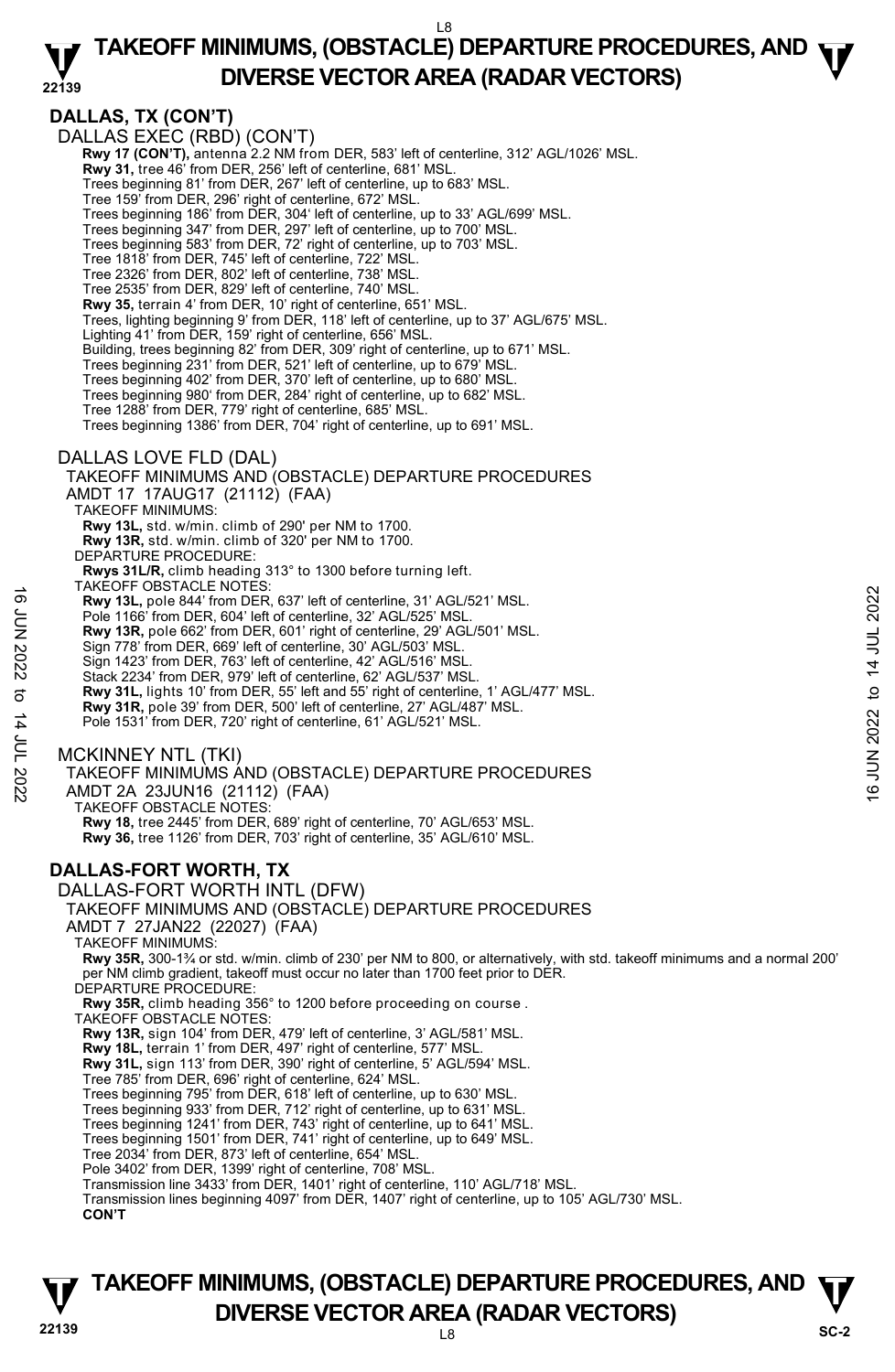#### **22139 TAKEOFF MINIMUMS, (OBSTACLE) DEPARTURE PROCEDURES, AND**  $\Psi$ **DIVERSE VECTOR AREA (RADAR VECTORS)**

**DALLAS, TX (CON'T)**  DALLAS EXEC (RBD) (CON'T)  **Rwy 17 (CON'T),** antenna 2.2 NM from DER, 583' left of centerline, 312' AGL/1026' MSL.  **Rwy 31,** tree 46' from DER, 256' left of centerline, 681' MSL. Trees beginning 81' from DER, 267' left of centerline, up to 683' MSL. Tree 159' from DER, 296' right of centerline, 672' MSL. Trees beginning 186' from DER, 304' left of centerline, up to 33' AGL/699' MSL. Trees beginning 347' from DER, 297' left of centerline, up to 700' MSL. Trees beginning 583' from DER, 72' right of centerline, up to 703' MSL. Tree 1818' from DER, 745' left of centerline, 722' MSL. Tree 2326' from DER, 802' left of centerline, 738' MSL. Tree 2535' from DER, 829' left of centerline, 740' MSL. **Rwy 35,** terrain 4' from DER, 10' right of centerline, 651' MSL. Trees, lighting beginning 9' from DER, 118' left of centerline, up to 37' AGL/675' MSL. Lighting 41' from DER, 159' right of centerline, 656' MSL. Building, trees beginning 82' from DER, 309' right of centerline, up to 671' MSL. Trees beginning 231' from DER, 521' left of centerline, up to 679' MSL. Trees beginning 402' from DER, 370' left of centerline, up to 680' MSL. Trees beginning 980' from DER, 284' right of centerline, up to 682' MSL. Tree 1288' from DER, 779' right of centerline, 685' MSL. Trees beginning 1386' from DER, 704' right of centerline, up to 691' MSL. DALLAS LOVE FLD (DAL) TAKEOFF MINIMUMS AND (OBSTACLE) DEPARTURE PROCEDURES AMDT 17 17AUG17 (21112) (FAA) TAKEOFF MINIMUMS: **Rwy 13L,** std. w/min. climb of 290' per NM to 1700. **Rwy 13R,** std. w/min. climb of 320' per NM to 1700. DEPARTURE PROCEDURE: **Rwys 31L/R,** climb heading 313° to 1300 before turning left. TAKEOFF OBSTACLE NOTES: **Rwy 13L,** pole 844' from DER, 637' left of centerline, 31' AGL/521' MSL. Pole 1166' from DER, 604' left of centerline, 32' AGL/525' MSI **Rwy 13R,** pole 662' from DER, 601' right of centerline, 29' AGL/501' MSL. Sign 778' from DER, 669' left of centerline, 30' AGL/503' MSL. Sign 1423' from DER, 763' left of centerline, 42' AGL/516' MSL. Stack 2234' from DER, 979' left of centerline, 62' AGL/537' MSL. **Rwy 31L,** lights 10' from DER, 55' left and 55' right of centerline, 1' AGL/477' MSL. **Rwy 31R,** pole 39' from DER, 500' left of centerline, 27' AGL/487' MSL. Pole 1531' from DER, 720' right of centerline, 61' AGL/521' MSL. MCKINNEY NTL (TKI) TAKEOFF MINIMUMS AND (OBSTACLE) DEPARTURE PROCEDURES AMDT 2A 23JUN16 (21112) (FAA) TAKEOFF OBSTACLE NOTES: **Rwy 18,** tree 2445' from DER, 689' right of centerline, 70' AGL/653' MSL. **Rwy 36,** tree 1126' from DER, 703' right of centerline, 35' AGL/610' MSL. **DALLAS-FORT WORTH, TX**  DALLAS-FORT WORTH INTL (DFW) TAKEOFF MINIMUMS AND (OBSTACLE) DEPARTURE PROCEDURES AMDT 7 27JAN22 (22027) (FAA) TAKEOFF MINIMUMS: **Rwy 35R,** 300-1¾ or std. w/min. climb of 230' per NM to 800, or alternatively, with std. takeoff minimums and a normal 200' per NM climb gradient, takeoff must occur no later than 1700 feet prior to DER. DEPARTURE PROCEDURE: **Rwy 35R,** climb heading 356° to 1200 before proceeding on course . TAKEOFF OBSTACLE NOTES: **Rwy 13R,** sign 104' from DER, 479' left of centerline, 3' AGL/581' MSL. **Rwy 18L,** terrain 1' from DER, 497' right of centerline, 577' MSL. **Rwy 31L,** sign 113' from DER, 390' right of centerline, 5' AGL/594' MSL. Tree 785' from DER, 696' right of centerline, 624' MSL. Trees beginning 795' from DER, 618' left of centerline, up to 630' MSL. Trees beginning 933' from DER, 712' right of centerline, up to 631' MSL. Trees beginning 1241' from DER, 743' right of centerline, up to 641' MSL. Trees beginning 1501' from DER, 741' right of centerline, up to 649' MSL. Tree 2034' from DER, 873' left of centerline, 654' MSL. Pole 3402' from DER, 1399' right of centerline, 708' MSL. Transmission line 3433' from DER, 1401' right of centerline, 110' AGL/718' MSL. Transmission lines beginning 4097' from DER, 1407' right of centerline, up to 105' AGL/730' MSL. **CON'T** 16<br>  $\frac{1}{2}$  Pole 344 from DER, 637' left of centerline, 31' AGL/521' MSL.<br>
Pole 1166' from DER, 604' left of centerline, 29' AGL/503' MSL.<br>
Now 13R, pole 662' from DER, 601' right of centerline, 29' AGL/503' MSL.<br>
Sign

#### **22139** L8 **TAKEOFF MINIMUMS, (OBSTACLE) DEPARTURE PROCEDURES, AND**  $\Psi$ **DIVERSE VECTOR AREA (RADAR VECTORS)** SC-2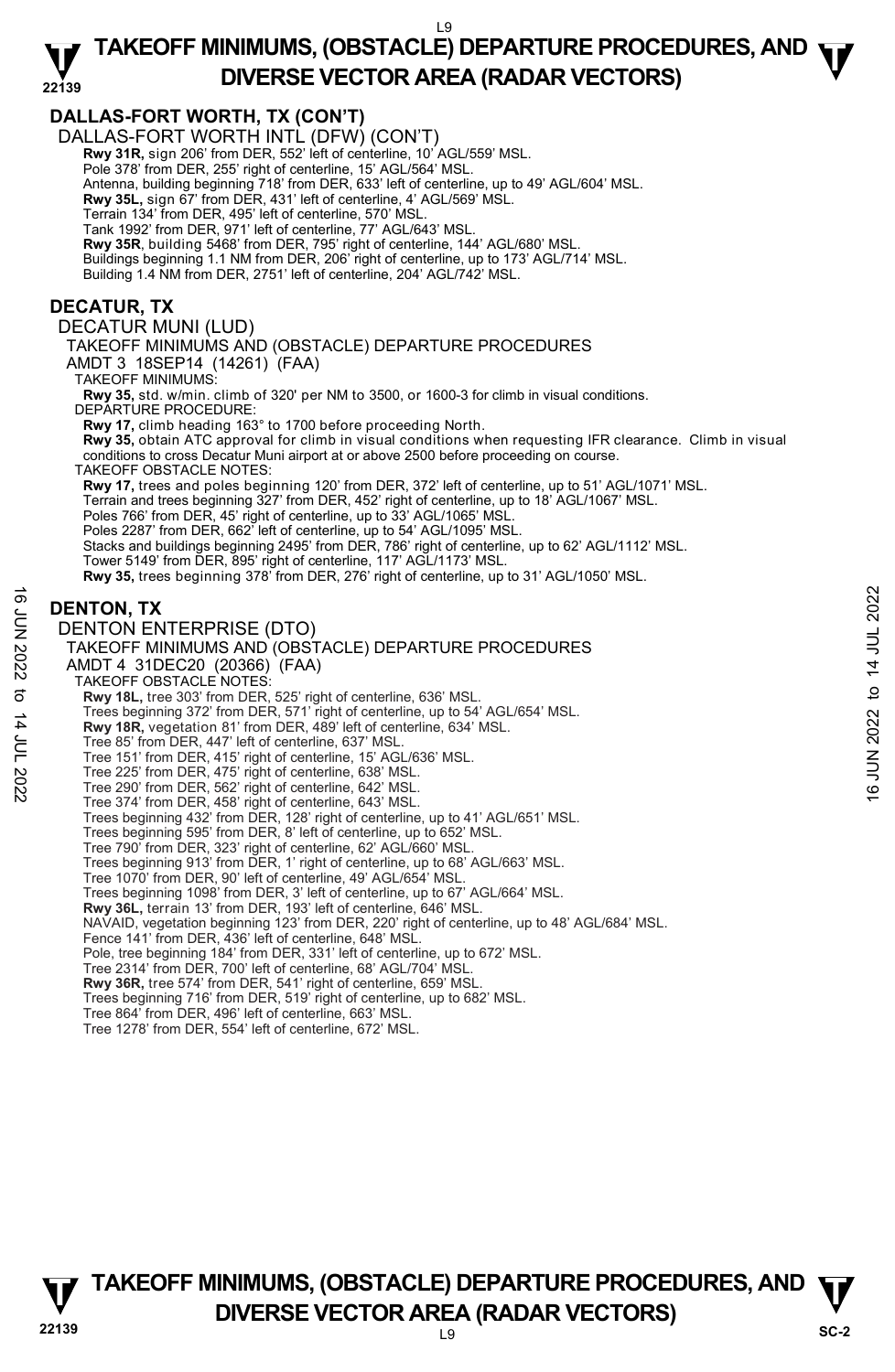# **TAKEOFF MINIMUMS, (OBSTACLE) DEPARTURE PROCEDURES, AND**  $\Psi$ **DIVERSE VECTOR AREA (RADAR VECTORS)**

#### **22139 DALLAS-FORT WORTH, TX (CON'T)**  DALLAS-FORT WORTH INTL (DFW) (CON'T) Rwy 31R, sign 206' from DER, 552' left of centerline, 10' AGL/559' MSL. Pole 378' from DER, 255' right of centerline, 15' AGL/564' MSL. Antenna, building beginning 718' from DER, 633' left of centerline, up to 49' AGL/604' MSL. **Rwy 35L,** sign 67' from DER, 431' left of centerline, 4' AGL/569' MSL. Terrain 134' from DER, 495' left of centerline, 570' MSL. Tank 1992' from DER, 971' left of centerline, 77' AGL/643' MSL. **Rwy 35R**, building 5468' from DER, 795' right of centerline, 144' AGL/680' MSL. Buildings beginning 1.1 NM from DER, 206' right of centerline, up to 173' AGL/714' MSL. Building 1.4 NM from DER, 2751' left of centerline, 204' AGL/742' MSL. **DECATUR, TX**  DECATUR MUNI (LUD) TAKEOFF MINIMUMS AND (OBSTACLE) DEPARTURE PROCEDURES AMDT 3 18SEP14 (14261) (FAA) TAKEOFF MINIMUMS: **Rwy 35,** std. w/min. climb of 320' per NM to 3500, or 1600-3 for climb in visual conditions. DEPARTURE PROCEDURE **Rwy 17,** climb heading 163° to 1700 before proceeding North. **Rwy 35,** obtain ATC approval for climb in visual conditions when requesting IFR clearance. Climb in visual conditions to cross Decatur Muni airport at or above 2500 before proceeding on course. TAKEOFF OBSTACLE NOTES: **Rwy 17,** trees and poles beginning 120' from DER, 372' left of centerline, up to 51' AGL/1071' MSL. Terrain and trees beginning 327' from DER, 452' right of centerline, up to 18' AGL/1067' MSL. Poles 766' from DER, 45' right of centerline, up to 33' AGL/1065' MSL. Poles 2287' from DER, 662' left of centerline, up to 54' AGL/1095' MSL. Stacks and buildings beginning 2495' from DER, 786' right of centerline, up to 62' AGL/1112' MSL. Tower 5149' from DER, 895' right of centerline, 117' AGL/1173' MSL.<br>**Rwy 35,** trees beginning 378' from DER, 276' right of centerline, up to 31' AGL/1050' MSL. **DENTON, TX**  DENTON ENTERPRISE (DTO) TAKEOFF MINIMUMS AND (OBSTACLE) DEPARTURE PROCEDURES AMDT 4 31DEC20 (20366) (FAA) TAKEOFF OBSTACLE NOTES: **Rwy 18L,** tree 303' from DER, 525' right of centerline, 636' MSL. Trees beginning 372' from DER, 571' right of centerline, up to 54' AGL/654' MSL. **Rwy 18R,** vegetation 81' from DER, 489' left of centerline, 634' MSL. Tree 85' from DER, 447' left of centerline, 637' MSL. Tree 151' from DER, 415' right of centerline, 15' AGL/636' MSL. Tree 225' from DER, 475' right of centerline, 638' MSL. Tree 290' from DER, 562' right of centerline, 642' MSL. Tree 374' from DER, 458' right of centerline, 643' MSL. Trees beginning 432' from DER, 128' right of centerline, up to 41' AGL/651' MSL. Trees beginning 595' from DER, 8' left of centerline, up to 652' MSL. Tree 790' from DER, 323' right of centerline, 62' AGL/660' MSL. Trees beginning 913' from DER, 1' right of centerline, up to 68' AGL/663' MSL. Tree 1070' from DER, 90' left of centerline, 49' AGL/654' MSL. Trees beginning 1098' from DER, 3' left of centerline, up to 67' AGL/664' MSL. **Rwy 36L,** terrain 13' from DER, 193' left of centerline, 646' MSL. NAVAID, vegetation beginning 123' from DER, 220' right of centerline, up to 48' AGL/684' MSL. Fence 141' from DER, 436' left of centerline, 648' MSL. Pole, tree beginning 184' from DER, 331' left of centerline, up to 672' MSL. Tree 2314' from DER, 700' left of centerline, 68' AGL/704' MSL. **Rwy 36R,** tree 574' from DER, 541' right of centerline, 659' MSL. Trees beginning 716' from DER, 519' right of centerline, up to 682' MSL. Tree 864' from DER, 496' left of centerline, 663' MSL. Tree 1278' from DER, 554' left of centerline, 672' MSL. **DENTON, TX**<br>  $\frac{1}{2}$  DENTON ENTERPRISE (DTO)<br>
TAKEOFF MINIMUMS AND (OBSTACLE) DEPARTURE PROCEDURES<br>
AMDT 4 31DEC20 (20366) (FAA)<br>
TAKEOFF MINIMUMS AND (OBSTACLE) DEPARTURE PROCEDURES<br>
TO TAKEOFF OBSTACLE NOTES: 571 rig

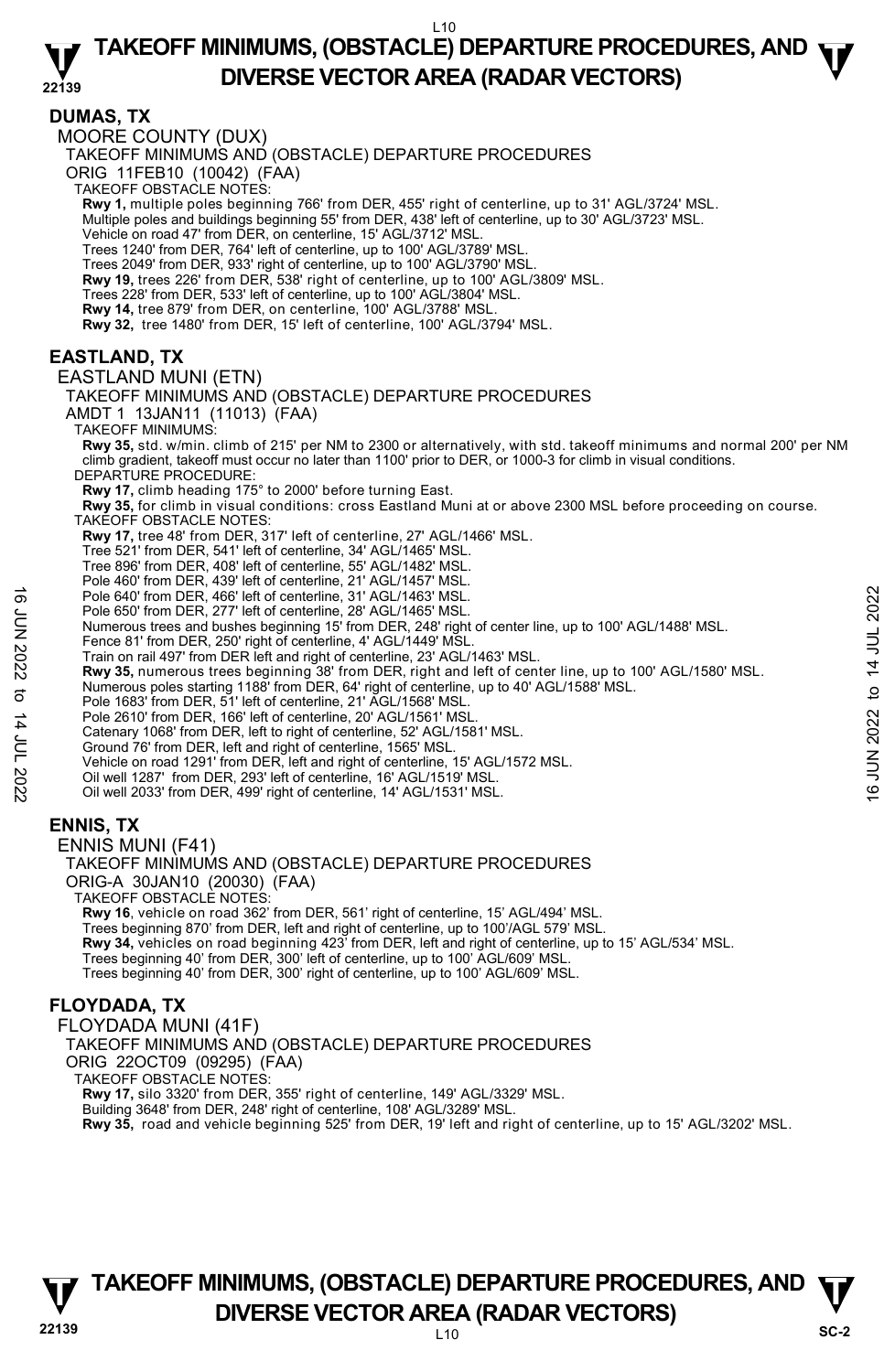#### **22139 TAKEOFF MINIMUMS, (OBSTACLE) DEPARTURE PROCEDURES, AND**  $\Psi$ **DIVERSE VECTOR AREA (RADAR VECTORS)**

#### **DUMAS, TX**

MOORE COUNTY (DUX)

TAKEOFF MINIMUMS AND (OBSTACLE) DEPARTURE PROCEDURES

ORIG 11FEB10 (10042) (FAA)

TAKEOFF OBSTACLE NOTES:

**Rwy 1,** multiple poles beginning 766' from DER, 455' right of centerline, up to 31' AGL/3724' MSL.<br>Multiple poles and buildings beginning 55' from DER, 438' left of centerline, up to 30' AGL/3723' MSL.

Vehicle on road 47' from DER, on centerline, 15' AGL/3712' MSL.

Trees 1240' from DER, 764' left of centerline, up to 100' AGL/3789' MSL.

Trees 2049' from DER, 933' right of centerline, up to 100' AGL/3790' MSL. **Rwy 19,** trees 226' from DER, 538' right of centerline, up to 100' AGL/3809' MSL.

Trees 228' from DER, 533' left of centerline, up to 100' AGL/3804' MSL.

**Rwy 14,** tree 879' from DER, on centerline, 100' AGL/3788' MSL.

**Rwy 32,** tree 1480' from DER, 15' left of centerline, 100' AGL/3794' MSL.

#### **EASTLAND, TX**

#### EASTLAND MUNI (ETN)

TAKEOFF MINIMUMS AND (OBSTACLE) DEPARTURE PROCEDURES

AMDT 1 13JAN11 (11013) (FAA)

TAKEOFF MINIMUMS:

**Rwy 35,** std. w/min. climb of 215' per NM to 2300 or alternatively, with std. takeoff minimums and normal 200' per NM climb gradient, takeoff must occur no later than 1100' prior to DER, or 1000-3 for climb in visual conditions. DEPARTURE PROCEDURE:

**Rwy 17,** climb heading 175° to 2000' before turning East.

**Rwy 35,** for climb in visual conditions: cross Eastland Muni at or above 2300 MSL before proceeding on course. TAKEOFF OBSTACLE NOTES:

**Rwy 17,** tree 48' from DER, 317' left of centerline, 27' AGL/1466' MSL.

Tree 521' from DER, 541' left of centerline, 34' AGL/1465' MSL.

Tree 896' from DER, 408' left of centerline, 55' AGL/1482' MSL. Pole 460' from DER, 439' left of centerline, 21' AGL/1457' MSL.

Pole 640' from DER, 466' left of centerline, 31' AGL/1463' MSL.

Pole 650' from DER, 277' left of centerline, 28' AGL/1465' MSL. Numerous trees and bushes beginning 15' from DER, 248' right of center line, up to 100' AGL/1488' MSL.

Fence 81' from DER, 250' right of centerline, 4' AGL/1449' MSL.

Train on rail 497' from DER left and right of centerline, 23' AGL/1463' MSL.

**Rwy 35,** numerous trees beginning 38' from DER, right and left of center line, up to 100' AGL/1580' MSL.<br>Numerous poles starting 1188' from DER, 64' right of centerline, up to 40' AGL/1588' MSL.<br>Pole 1683' from DER, 51' l Pole 640' from DER, 466' left of centerline, 31' AGL/1463' MSL.<br>
Pole 650' from DER, 27' left of centerline, 28' AGL/1465' MSL.<br>
Numerous trees and bushes beginning 15' from DER, 248' right of center line, up to 100' AGL

Pole 2610' from DER, 166' left of centerline, 20' AGL/1561' MSI

Catenary 1068' from DER, left to right of centerline, 52' AGL/1581' MSL.

Ground 76' from DER, left and right of centerline, 1565' MSL.

Vehicle on road 1291' from DER, left and right of centerline, 15' AGL/1572 MSL.

Oil well 1287' from DER, 293' left of centerline, 16' AGL/1519' MSL.

Oil well 2033' from DER, 499' right of centerline, 14' AGL/1531' MSL.

#### **ENNIS, TX**

ENNIS MUNI (F41)

TAKEOFF MINIMUMS AND (OBSTACLE) DEPARTURE PROCEDURES ORIG-A 30JAN10 (20030) (FAA) TAKEOFF OBSTACLE NOTES: **Rwy 16**, vehicle on road 362' from DER, 561' right of centerline, 15' AGL/494' MSL.

Trees beginning 870' from DER, left and right of centerline, up to 100'/AGL 579' MSL.<br>**Rwy 34,** vehicles on road beginning 423' from DER, left and right of centerline, up to 15' AGL/534' MSL. Trees beginning 40' from DER, 300' left of centerline, up to 100' AGL/609' MSL.

Trees beginning 40' from DER, 300' right of centerline, up to 100' AGL/609' MSL.

#### **FLOYDADA, TX**

FLOYDADA MUNI (41F) TAKEOFF MINIMUMS AND (OBSTACLE) DEPARTURE PROCEDURES ORIG 22OCT09 (09295) (FAA) TAKEOFF OBSTACLE NOTES: **Rwy 17,** silo 3320' from DER, 355' right of centerline, 149' AGL/3329' MSL. Building 3648' from DER, 248' right of centerline, 108' AGL/3289' MSL. **Rwy 35,** road and vehicle beginning 525' from DER, 19' left and right of centerline, up to 15' AGL/3202' MSL.



#### **22139** L10 **TAKEOFF MINIMUMS, (OBSTACLE) DEPARTURE PROCEDURES, AND**  $\Psi$ **DIVERSE VECTOR AREA (RADAR VECTORS)** SC-2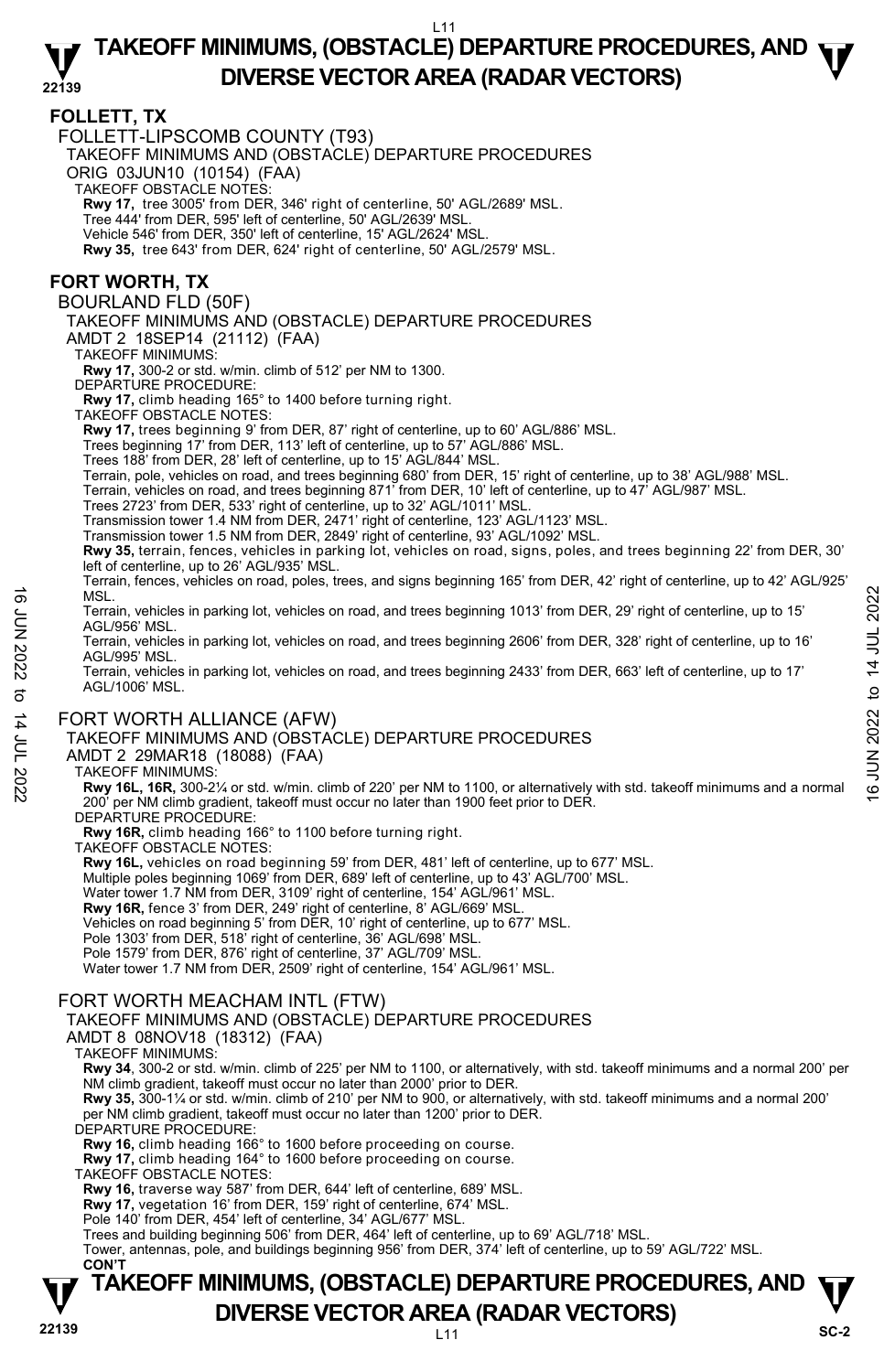#### **22139 TAKEOFF MINIMUMS, (OBSTACLE) DEPARTURE PROCEDURES, AND**  $\Psi$ **DIVERSE VECTOR AREA (RADAR VECTORS)**

#### **FOLLETT, TX**

FOLLETT-LIPSCOMB COUNTY (T93)

TAKEOFF MINIMUMS AND (OBSTACLE) DEPARTURE PROCEDURES

ORIG 03JUN10 (10154) (FAA)

TAKEOFF OBSTACLE NOTES:

**Rwy 17,** tree 3005' from DER, 346' right of centerline, 50' AGL/2689' MSL.

Tree 444' from DER, 595' left of centerline, 50' AGL/2639' MSL.

Vehicle 546' from DER, 350' left of centerline, 15' AGL/2624' MSL.

**Rwy 35,** tree 643' from DER, 624' right of centerline, 50' AGL/2579' MSL.

#### **FORT WORTH, TX**

BOURLAND FLD (50F)

TAKEOFF MINIMUMS AND (OBSTACLE) DEPARTURE PROCEDURES

AMDT 2 18SEP14 (21112) (FAA)

TAKEOFF MINIMUMS:

**Rwy 17,** 300-2 or std. w/min. climb of 512' per NM to 1300.

DEPARTURE PROCEDURE:

**Rwy 17,** climb heading 165° to 1400 before turning right. TAKEOFF OBSTACLE NOTES:

**Rwy 17,** trees beginning 9' from DER, 87' right of centerline, up to 60' AGL/886' MSL.

Trees beginning 17' from DER, 113' left of centerline, up to 57' AGL/886' MSL.

Trees 188' from DER, 28' left of centerline, up to 15' AGL/844' MSL.

Terrain, pole, vehicles on road, and trees beginning 680' from DER, 15' right of centerline, up to 38' AGL/988' MSL.

Terrain, vehicles on road, and trees beginning 871' from DER, 10' left of centerline, up to 47' AGL/987' MSL.

Trees 2723' from DER, 533' right of centerline, up to 32' AGL/1011' MSL.

Transmission tower 1.4 NM from DER, 2471' right of centerline, 123' AGL/1123' MSL. Transmission tower 1.5 NM from DER, 2849' right of centerline, 93' AGL/1092' MSL.

**Rwy 35,** terrain, fences, vehicles in parking lot, vehicles on road, signs, poles, and trees beginning 22' from DER, 30' left of centerline, up to 26' AGL/935' MSL.

Terrain, fences, vehicles on road, poles, trees, and signs beginning 165' from DER, 42' right of centerline, up to 42' AGL/925' MSL.

Terrain, vehicles in parking lot, vehicles on road, and trees beginning 1013' from DER, 29' right of centerline, up to 15' AGL/956' MSL. MSL.<br>
Terrain, vehicles in parking lot, vehicles on road, and trees beginning 1013' from DER, 29' right of centerline, up to 15'<br>
Terrain, vehicles in parking lot, vehicles on road, and trees beginning 2606' from DER, 328

Terrain, vehicles in parking lot, vehicles on road, and trees beginning 2606' from DER, 328' right of centerline, up to 16' AGL/995' MSL.

Terrain, vehicles in parking lot, vehicles on road, and trees beginning 2433' from DER, 663' left of centerline, up to 17' AGL/1006' MSL.

#### FORT WORTH ALLIANCE (AFW)

TAKEOFF MINIMUMS AND (OBSTACLE) DEPARTURE PROCEDURES

#### AMDT 2 29MAR18 (18088) (FAA)

#### TAKEOFF MINIMUMS:

**Rwy 16L, 16R,** 300-2¼ or std. w/min. climb of 220' per NM to 1100, or alternatively with std. takeoff minimums and a normal 200' per NM climb gradient, takeoff must occur no later than 1900 feet prior to DER.

DEPARTURE PROCEDURE

**Rwy 16R,** climb heading 166° to 1100 before turning right.

TAKEOFF OBSTACLE NOTES:

**Rwy 16L,** vehicles on road beginning 59' from DER, 481' left of centerline, up to 677' MSL.

Multiple poles beginning 1069' from DER, 689' left of centerline, up to 43' AGL/700' MSL.

Water tower 1.7 NM from DER, 3109' right of centerline, 154' AGL/961' MSL.

**Rwy 16R,** fence 3' from DER, 249' right of centerline, 8' AGL/669' MSL.

Vehicles on road beginning 5' from DER, 10' right of centerline, up to 677' MSL. Pole 1303' from DER, 518' right of centerline, 36' AGL/698' MSL.

Pole 1579' from DER, 876' right of centerline, 37' AGL/709' MSL.

Water tower 1.7 NM from DER, 2509' right of centerline, 154' AGL/961' MSL.

#### FORT WORTH MEACHAM INTL (FTW)

TAKEOFF MINIMUMS AND (OBSTACLE) DEPARTURE PROCEDURES

AMDT 8 08NOV18 (18312) (FAA)

TAKEOFF MINIMUMS:

**Rwy 34**, 300-2 or std. w/min. climb of 225' per NM to 1100, or alternatively, with std. takeoff minimums and a normal 200' per NM climb gradient, takeoff must occur no later than 2000' prior to DER.

**Rwy 35,** 300-1¼ or std. w/min. climb of 210' per NM to 900, or alternatively, with std. takeoff minimums and a normal 200' per NM climb gradient, takeoff must occur no later than 1200' prior to DER.

DEPARTURE PROCEDURE

**Rwy 16,** climb heading 166° to 1600 before proceeding on course.

**Rwy 17,** climb heading 164° to 1600 before proceeding on course.

TAKEOFF OBSTACLE NOTES:

**Rwy 16,** traverse way 587' from DER, 644' left of centerline, 689' MSL. **Rwy 17,** vegetation 16' from DER, 159' right of centerline, 674' MSL.

Pole 140' from DER, 454' left of centerline, 34' AGL/677' MSL.

Trees and building beginning 506' from DER, 464' left of centerline, up to 69' AGL/718' MSL. Tower, antennas, pole, and buildings beginning 956' from DER, 374' left of centerline, up to 59' AGL/722' MSL.

#### **22139** L11 **TAKEOFF MINIMUMS, (OBSTACLE) DEPARTURE PROCEDURES, AND**  $\Psi$ **DIVERSE VECTOR AREA (RADAR VECTORS)** SC-2  **CON'T**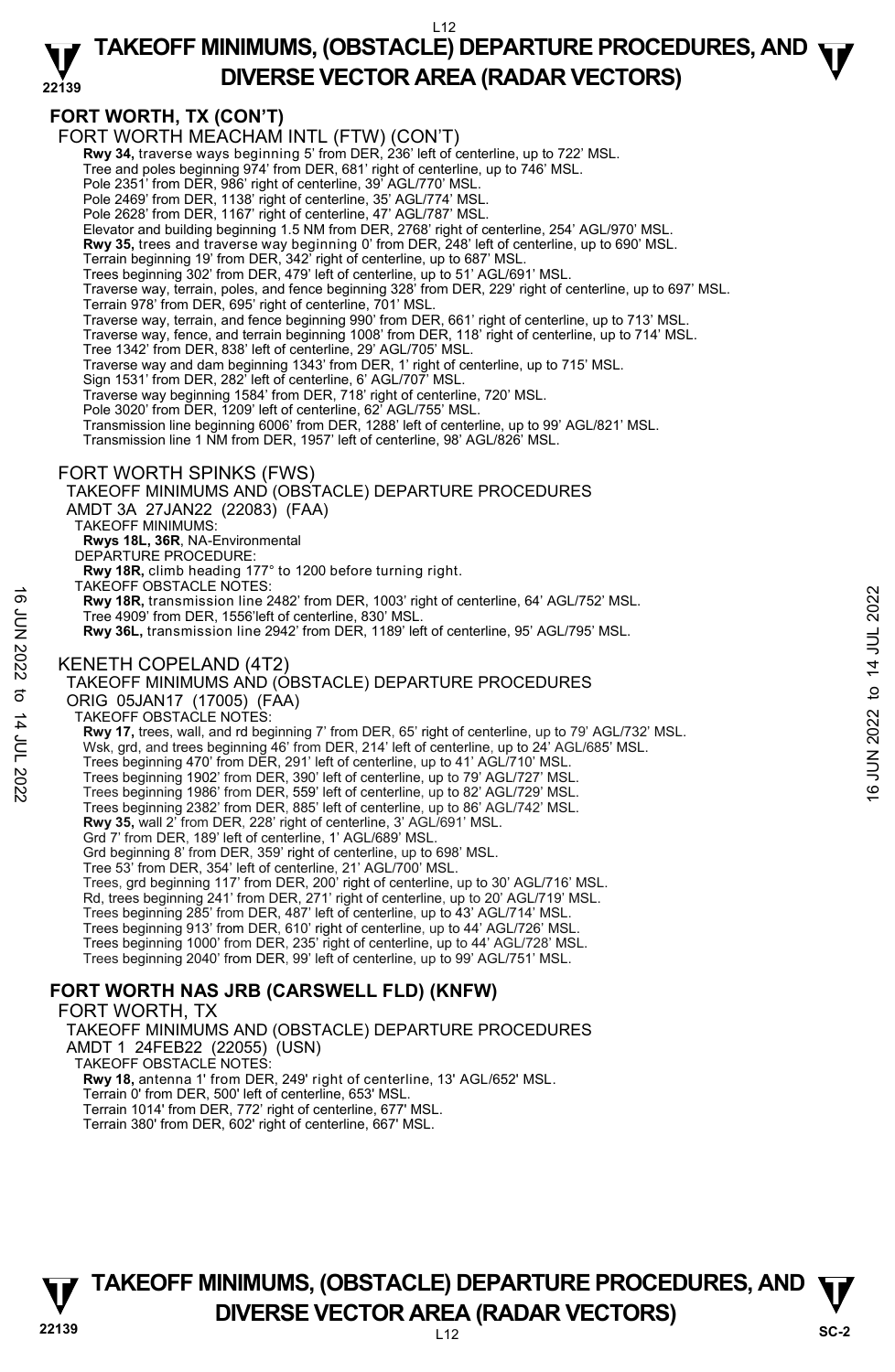#### **22139 TAKEOFF MINIMUMS, (OBSTACLE) DEPARTURE PROCEDURES, AND**  $\Psi$ **DIVERSE VECTOR AREA (RADAR VECTORS)**

#### **FORT WORTH, TX (CON'T)**

FORT WORTH MEACHAM INTL (FTW) (CON'T)

**Rwy 34,** traverse ways beginning 5' from DER, 236' left of centerline, up to 722' MSL.<br>Tree and poles beginning 974' from DER, 681' right of centerline, up to 746' MSL.

Pole 2351' from DER, 986' right of centerline, 39' AGL/770' MSL.

Pole 2469' from DER, 1138' right of centerline, 35' AGL/774' MSL. Pole 2628' from DER, 1167' right of centerline, 47' AGL/787' MSL.

Elevator and building beginning 1.5 NM from DER, 2768' right of centerline, 254' AGL/970' MSL.

**Rwy 35,** trees and traverse way beginning 0' from DER, 248' left of centerline, up to 690' MSL.

Terrain beginning 19' from DER, 342' right of centerline, up to 687' MSL. Trees beginning 302' from DER, 479' left of centerline, up to 51' AGL/691' MSL.

Traverse way, terrain, poles, and fence beginning 328' from DER, 229' right of centerline, up to 697' MSL.

 Terrain 978' from DER, 695' right of centerline, 701' MSL. Traverse way, terrain, and fence beginning 990' from DER, 661' right of centerline, up to 713' MSL.

Traverse way, fence, and terrain beginning 1008' from DER, 118' right of centerline, up to 714' MSL.

Tree 1342' from DER, 838' left of centerline, 29' AGL/705' MSL.

Traverse way and dam beginning 1343' from DER, 1' right of centerline, up to 715' MSL. Sign 1531' from DER, 282' left of centerline, 6' AGL/707' MSL.

Traverse way beginning 1584' from DER, 718' right of centerline, 720' MSL.

Pole 3020' from DER, 1209' left of centerline, 62' AGL/755' MSL.

Transmission line beginning 6006' from DER, 1288' left of centerline, up to 99' AGL/821' MSL. Transmission line 1 NM from DER, 1957' left of centerline, 98' AGL/826' MSL.

#### FORT WORTH SPINKS (FWS)

TAKEOFF MINIMUMS AND (OBSTACLE) DEPARTURE PROCEDURES AMDT 3A 27JAN22 (22083) (FAA) TAKEOFF MINIMUMS: **Rwys 18L, 36R**, NA-Environmental DEPARTURE PROCEDURE: **Rwy 18R,** climb heading 177° to 1200 before turning right. TAKEOFF OBSTACLE NOTES: **Rwy 18R,** transmission line 2482' from DER, 1003' right of centerline, 64' AGL/752' MSL. Tree 4909' from DER, 1556'left of centerline, 830' MSL. **Rwy 36L,** transmission line 2942' from DER, 1189' left of centerline, 95' AGL/795' MSL. KENETH COPELAND (4T2) TAKEOFF MINIMUMS AND (OBSTACLE) DEPARTURE PROCEDURES ORIG 05JAN17 (17005) (FAA) TAKEOFF OBSTACLE NOTES: **Rwy 17,** trees, wall, and rd beginning 7' from DER, 65' right of centerline, up to 79' AGL/732' MSL. Wsk, grd, and trees beginning 46' from DER, 214' left of centerline, up to 24' AGL/685' MSL. Trees beginning 470' from DER, 291' left of centerline, up to 41' AGL/710' MSL. Trees beginning 1902' from DER, 390' left of centerline, up to 79' AGL/727' MSL. Trees beginning 1986' from DER, 559' left of centerline, up to 82' AGL/729' MSL. Trees beginning 2382' from DER, 885' left of centerline, up to 86' AGL/742' MSL. **Rwy 35,** wall 2' from DER, 228' right of centerline, 3' AGL/691' MSL. Grd 7' from DER, 189' left of centerline, 1' AGL/689' MSL. Grd beginning 8' from DER, 359' right of centerline, up to 698' MSL. Tree 53' from DER, 354' left of centerline, 21' AGL/700' MSL. Trees, grd beginning 117' from DER, 200' right of centerline, up to 30' AGL/716' MSL. Rd, trees beginning 241' from DER, 271' right of centerline, up to 20' AGL/719' MSL. Trees beginning 285' from DER, 487' left of centerline, up to 43' AGL/714' MSL. Trees beginning 913' from DER, 610' right of centerline, up to 44' AGL/726' MSL. Trees beginning 1000' from DER, 235' right of centerline, up to 44' AGL/728' MSL. Trees beginning 2040' from DER, 99' left of centerline, up to 99' AGL/751' MSL. **FORT WORTH NAS JRB (CARSWELL FLD) (KNFW)**  16 The 2009 from DER, 1003 right of centerline, 64' AGL/752' MSL.<br>
Tree 4909' from DER, 1556'left of centerline, 830' MSL.<br>
The 4909' from DER, 1556'left of centerline, 830' MSL.<br>
RW 36L, transmission line 2942' from DER,

#### FORT WORTH, TX

TAKEOFF MINIMUMS AND (OBSTACLE) DEPARTURE PROCEDURES AMDT 1 24FEB22 (22055) (USN)

TAKEOFF OBSTACLE NOTES:

**Rwy 18,** antenna 1' from DER, 249' right of centerline, 13' AGL/652' MSL. Terrain 0' from DER, 500' left of centerline, 653' MSL.

Terrain 1014' from DER, 772' right of centerline, 677' MSL.

Terrain 380' from DER, 602' right of centerline, 667' MSL.

**22139** L12 **TAKEOFF MINIMUMS, (OBSTACLE) DEPARTURE PROCEDURES, AND**  $\Psi$ **DIVERSE VECTOR AREA (RADAR VECTORS)** SC-2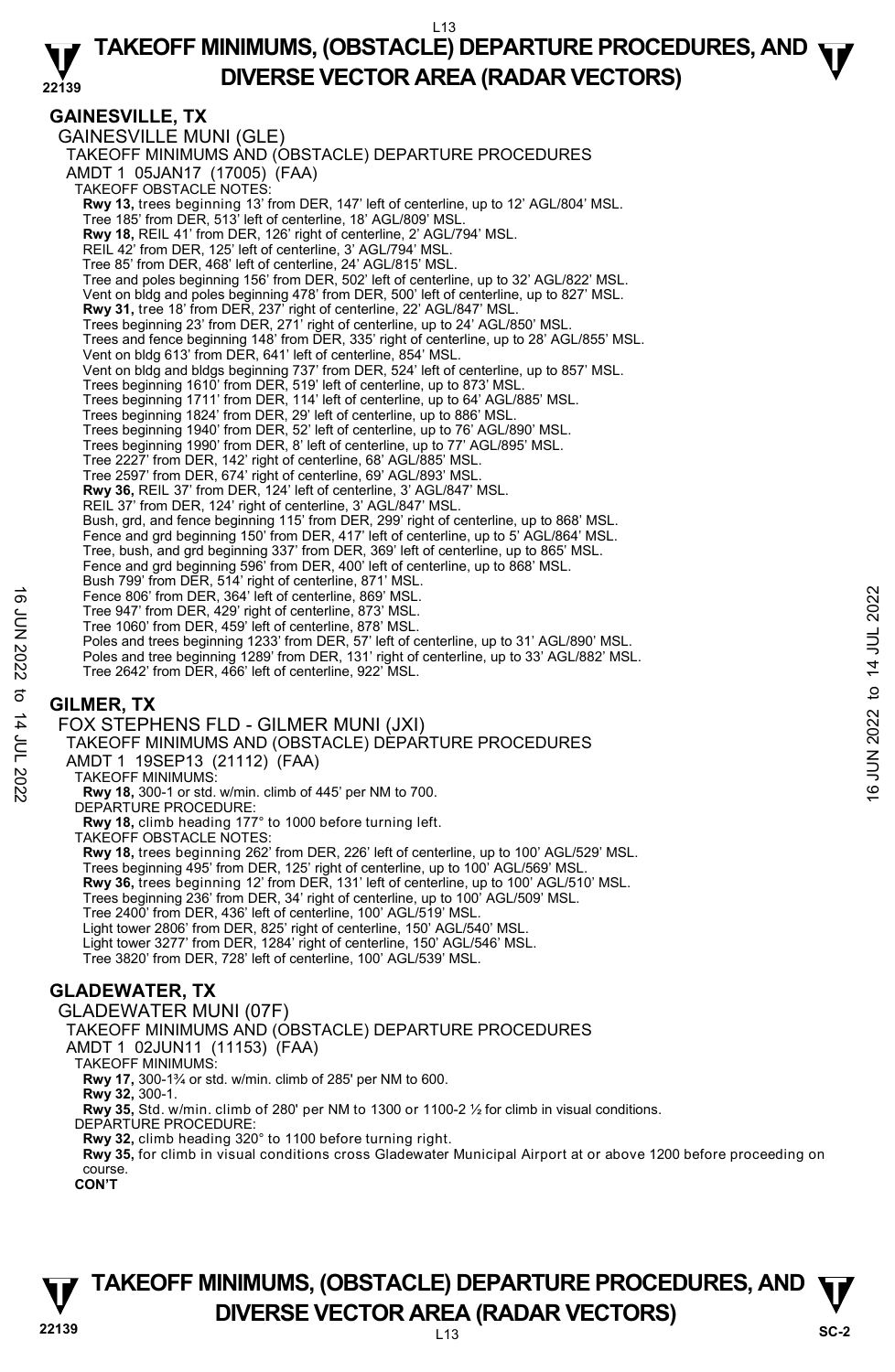#### **22139 TAKEOFF MINIMUMS, (OBSTACLE) DEPARTURE PROCEDURES, AND**  $\Psi$ **DIVERSE VECTOR AREA (RADAR VECTORS)**

#### **GAINESVILLE, TX**

GAINESVILLE MUNI (GLE) TAKEOFF MINIMUMS AND (OBSTACLE) DEPARTURE PROCEDURES AMDT 1 05JAN17 (17005) (FAA) TAKEOFF OBSTACLE NOTES: **Rwy 13,** trees beginning 13' from DER, 147' left of centerline, up to 12' AGL/804' MSL.<br>Tree 185' from DER, 513' left of centerline, 18' AGL/809' MSL. **Rwy 18,** REIL 41' from DER, 126' right of centerline, 2' AGL/794' MSL. REIL 42' from DER, 125' left of centerline, 3' AGL/794' MSL. Tree 85' from DER, 468' left of centerline, 24' AGL/815' MSL. Tree and poles beginning 156' from DER, 502' left of centerline, up to 32' AGL/822' MSL. Vent on bldg and poles beginning 478' from DER, 500' left of centerline, up to 827' MSL. **Rwy 31,** tree 18' from DER, 237' right of centerline, 22' AGL/847' MSL.<br>Trees beginning 23' from DER, 271' right of centerline, up to 24' AGL/850' MSL. Trees and fence beginning 148' from DER, 335' right of centerline, up to 28' AGL/855' MSL. Vent on bldg 613' from DER, 641' left of centerline, 854' MSL. Vent on bldg and bldgs beginning 737' from DER, 524' left of centerline, up to 857' MSL. Trees beginning 1610' from DER, 519' left of centerline, up to 873' MSL. Trees beginning 1711' from DER, 114' left of centerline, up to 64' AGL/885' MSL. Trees beginning 1824' from DER, 29' left of centerline, up to 886' MSL. Trees beginning 1940' from DER, 52' left of centerline, up to 76' AGL/890' MSL. Trees beginning 1990' from DER, 8' left of centerline, up to 77' AGL/895' MSL. Tree 2227' from DER, 142' right of centerline, 68' AGL/885' MSL. Tree 2597' from DER, 674' right of centerline, 69' AGL/893' MSL. **Rwy 36,** REIL 37' from DER, 124' left of centerline, 3' AGL/847' MSL. REIL 37' from DER, 124' right of centerline, 3' AGL/847' MSL. Bush, grd, and fence beginning 115' from DER, 299' right of centerline, up to 868' MSL. Fence and grd beginning 150' from DER, 417' left of centerline, up to 5' AGL/864' MSL. Tree, bush, and grd beginning 337' from DER, 369' left of centerline, up to 865' MSL. Fence and grd beginning 596' from DER, 400' left of centerline, up to 868' MSL. Bush 799' from DER, 514' right of centerline, 871' MSL. Fence 806' from DER, 364' left of centerline, 869' MSL. Tree 947' from DER, 429' right of centerline, 873' MSL. Tree 1060' from DER, 459' left of centerline, 878' MSL. Poles and trees beginning 1233' from DER, 57' left of centerline, up to 31' AGL/890' MSL. Poles and tree beginning 1289' from DER, 131' right of centerline, up to 33' AGL/882' MSL. Tree 2642' from DER, 466' left of centerline, 922' MSL. Fence 806' from DER, 364' left of centerline, 869' MSL.<br>
Tree 947' from DER, 459' left of centerline, 873' MSL.<br>
The 1000' from DER, 459' left of centerline, 878' MSL.<br>
Poles and tree beginning 1233' from DER, 51' left of

#### **GILMER, TX**

FOX STEPHENS FLD - GILMER MUNI (JXI) TAKEOFF MINIMUMS AND (OBSTACLE) DEPARTURE PROCEDURES AMDT 1 19SEP13 (21112) (FAA) TAKEOFF MINIMUMS: **Rwy 18,** 300-1 or std. w/min. climb of 445' per NM to 700. DEPARTURE PROCEDURE: **Rwy 18,** climb heading 177° to 1000 before turning left. TAKEOFF OBSTACLE NOTES: **Rwy 18,** trees beginning 262' from DER, 226' left of centerline, up to 100' AGL/529' MSL. Trees beginning 495' from DER, 125' right of centerline, up to 100' AGL/569' MSL. **Rwy 36,** trees beginning 12' from DER, 131' left of centerline, up to 100' AGL/510' MSL. Trees beginning 236' from DER, 34' right of centerline, up to 100' AGL/509' MSL. Tree 2400' from DER, 436' left of centerline, 100' AGL/519' MSL. Light tower 2806' from DER, 825' right of centerline, 150' AGL/540' MSL. Light tower 3277' from DER, 1284' right of centerline, 150' AGL/546' MSL. Tree 3820' from DER, 728' left of centerline, 100' AGL/539' MSL.

#### **GLADEWATER, TX**

GLADEWATER MUNI (07F) TAKEOFF MINIMUMS AND (OBSTACLE) DEPARTURE PROCEDURES

AMDT 1 02JUN11 (11153) (FAA)

TAKEOFF MINIMUMS:

**Rwy 17,** 300-1¾ or std. w/min. climb of 285' per NM to 600. **Rwy 32,** 300-1.

**Rwy 35,** Std. w/min. climb of 280' per NM to 1300 or 1100-2 ½ for climb in visual conditions.

- DEPARTURE PROCEDURE
- **Rwy 32,** climb heading 320° to 1100 before turning right.

**Rwy 35,** for climb in visual conditions cross Gladewater Municipal Airport at or above 1200 before proceeding on course.

**CON'T** 

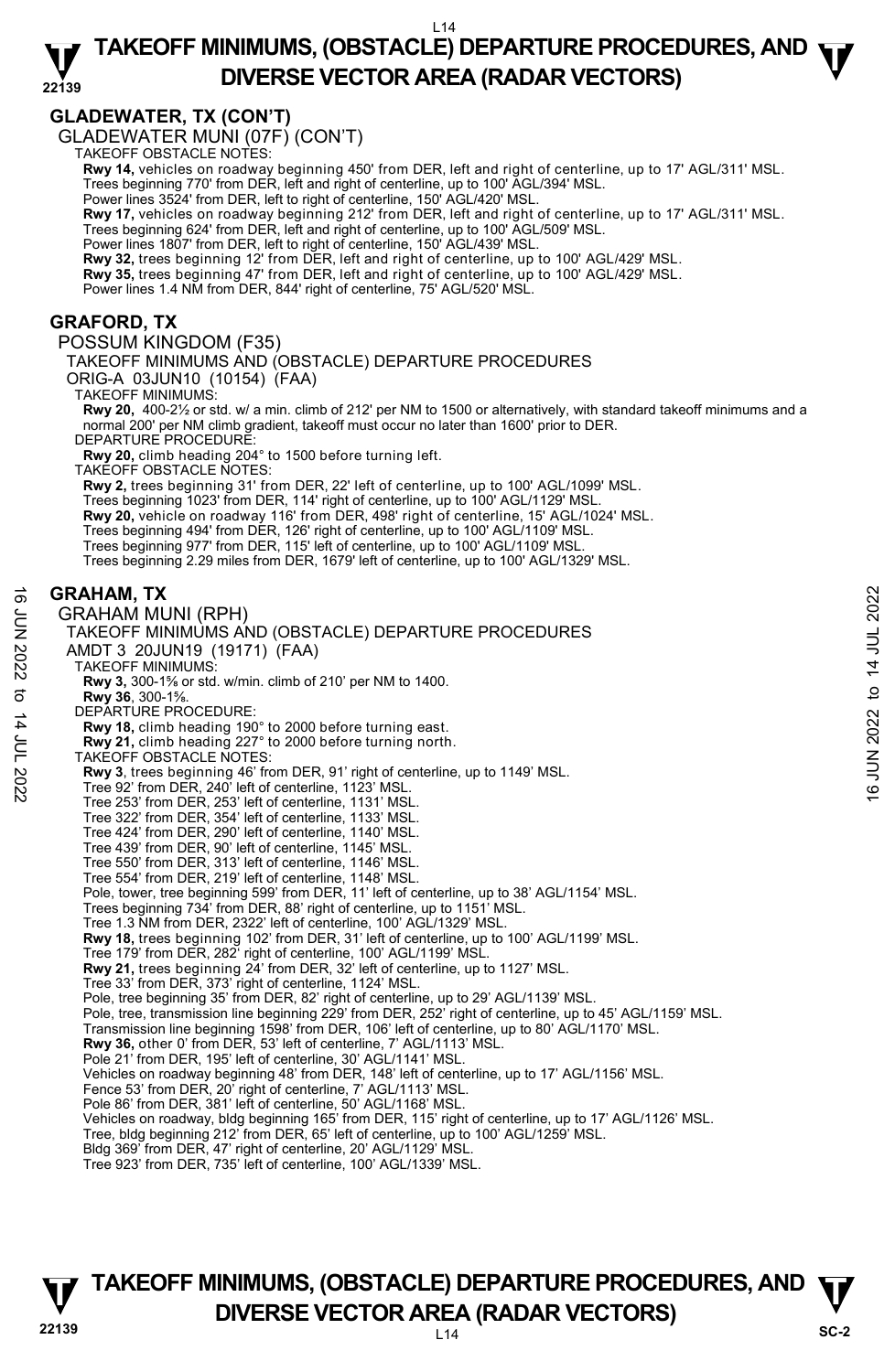#### **22139 TAKEOFF MINIMUMS, (OBSTACLE) DEPARTURE PROCEDURES, AND**  $\Psi$ **DIVERSE VECTOR AREA (RADAR VECTORS)**

#### **GLADEWATER, TX (CON'T)**

GLADEWATER MUNI (07F) (CON'T) TAKEOFF OBSTACLE NOTES:

**Rwy 14,** vehicles on roadway beginning 450' from DER, left and right of centerline, up to 17' AGL/311' MSL.

Trees beginning 770' from DER, left and right of centerline, up to 100' AGL/394' MSL. Power lines 3524' from DER, left to right of centerline, 150' AGL/420' MSL.

**Rwy 17,** vehicles on roadway beginning 212' from DER, left and right of centerline, up to 17' AGL/311' MSL.

Trees beginning 624' from DER, left and right of centerline, up to 100' AGL/509' MSL. Power lines 1807' from DER, left to right of centerline, 150' AGL/439' MSL.

**Rwy 32,** trees beginning 12' from DER, left and right of centerline, up to 100' AGL/429' MSL. **Rwy 35,** trees beginning 47' from DER, left and right of centerline, up to 100' AGL/429' MSL.

Power lines 1.4 NM from DER, 844' right of centerline, 75' AGL/520' MSL.

#### **GRAFORD, TX**

POSSUM KINGDOM (F35)

TAKEOFF MINIMUMS AND (OBSTACLE) DEPARTURE PROCEDURES

ORIG-A 03JUN10 (10154) (FAA)

TAKEOFF MINIMUMS:

**Rwy 20,** 400-2½ or std. w/ a min. climb of 212' per NM to 1500 or alternatively, with standard takeoff minimums and a normal 200' per NM climb gradient, takeoff must occur no later than 1600' prior to DER. DEPARTURE PROCEDURE:

**Rwy 20,** climb heading 204° to 1500 before turning left. TAKEOFF OBSTACLE NOTES:

**Rwy 2,** trees beginning 31' from DER, 22' left of centerline, up to 100' AGL/1099' MSL. Trees beginning 1023' from DER, 114' right of centerline, up to 100' AGL/1129' MSL. **Rwy 20,** vehicle on roadway 116' from DER, 498' right of centerline, 15' AGL/1024' MSL. Trees beginning 494' from DER, 126' right of centerline, up to 100' AGL/1109' MSL. Trees beginning 977' from DER, 115' left of centerline, up to 100' AGL/1109' MSL.

Trees beginning 2.29 miles from DER, 1679' left of centerline, up to 100' AGL/1329' MSL.

#### **GRAHAM, TX**

GRAHAM MUNI (RPH) TAKEOFF MINIMUMS AND (OBSTACLE) DEPARTURE PROCEDURES AMDT 3 20JUN19 (19171) (FAA) TAKEOFF MINIMUMS: **Rwy 3,** 300-1⅝ or std. w/min. climb of 210' per NM to 1400. **Rwy 36**, 300-1⅝. DEPARTURE PROCEDURE: **Rwy 18,** climb heading 190° to 2000 before turning east. **Rwy 21,** climb heading 227° to 2000 before turning north. TAKEOFF OBSTACLE NOTES: **Rwy 3**, trees beginning 46' from DER, 91' right of centerline, up to 1149' MSL.<br>Tree 92' from DER, 240' left of centerline, 1123' MSL. Tree 253' from DER, 253' left of centerline, 1131' MSL. Tree 322' from DER, 354' left of centerline, 1133' MSL. Tree 424' from DER, 290' left of centerline, 1140' MSL. Tree 439' from DER, 90' left of centerline, 1145' MSL. Tree 550' from DER, 313' left of centerline, 1146' MSL. Tree 554' from DER, 219' left of centerline, 1148' MSL. Pole, tower, tree beginning 599' from DER, 11' left of centerline, up to 38' AGL/1154' MSL. Trees beginning 734' from DER, 88' right of centerline, up to 1151' MSL. Tree 1.3 NM from DER, 2322' left of centerline, 100' AGL/1329' MSL. **Rwy 18,** trees beginning 102' from DER, 31' left of centerline, up to 100' AGL/1199' MSL. Tree 179' from DER, 282' right of centerline, 100' AGL/1199' MSL. **Rwy 21,** trees beginning 24' from DER, 32' left of centerline, up to 1127' MSL. Tree 33' from DER, 373' right of centerline, 1124' MSL. Pole, tree beginning 35' from DER, 82' right of centerline, up to 29' AGL/1139' MSL. Pole, tree, transmission line beginning 229' from DER, 252' right of centerline, up to 45' AGL/1159' MSL. Transmission line beginning 1598' from DER, 106' left of centerline, up to 80' AGL/1170' MSL. **Rwy 36,** other 0' from DER, 53' left of centerline, 7' AGL/1113' MSL. Pole 21' from DER, 195' left of centerline, 30' AGL/1141' MSL. Vehicles on roadway beginning 48' from DER, 148' left of centerline, up to 17' AGL/1156' MSL. Fence 53' from DER, 20' right of centerline, 7' AGL/1113' MSL. Pole 86' from DER, 381' left of centerline, 50' AGL/1168' MSL. Vehicles on roadway, bldg beginning 165' from DER, 115' right of centerline, up to 17' AGL/1126' MSL. Tree, bldg beginning 212' from DER, 65' left of centerline, up to 100' AGL/1259' MSL. Bldg 369' from DER, 47' right of centerline, 20' AGL/1129' MSL. Tree 923' from DER, 735' left of centerline, 100' AGL/1339' MSL. **GRAHAM, TX**<br>  $\frac{1}{2}$  GRAHAM MUNI (RPH)<br>
TAKEOFF MINIMUMS AND (OBSTACLE) DEPARTURE PROCEDURES<br>
AMDT 3 20JUN19 (19171) (FAA)<br>
TAKEOFF MINIMUMS:<br>
TAKEOFF MINIMUMS:<br> **EVARY 3.** 300-1%.<br> **EVARY 3.** 300-1%.<br> **EVARY 3.** 300-1

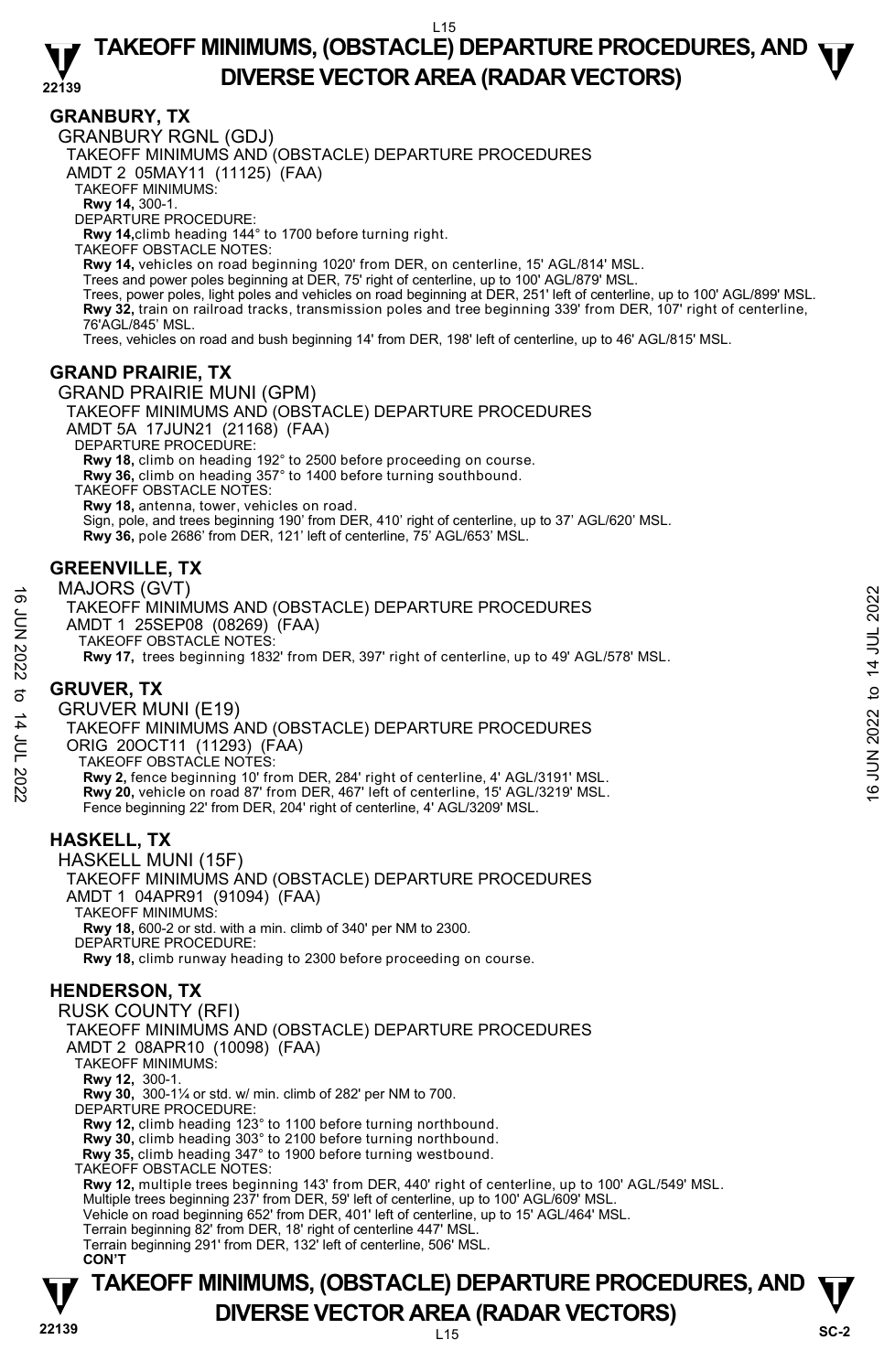#### **GRANBURY, TX**

GRANBURY RGNL (GDJ)

TAKEOFF MINIMUMS AND (OBSTACLE) DEPARTURE PROCEDURES

AMDT 2 05MAY11 (11125) (FAA)

TAKEOFF MINIMUMS:

**Rwy 14,** 300-1. DEPARTURE PROCEDURE:

**Rwy 14,**climb heading 144° to 1700 before turning right.

TAKEOFF OBSTACLE NOTES:

**Rwy 14,** vehicles on road beginning 1020' from DER, on centerline, 15' AGL/814' MSL.<br>Trees and power poles beginning at DER, 75' right of centerline, up to 100' AGL/879' MSL.

Trees, power poles, light poles and vehicles on road beginning at DER, 251' left of centerline, up to 100' AGL/899' MSL. **Rwy 32,** train on railroad tracks, transmission poles and tree beginning 339' from DER, 107' right of centerline,<br>76'AGL/845' MSL.

Trees, vehicles on road and bush beginning 14' from DER, 198' left of centerline, up to 46' AGL/815' MSL.

#### **GRAND PRAIRIE, TX**

GRAND PRAIRIE MUNI (GPM) TAKEOFF MINIMUMS AND (OBSTACLE) DEPARTURE PROCEDURES AMDT 5A 17JUN21 (21168) (FAA) DEPARTURE PROCEDURE: **Rwy 18,** climb on heading 192° to 2500 before proceeding on course. **Rwy 36,** climb on heading 357° to 1400 before turning southbound. TAKEOFF OBSTACLE NOTES: **Rwy 18,** antenna, tower, vehicles on road.

Sign, pole, and trees beginning 190' from DER, 410' right of centerline, up to 37' AGL/620' MSL.  **Rwy 36,** pole 2686' from DER, 121' left of centerline, 75' AGL/653' MSL.

#### **GREENVILLE, TX**

MAJORS (GVT) TAKEOFF MINIMUMS AND (OBSTACLE) DEPARTURE PROCEDURES AMDT 1 25SEP08 (08269) (FAA) TAKEOFF OBSTACLE NOTES: **Rwy 17,** trees beginning 1832' from DER, 397' right of centerline, up to 49' AGL/578' MSL.

### **GRUVER, TX**

GRUVER MUNI (E19) TAKEOFF MINIMUMS AND (OBSTACLE) DEPARTURE PROCEDURES ORIG 20OCT11 (11293) (FAA) TAKEOFF OBSTACLE NOTES: **Rwy 2,** fence beginning 10' from DER, 284' right of centerline, 4' AGL/3191' MSL. **Rwy 20,** vehicle on road 87' from DER, 467' left of centerline, 15' AGL/3219' MSL. Fence beginning 22' from DER, 204' right of centerline, 4' AGL/3209' MSL. TAKE OFF MINIMUMS AND (OBSTACLE) DEPARTURE PROCEDURES<br>
TAKEOFF MINIMUMS AND (OBSTACLE) DEPARTURE PROCEDURES<br>
AMDT 1 25SEP08 (08269) (FAA)<br>
TAKEOFF OBSTACLE NOTES:<br>
Rwy 17, tres beginning 1832' from DER, 397' right of cent

#### **HASKELL, TX**

HASKELL MUNI (15F) TAKEOFF MINIMUMS AND (OBSTACLE) DEPARTURE PROCEDURES AMDT 1 04APR91 (91094) (FAA) TAKEOFF MINIMUMS: **Rwy 18,** 600-2 or std. with a min. climb of 340' per NM to 2300. DEPARTURE PROCEDURE: **Rwy 18,** climb runway heading to 2300 before proceeding on course.

#### **HENDERSON, TX**

**TAKEOFF MINIMUMS, (OBSTACLE) DEPARTURE PROCEDURES, AND**  $\Psi$ **DIVERSE VECTOR AREA (RADAR VECTORS)** SC-2 RUSK COUNTY (RFI) TAKEOFF MINIMUMS AND (OBSTACLE) DEPARTURE PROCEDURES AMDT 2 08APR10 (10098) (FAA) TAKEOFF MINIMUMS: **Rwy 12,** 300-1. **Rwy 30,** 300-1¼ or std. w/ min. climb of 282' per NM to 700. DEPARTURE PROCEDURE: **Rwy 12,** climb heading 123° to 1100 before turning northbound. **Rwy 30,** climb heading 303° to 2100 before turning northbound.  **Rwy 35,** climb heading 347° to 1900 before turning westbound. TAKEOFF OBSTACLE NOTES: **Rwy 12,** multiple trees beginning 143' from DER, 440' right of centerline, up to 100' AGL/549' MSL.<br>Multiple trees beginning 237' from DER, 59' left of centerline, up to 100' AGL/609' MSL. Vehicle on road beginning 652' from DER, 401' left of centerline, up to 15' AGL/464' MSL. Terrain beginning 82' from DER, 18' right of centerline 447' MSL. Terrain beginning 291' from DER, 132' left of centerline, 506' MSL. **CON'T**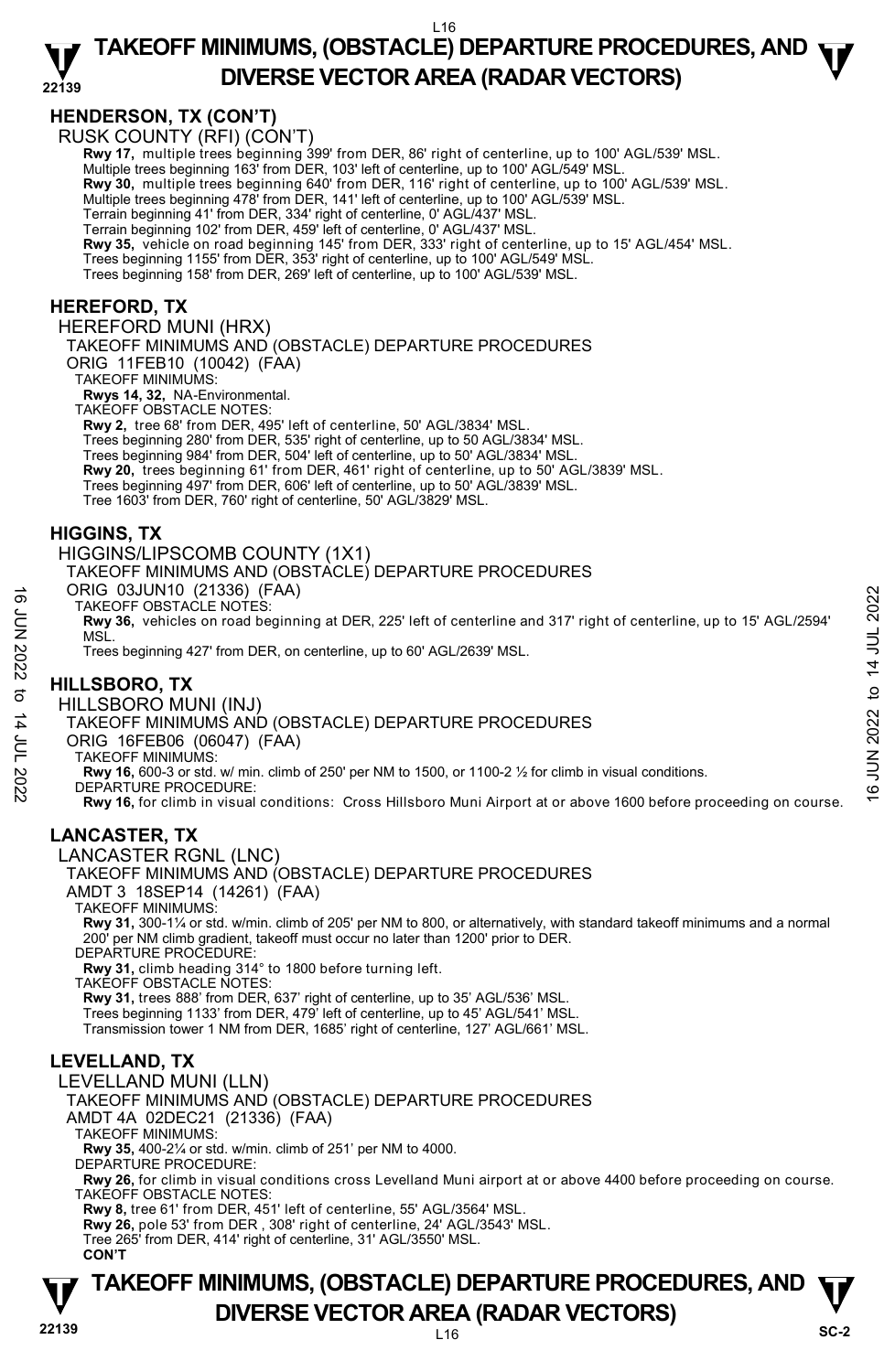#### **HENDERSON, TX (CON'T)**

RUSK COUNTY (RFI) (CON'T)

**Rwy 17,** multiple trees beginning 399' from DER, 86' right of centerline, up to 100' AGL/539' MSL. <br>Multiple trees beginning 163' from DER, 103' left of centerline, up to 100' AGL/549' MSL.

**Rwy 30,** multiple trees beginning 640' from DER, 116' right of centerline, up to 100' AGL/539' MSL.

Multiple trees beginning 478' from DER, 141' left of centerline, up to 100' AGL/539' MSL.

Terrain beginning 41' from DER, 334' right of centerline, 0' AGL/437' MSL. Terrain beginning 102' from DER, 459' left of centerline, 0' AGL/437' MSL.

**Rwy 35,** vehicle on road beginning 145' from DER, 333' right of centerline, up to 15' AGL/454' MSL.

Trees beginning 1155' from DER, 353' right of centerline, up to 100' AGL/549' MSL.

Trees beginning 158' from DER, 269' left of centerline, up to 100' AGL/539' MSL.

#### **HEREFORD, TX**

HEREFORD MUNI (HRX)

TAKEOFF MINIMUMS AND (OBSTACLE) DEPARTURE PROCEDURES

ORIG 11FEB10 (10042) (FAA)

TAKEOFF MINIMUMS:

**Rwys 14, 32,** NA-Environmental. TAKEOFF OBSTACLE NOTES:

**Rwy 2,** tree 68' from DER, 495' left of centerline, 50' AGL/3834' MSL.

Trees beginning 280' from DER, 535' right of centerline, up to 50 AGL/3834' MSL.

Trees beginning 984' from DER, 504' left of centerline, up to 50' AGL/3834' MSL.

**Rwy 20,** trees beginning 61' from DER, 461' right of centerline, up to 50' AGL/3839' MSL.

Trees beginning 497' from DER, 606' left of centerline, up to 50' AGL/3839' MSL.

Tree 1603' from DER, 760' right of centerline, 50' AGL/3829' MSL.

#### **HIGGINS, TX**

HIGGINS/LIPSCOMB COUNTY (1X1)

TAKEOFF MINIMUMS AND (OBSTACLE) DEPARTURE PROCEDURES

ORIG 03JUN10 (21336) (FAA)

TAKEOFF OBSTACLE NOTES:

**Rwy 36,** vehicles on road beginning at DER, 225' left of centerline and 317' right of centerline, up to 15' AGL/2594' MSL. TAKEOFF OBSTACLE NOTES:<br>
TAKEOFF OBSTACLE NOTES:<br> **EVALUATION**<br>
MSL.<br>
MSL.<br>
MSL.<br>
MELLSBORO, TX<br>
HILLSBORO, TX<br>
HILLSBORO, TX<br>
HILLSBORO MUNI (INJ)<br>
TAKEOFF MINIMUMS AND (OBSTACLE) DEPARTURE PROCEDURES<br>
ORIG 16FEB06 (0604

Trees beginning 427' from DER, on centerline, up to 60' AGL/2639' MSL.

#### **HILLSBORO, TX**

HILLSBORO MUNI (INJ)

TAKEOFF MINIMUMS AND (OBSTACLE) DEPARTURE PROCEDURES

ORIG 16FEB06 (06047) (FAA)

TAKEOFF MINIMUMS:

**Rwy 16,** 600-3 or std. w/ min. climb of 250' per NM to 1500, or 1100-2 ½ for climb in visual conditions.

DEPARTURE PROCEDURE:

**Rwy 16,** for climb in visual conditions: Cross Hillsboro Muni Airport at or above 1600 before proceeding on course.

#### **LANCASTER, TX**

LANCASTER RGNL (LNC)

TAKEOFF MINIMUMS AND (OBSTACLE) DEPARTURE PROCEDURES AMDT 3 18SEP14 (14261) (FAA)

TAKEOFF MINIMUMS:

**Rwy 31,** 300-1¼ or std. w/min. climb of 205' per NM to 800, or alternatively, with standard takeoff minimums and a normal 200' per NM climb gradient, takeoff must occur no later than 1200' prior to DER. DEPARTURE PROCEDURE:

**Rwy 31,** climb heading 314° to 1800 before turning left.

TAKEOFF OBSTACLE NOTES:

**Rwy 31,** trees 888' from DER, 637' right of centerline, up to 35' AGL/536' MSL.

Trees beginning 1133' from DER, 479' left of centerline, up to 45' AGL/541' MSL.

Transmission tower 1 NM from DER, 1685' right of centerline, 127' AGL/661' MSL.

#### **LEVELLAND, TX**

LEVELLAND MUNI (LLN) TAKEOFF MINIMUMS AND (OBSTACLE) DEPARTURE PROCEDURES AMDT 4A 02DEC21 (21336) (FAA) TAKEOFF MINIMUMS: **Rwy 35,** 400-2¼ or std. w/min. climb of 251' per NM to 4000. DEPARTURE PROCEDURE: **Rwy 26,** for climb in visual conditions cross Levelland Muni airport at or above 4400 before proceeding on course. TAKEOFF OBSTACLE NOTES:

**Rwy 8,** tree 61' from DER, 451' left of centerline, 55' AGL/3564' MSL.

**Rwy 26,** pole 53' from DER , 308' right of centerline, 24' AGL/3543' MSL.

Tree 265' from DER, 414' right of centerline, 31' AGL/3550' MSL. **CON'T** 

**TAKEOFF MINIMUMS, (OBSTACLE) DEPARTURE PROCEDURES, AND**  $\Psi$ **DIVERSE VECTOR AREA (RADAR VECTORS)** SC-2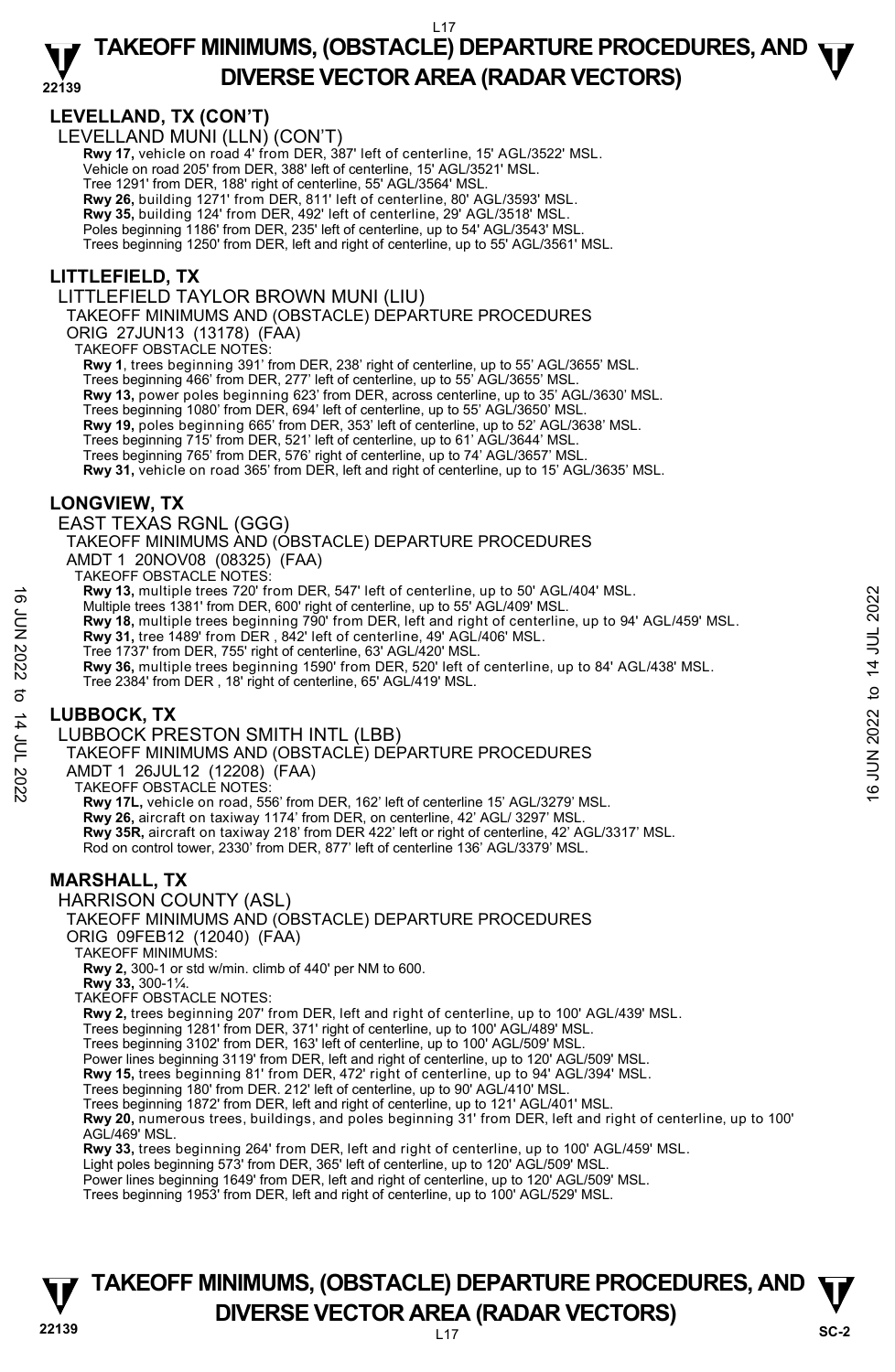#### **LEVELLAND, TX (CON'T)**

LEVELLAND MUNI (LLN) (CON'T)

**Rwy 17,** vehicle on road 4' from DER, 387' left of centerline, 15' AGL/3522' MSL. Vehicle on road 205' from DER, 388' left of centerline, 15' AGL/3521' MSL. Tree 1291' from DER, 188' right of centerline, 55' AGL/3564' MSL. **Rwy 26,** building 1271' from DER, 811' left of centerline, 80' AGL/3593' MSL.

**Rwy 35,** building 124' from DER, 492' left of centerline, 29' AGL/3518' MSL.

Poles beginning 1186' from DER, 235' left of centerline, up to 54' AGL/3543' MSL.

Trees beginning 1250' from DER, left and right of centerline, up to 55' AGL/3561' MSL.

#### **LITTLEFIELD, TX**

LITTLEFIELD TAYLOR BROWN MUNI (LIU)

TAKEOFF MINIMUMS AND (OBSTACLE) DEPARTURE PROCEDURES

ORIG 27JUN13 (13178) (FAA)

TAKEOFF OBSTACLE NOTES:

**Rwy 1**, trees beginning 391' from DER, 238' right of centerline, up to 55' AGL/3655' MSL.

Trees beginning 466' from DER, 277' left of centerline, up to 55' AGL/3655' MSL. **Rwy 13,** power poles beginning 623' from DER, across centerline, up to 35' AGL/3630' MSL. Trees beginning 1080' from DER, 694' left of centerline, up to 55' AGL/3650' MSL. **Rwy 19,** poles beginning 665' from DER, 353' left of centerline, up to 52' AGL/3638' MSL. Trees beginning 715' from DER, 521' left of centerline, up to 61' AGL/3644' MSL. Trees beginning 765' from DER, 576' right of centerline, up to 74' AGL/3657' MSL. **Rwy 31,** vehicle on road 365' from DER, left and right of centerline, up to 15' AGL/3635' MSL.

#### **LONGVIEW, TX**

EAST TEXAS RGNL (GGG)

TAKEOFF MINIMUMS AND (OBSTACLE) DEPARTURE PROCEDURES

AMDT 1 20NOV08 (08325) (FAA)

TAKEOFF OBSTACLE NOTES:

**Rwy 13,** multiple trees 720' from DER, 547' left of centerline, up to 50' AGL/404' MSL.

Multiple trees 1381' from DER, 600' right of centerline, up to 55' AGL/409' MSL.

**Rwy 18,** multiple trees beginning 790' from DER, left and right of centerline, up to 94' AGL/459' MSL.<br>**Rwy 31,** tree 1489' from DER , 842' left of centerline, 49' AGL/406' MSL.

Tree 1737' from DER, 755' right of centerline, 63' AGL/420' MSL.

**Rwy 36,** multiple trees beginning 1590' from DER, 520' left of centerline, up to 84' AGL/438' MSL. Tree 2384' from DER , 18' right of centerline, 65' AGL/419' MSL. **EVALUAT SET THE SET AND THE SET AND UNITELY AND THE SET AND THE SET AND THE SET AND THE SET AND THE SET AND THE SET AND THE SET AND THE SET AND THE SET AND THE SET AND THE SET AND THE SET AND THE SET AND THE SET ON THE** 

#### **LUBBOCK, TX**

LUBBOCK PRESTON SMITH INTL (LBB)

TAKEOFF MINIMUMS AND (OBSTACLE) DEPARTURE PROCEDURES

AMDT 1 26JUL12 (12208) (FAA)

TAKEOFF OBSTACLE NOTES:

**Rwy 17L,** vehicle on road, 556' from DER, 162' left of centerline 15' AGL/3279' MSL. **Rwy 26,** aircraft on taxiway 1174' from DER, on centerline, 42' AGL/ 3297' MSL. **Rwy 35R,** aircraft on taxiway 218' from DER 422' left or right of centerline, 42' AGL/3317' MSL. Rod on control tower, 2330' from DER, 877' left of centerline 136' AGL/3379' MSL.

#### **MARSHALL, TX**

HARRISON COUNTY (ASL)

#### TAKEOFF MINIMUMS AND (OBSTACLE) DEPARTURE PROCEDURES

ORIG 09FEB12 (12040) (FAA)

TAKEOFF MINIMUMS:

**Rwy 2,** 300-1 or std w/min. climb of 440' per NM to 600.

**Rwy 33,** 300-1¼.

TAKEOFF OBSTACLE NOTES:

**Rwy 2,** trees beginning 207' from DER, left and right of centerline, up to 100' AGL/439' MSL.

Trees beginning 1281' from DER, 371' right of centerline, up to 100' AGL/489' MSL. Trees beginning 3102' from DER, 163' left of centerline, up to 100' AGL/509' MSL.

Power lines beginning 3119' from DER, left and right of centerline, up to 120' AGL/509' MSL.

**Rwy 15,** trees beginning 81' from DER, 472' right of centerline, up to 94' AGL/394' MSL.

Trees beginning 180' from DER. 212' left of centerline, up to 90' AGL/410' MSL.

Trees beginning 1872' from DER, left and right of centerline, up to 121' AGL/401' MSL.

**Rwy 20,** numerous trees, buildings, and poles beginning 31' from DER, left and right of centerline, up to 100' AGL/469' MSL.

**Rwy 33,** trees beginning 264' from DER, left and right of centerline, up to 100' AGL/459' MSL.

Light poles beginning 573' from DER, 365' left of centerline, up to 120' AGL/509' MSL.

Power lines beginning 1649' from DER, left and right of centerline, up to 120' AGL/509' MSL. Trees beginning 1953' from DER, left and right of centerline, up to 100' AGL/529' MSL.

#### **22139** L17 **TAKEOFF MINIMUMS, (OBSTACLE) DEPARTURE PROCEDURES, AND**  $\Psi$ **DIVERSE VECTOR AREA (RADAR VECTORS)** SC-2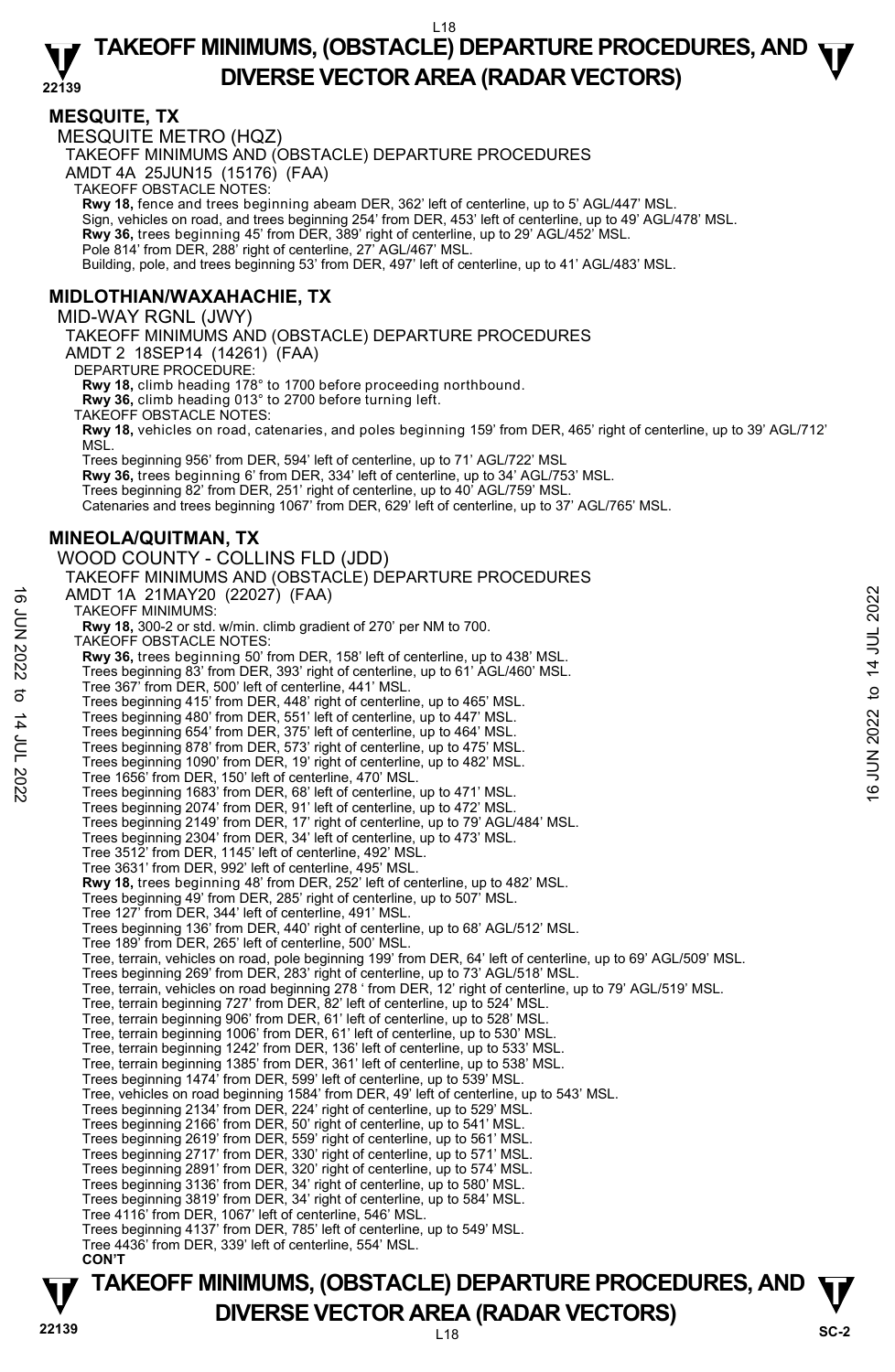#### **MESQUITE, TX**

MESQUITE METRO (HQZ) TAKEOFF MINIMUMS AND (OBSTACLE) DEPARTURE PROCEDURES AMDT 4A 25JUN15 (15176) (FAA) TAKEOFF OBSTACLE NOTES: **Rwy 18,** fence and trees beginning abeam DER, 362' left of centerline, up to 5' AGL/447' MSL. Sign, vehicles on road, and trees beginning 254' from DER, 453' left of centerline, up to 49' AGL/478' MSL. **Rwy 36,** trees beginning 45' from DER, 389' right of centerline, up to 29' AGL/452' MSL. Pole 814' from DER, 288' right of centerline, 27' AGL/467' MSL. Building, pole, and trees beginning 53' from DER, 497' left of centerline, up to 41' AGL/483' MSL. **MIDLOTHIAN/WAXAHACHIE, TX**  MID-WAY RGNL (JWY) TAKEOFF MINIMUMS AND (OBSTACLE) DEPARTURE PROCEDURES AMDT 2 18SEP14 (14261) (FAA) DEPARTURE PROCEDURE: **Rwy 18,** climb heading 178° to 1700 before proceeding northbound. **Rwy 36,** climb heading 013° to 2700 before turning left. TAKEOFF OBSTACLE NOTES: **Rwy 18,** vehicles on road, catenaries, and poles beginning 159' from DER, 465' right of centerline, up to 39' AGL/712' MSL. Trees beginning 956' from DER, 594' left of centerline, up to 71' AGL/722' MSL **Rwy 36,** trees beginning 6' from DER, 334' left of centerline, up to 34' AGL/753' MSL. Trees beginning 82' from DER, 251' right of centerline, up to 40' AGL/759' MSL. Catenaries and trees beginning 1067' from DER, 629' left of centerline, up to 37' AGL/765' MSL. **MINEOLA/QUITMAN, TX**  WOOD COUNTY - COLLINS FLD (JDD) TAKEOFF MINIMUMS AND (OBSTACLE) DEPARTURE PROCEDURES AMDT 1A 21MAY20 (22027) (FAA) TAKEOFF MINIMUMS: **Rwy 18,** 300-2 or std. w/min. climb gradient of 270' per NM to 700. TAKEOFF OBSTACLE NOTES: **Rwy 36,** trees beginning 50' from DER, 158' left of centerline, up to 438' MSL. Trees beginning 83' from DER, 393' right of centerline, up to 61' AGL/460' MSL. Tree 367' from DER, 500' left of centerline, 441' MSL. Trees beginning 415' from DER, 448' right of centerline, up to 465' MSL. Trees beginning 480' from DER, 551' left of centerline, up to 447' MSL. Trees beginning 654' from DER, 375' left of centerline, up to 464' MSL. Trees beginning 878' from DER, 573' right of centerline, up to 475' MSL. Trees beginning 1090' from DER, 19' right of centerline, up to 482' MSL. Tree 1656' from DER, 150' left of centerline, 470' MSL. Trees beginning 1683' from DER, 68' left of centerline, up to 471' MSL. Trees beginning 2074' from DER, 91' left of centerline, up to 472' MSL. Trees beginning 2149' from DER, 17' right of centerline, up to 79' AGL/484' MSL. Trees beginning 2304' from DER, 34' left of centerline, up to 473' MSL. Tree 3512' from DER, 1145' left of centerline, 492' MSL. Tree 3631' from DER, 992' left of centerline, 495' MSL. **Rwy 18,** trees beginning 48' from DER, 252' left of centerline, up to 482' MSL. Trees beginning 49' from DER, 285' right of centerline, up to 507' MSL. Tree 127' from DER, 344' left of centerline, 491' MSL. Trees beginning 136' from DER, 440' right of centerline, up to 68' AGL/512' MSL. Tree 189' from DER, 265' left of centerline, 500' MSL. Tree, terrain, vehicles on road, pole beginning 199' from DER, 64' left of centerline, up to 69' AGL/509' MSL. AMDT 1A 21MAY20 (22027) (FAA)<br>
TAKEOFF MINIMUMS:<br>
TRAW 18, 300-2 or std. w/min. climb gradient of 270' per NM to 700.<br>
TAKEOFF OBSTACLE NOTES:<br>
TAKEOFF OBSTACLE NOTES:<br>
New 36, trees beginning 83' from DER, 393' right o

- 
- Trees beginning 269' from DER, 283' right of centerline, up to 73' AGL/518' MSL.<br>Tree, terrain, vehicles on road beginning 278 ' from DER, 12' right of centerline, up to 79' AGL/519' MSL.
- Tree, terrain beginning 727' from DER, 82' left of centerline, up to 524' MSL.
- Tree, terrain beginning 906' from DER, 61' left of centerline, up to 528' MSL.
- Tree, terrain beginning 1006' from DER, 61' left of centerline, up to 530' MSL. Tree, terrain beginning 1242' from DER, 136' left of centerline, up to 533' MSL.
- 
- Tree, terrain beginning 1385' from DER, 361' left of centerline, up to 538' MSL.
- Trees beginning 1474' from DER, 599' left of centerline, up to 539' MSL. Tree, vehicles on road beginning 1584' from DER, 49' left of centerline, up to 543' MSL.
- 
- Trees beginning 2134' from DER, 224' right of centerline, up to 529' MSL.
- Trees beginning 2166' from DER, 50' right of centerline, up to 541' MSL. Trees beginning 2619' from DER, 559' right of centerline, up to 561' MSL.
- Trees beginning 2717' from DER, 330' right of centerline, up to 571' MSL.
- Trees beginning 2891' from DER, 320' right of centerline, up to 574' MSL.
- Trees beginning 3136' from DER, 34' right of centerline, up to 580' MSL.
- Trees beginning 3819' from DER, 34' right of centerline, up to 584' MSL.
- Tree 4116' from DER, 1067' left of centerline, 546' MSL.
- Trees beginning 4137' from DER, 785' left of centerline, up to 549' MSL. Tree 4436' from DER, 339' left of centerline, 554' MSL.
- **CON'T**

# **TAKEOFF MINIMUMS, (OBSTACLE) DEPARTURE PROCEDURES, AND**  $\Psi$ **DIVERSE VECTOR AREA (RADAR VECTORS)** SC-2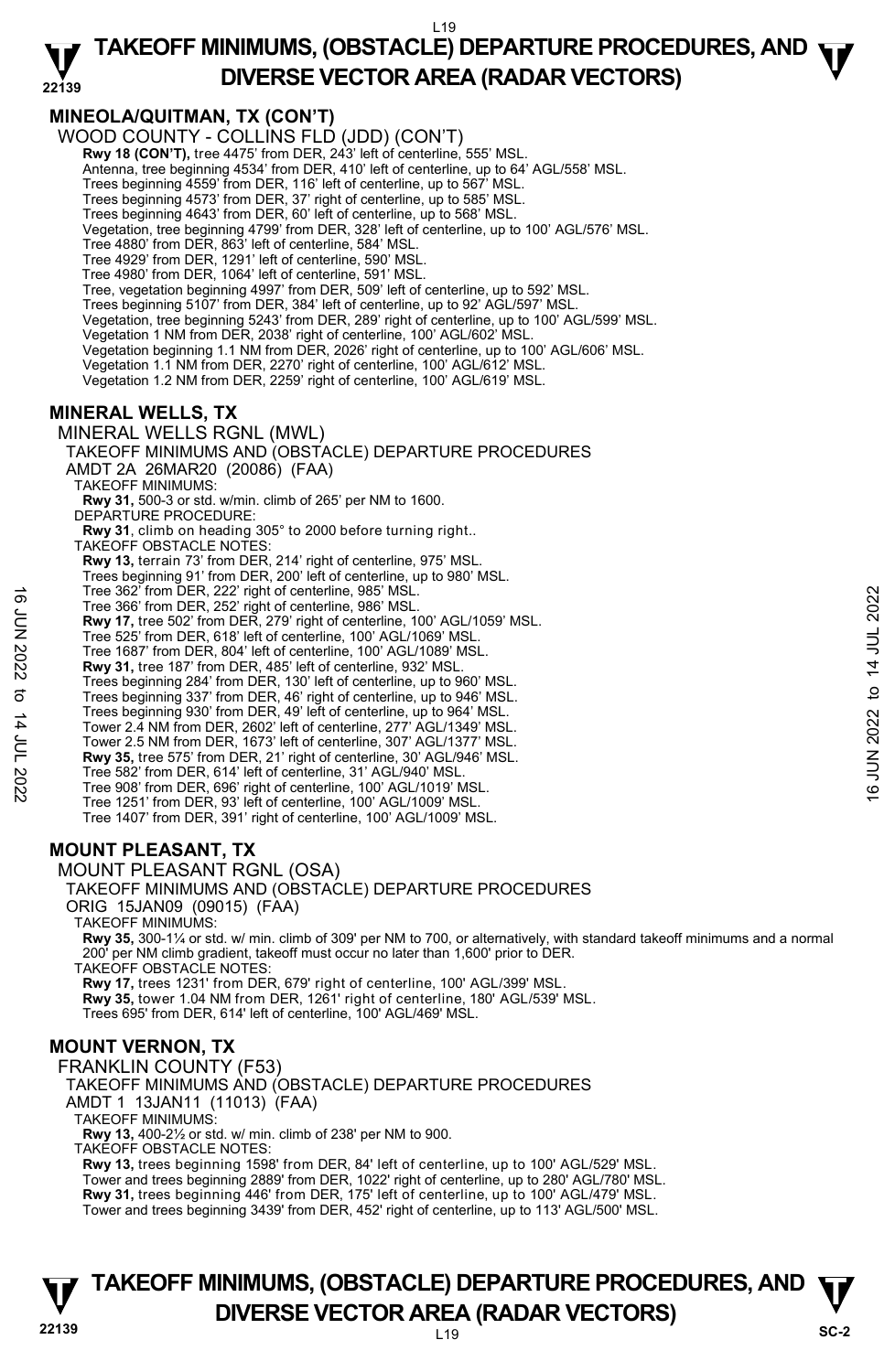#### **22139 TAKEOFF MINIMUMS, (OBSTACLE) DEPARTURE PROCEDURES, AND**  $\Psi$ **DIVERSE VECTOR AREA (RADAR VECTORS)**

#### **MINEOLA/QUITMAN, TX (CON'T)**

WOOD COUNTY - COLLINS FLD (JDD) (CON'T) **Rwy 18 (CON'T),** tree 4475' from DER, 243' left of centerline, 555' MSL. Antenna, tree beginning 4534' from DER, 410' left of centerline, up to 64' AGL/558' MSL. Trees beginning 4559' from DER, 116' left of centerline, up to 567' MSL. Trees beginning 4573' from DER, 37' right of centerline, up to 585' MSL. Trees beginning 4643' from DER, 60' left of centerline, up to 568' MSL. Vegetation, tree beginning 4799' from DER, 328' left of centerline, up to 100' AGL/576' MSL. Tree 4880' from DER, 863' left of centerline, 584' MSL. Tree 4929' from DER, 1291' left of centerline, 590' MSL. Tree 4980' from DER, 1064' left of centerline, 591' MSL. Tree, vegetation beginning 4997' from DER, 509' left of centerline, up to 592' MSL. Trees beginning 5107' from DER, 384' left of centerline, up to 92' AGL/597' MSL. Vegetation, tree beginning 5243' from DER, 289' right of centerline, up to 100' AGL/599' MSL. Vegetation 1 NM from DER, 2038' right of centerline, 100' AGL/602' MSL. Vegetation beginning 1.1 NM from DER, 2026' right of centerline, up to 100' AGL/606' MSL. Vegetation 1.1 NM from DER, 2270' right of centerline, 100' AGL/612' MSL. Vegetation 1.2 NM from DER, 2259' right of centerline, 100' AGL/619' MSL. TAKEOFF MINIMUMS AND (OBSTACLE) DEPARTURE PROCEDURES

#### **MINERAL WELLS, TX**

#### MINERAL WELLS RGNL (MWL)

AMDT 2A 26MAR20 (20086) (FAA) TAKEOFF MINIMUMS: **Rwy 31,** 500-3 or std. w/min. climb of 265' per NM to 1600. DEPARTURE PROCEDURE: **Rwy 31**, climb on heading 305° to 2000 before turning right.. TAKEOFF OBSTACLE NOTES: **Rwy 13,** terrain 73' from DER, 214' right of centerline, 975' MSL. Trees beginning 91' from DER, 200' left of centerline, up to 980' MSL. Tree 362' from DER, 222' right of centerline, 985' MSL. Tree 366' from DER, 252' right of centerline, 986' MSL. Tree 368' from DER, 222' right of centerline, 986' MSL.<br>
The 366' from DER, 252' right of centerline, 100' AGL/1059' MSL.<br>
Tree 525' from DER, 818' left of centerline, 100' AGL/1089' MSL.<br>
Tree 526' from DER, 804' left of

- **Rwy 17,** tree 502' from DER, 279' right of centerline, 100' AGL/1059' MSL.
- Tree 525' from DER, 618' left of centerline, 100' AGL/1069' MSL.
- Tree 1687' from DER, 804' left of centerline, 100' AGL/1089' MSL.
- **Rwy 31,** tree 187' from DER, 485' left of centerline, 932' MSL. Trees beginning 284' from DER, 130' left of centerline, up to 960' MSL.
- Trees beginning 337' from DER, 46' right of centerline, up to 946' MSL.
- Trees beginning 930' from DER, 49' left of centerline, up to 964' MSL.
- 
- Tower 2.4 NM from DER, 2602' left of centerline, 277' AGL/1349' MSL. Tower 2.5 NM from DER, 1673' left of centerline, 307' AGL/1377' MSL.
- **Rwy 35,** tree 575' from DER, 21' right of centerline, 30' AGL/946' MSL.
- Tree 582' from DER, 614' left of centerline, 31' AGL/940' MSL.
- Tree 908' from DER, 696' right of centerline, 100' AGL/1019' MSL.
- Tree 1251' from DER, 93' left of centerline, 100' AGL/1009' MSL.
- Tree 1407' from DER, 391' right of centerline, 100' AGL/1009' MSL.

#### **MOUNT PLEASANT, TX**



- ORIG 15JAN09 (09015) (FAA)
- TAKEOFF MINIMUMS:

**Rwy 35,** 300-1¼ or std. w/ min. climb of 309' per NM to 700, or alternatively, with standard takeoff minimums and a normal 200' per NM climb gradient, takeoff must occur no later than 1,600' prior to DER. TAKEOFF OBSTACLE NOTES:

**Rwy 17,** trees 1231' from DER, 679' right of centerline, 100' AGL/399' MSL. **Rwy 35,** tower 1.04 NM from DER, 1261' right of centerline, 180' AGL/539' MSL. Trees 695' from DER, 614' left of centerline, 100' AGL/469' MSL.

#### **MOUNT VERNON, TX**

FRANKLIN COUNTY (F53) TAKEOFF MINIMUMS AND (OBSTACLE) DEPARTURE PROCEDURES AMDT 1 13JAN11 (11013) (FAA) TAKEOFF MINIMUMS: **Rwy 13,** 400-2½ or std. w/ min. climb of 238' per NM to 900. TAKEOFF OBSTACLE NOTES: **Rwy 13,** trees beginning 1598' from DER, 84' left of centerline, up to 100' AGL/529' MSL. Tower and trees beginning 2889' from DER, 1022' right of centerline, up to 280' AGL/780' MSL.<br>**Rwy 31,** trees beginning 446' from DER, 175' left of centerline, up to 100' AGL/479' MSL. Tower and trees beginning 3439' from DER, 452' right of centerline, up to 113' AGL/500' MSL.

#### **22139** L19 **TAKEOFF MINIMUMS, (OBSTACLE) DEPARTURE PROCEDURES, AND**  $\Psi$ **DIVERSE VECTOR AREA (RADAR VECTORS)** SC-2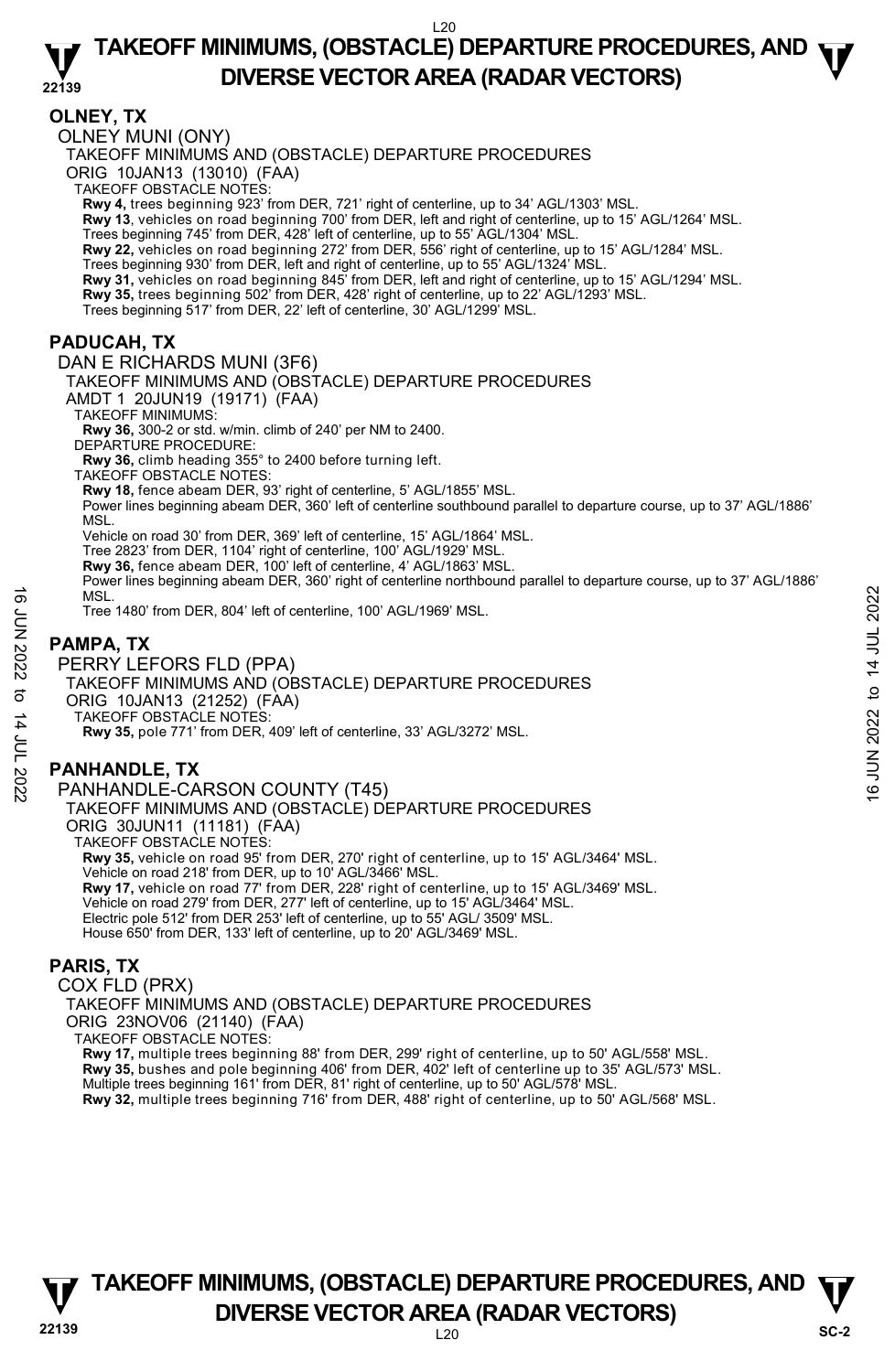#### **22139 TAKEOFF MINIMUMS, (OBSTACLE) DEPARTURE PROCEDURES, AND**  $\Psi$ **DIVERSE VECTOR AREA (RADAR VECTORS)**

#### **OLNEY, TX**

OLNEY MUNI (ONY)

TAKEOFF MINIMUMS AND (OBSTACLE) DEPARTURE PROCEDURES

ORIG 10JAN13 (13010) (FAA) TAKEOFF OBSTACLE NOTES:

**Rwy 4,** trees beginning 923' from DER, 721' right of centerline, up to 34' AGL/1303' MSL.

**Rwy 13**, vehicles on road beginning 700' from DER, left and right of centerline, up to 15' AGL/1264' MSL.

Trees beginning 745' from DER, 428' left of centerline, up to 55' AGL/1304' MSL.

**Rwy 22,** vehicles on road beginning 272' from DER, 556' right of centerline, up to 15' AGL/1284' MSL.

Trees beginning 930' from DER, left and right of centerline, up to 55' AGL/1324' MSL.<br>**Rwy 31,** vehicles on road beginning 845' from DER, left and right of centerline, up to 15' AGL/1294' MSL.

**Rwy 35,** trees beginning 502' from DER, 428' right of centerline, up to 22' AGL/1293' MSL.

Trees beginning 517' from DER, 22' left of centerline, 30' AGL/1299' MSL.

#### **PADUCAH, TX**

DAN E RICHARDS MUNI (3F6) TAKEOFF MINIMUMS AND (OBSTACLE) DEPARTURE PROCEDURES AMDT 1 20JUN19 (19171) (FAA) TAKEOFF MINIMUMS: **Rwy 36,** 300-2 or std. w/min. climb of 240' per NM to 2400. DEPARTURE PROCEDURE: **Rwy 36,** climb heading 355° to 2400 before turning left. TAKEOFF OBSTACLE NOTES: **Rwy 18,** fence abeam DER, 93' right of centerline, 5' AGL/1855' MSL. Power lines beginning abeam DER, 360' left of centerline southbound parallel to departure course, up to 37' AGL/1886' MSL. Vehicle on road 30' from DER, 369' left of centerline, 15' AGL/1864' MSL. Tree 2823' from DER, 1104' right of centerline, 100' AGL/1929' MSL. **Rwy 36,** fence abeam DER, 100' left of centerline, 4' AGL/1863' MSL. Power lines beginning abeam DER, 360' right of centerline northbound parallel to departure course, up to 37' AGL/1886' **MSL** 

Tree 1480' from DER, 804' left of centerline, 100' AGL/1969' MSL.

#### **PAMPA, TX**

PERRY LEFORS FLD (PPA) TAKEOFF MINIMUMS AND (OBSTACLE) DEPARTURE PROCEDURES ORIG 10JAN13 (21252) (FAA) TAKEOFF OBSTACLE NOTES: **Rwy 35,** pole 771' from DER, 409' left of centerline, 33' AGL/3272' MSL. MSL.<br>
Tree 1480' from DER, 804' left of centerline, 100' AGL/1969' MSL.<br> **PAMPA, TX**<br>
PERRY LEFORS FLD (PPA)<br>
TAKEOFF MINIMUMS AND (OBSTACLE) DEPARTURE PROCEDURES<br>
ORIG 10JAN13 (21252) (FAA)<br>
TAKEOFF OBSTACLE NOTES:<br>
RW 3

#### **PANHANDLE, TX**

PANHANDLE-CARSON COUNTY (T45) TAKEOFF MINIMUMS AND (OBSTACLE) DEPARTURE PROCEDURES ORIG 30JUN11 (11181) (FAA) TAKEOFF OBSTACLE NOTES: **Rwy 35,** vehicle on road 95' from DER, 270' right of centerline, up to 15' AGL/3464' MSL. Vehicle on road 218' from DER, up to 10' AGL/3466' MSL. **Rwy 17,** vehicle on road 77' from DER, 228' right of centerline, up to 15' AGL/3469' MSL. Vehicle on road 279' from DER, 277' left of centerline, up to 15' AGL/3464' MSL. Electric pole 512' from DER 253' left of centerline, up to 55' AGL/ 3509' MSL. House 650' from DER, 133' left of centerline, up to 20' AGL/3469' MSL.

#### **PARIS, TX**

COX FLD (PRX) TAKEOFF MINIMUMS AND (OBSTACLE) DEPARTURE PROCEDURES ORIG 23NOV06 (21140) (FAA) TAKEOFF OBSTACLE NOTES: **Rwy 17,** multiple trees beginning 88' from DER, 299' right of centerline, up to 50' AGL/558' MSL. **Rwy 35,** bushes and pole beginning 406' from DER, 402' left of centerline up to 35' AGL/573' MSL. Multiple trees beginning 161' from DER, 81' right of centerline, up to 50' AGL/578' MSL. **Rwy 32,** multiple trees beginning 716' from DER, 488' right of centerline, up to 50' AGL/568' MSL.

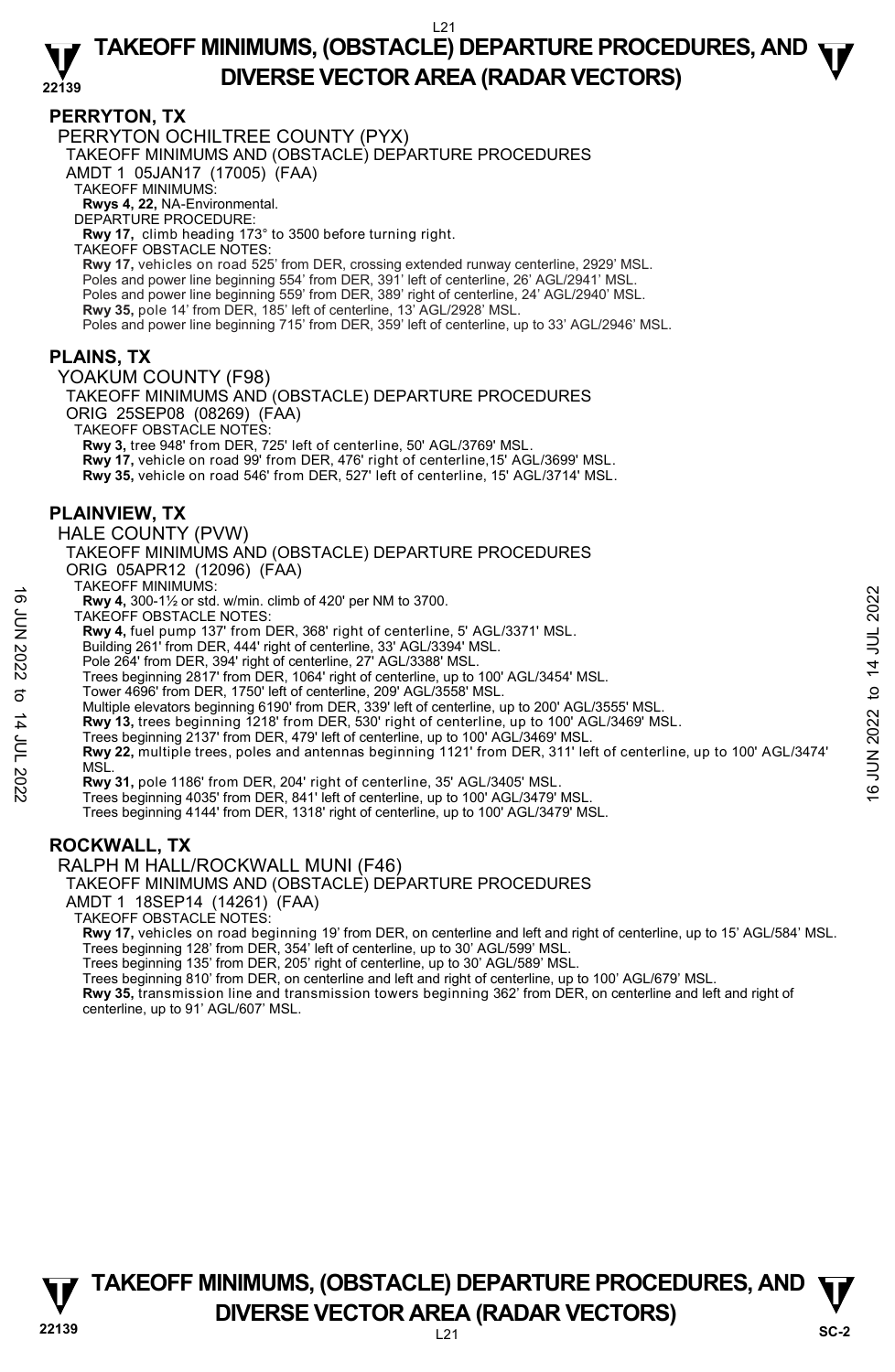#### **PERRYTON, TX**

PERRYTON OCHILTREE COUNTY (PYX)

TAKEOFF MINIMUMS AND (OBSTACLE) DEPARTURE PROCEDURES

AMDT 1 05JAN17 (17005) (FAA)

TAKEOFF MINIMUMS:

**Rwys 4, 22,** NA-Environmental. DEPARTURE PROCEDURE:

**Rwy 17,** climb heading 173° to 3500 before turning right.

TAKEOFF OBSTACLE NOTES:

**Rwy 17,** vehicles on road 525' from DER, crossing extended runway centerline, 2929' MSL.<br>Poles and power line beginning 554' from DER, 391' left of centerline, 26' AGL/2941' MSL. Poles and power line beginning 559' from DER, 389' right of centerline, 24' AGL/2940' MSL. **Rwy 35,** pole 14' from DER, 185' left of centerline, 13' AGL/2928' MSL. Poles and power line beginning 715' from DER, 359' left of centerline, up to 33' AGL/2946' MSL.

#### **PLAINS, TX**

YOAKUM COUNTY (F98)

TAKEOFF MINIMUMS AND (OBSTACLE) DEPARTURE PROCEDURES ORIG 25SEP08 (08269) (FAA)

TAKEOFF OBSTACLE NOTES:

**Rwy 3,** tree 948' from DER, 725' left of centerline, 50' AGL/3769' MSL.

**Rwy 17,** vehicle on road 99' from DER, 476' right of centerline,15' AGL/3699' MSL.

**Rwy 35,** vehicle on road 546' from DER, 527' left of centerline, 15' AGL/3714' MSL.

#### **PLAINVIEW, TX**

HALE COUNTY (PVW)

TAKEOFF MINIMUMS AND (OBSTACLE) DEPARTURE PROCEDURES ORIG 05APR12 (12096) (FAA)

TAKEOFF MINIMUMS:

**Rwy 4,** 300-1½ or std. w/min. climb of 420' per NM to 3700.

TAKEOFF OBSTACLE NOTES:

**Rwy 4,** fuel pump 137' from DER, 368' right of centerline, 5' AGL/3371' MSL.

Building 261' from DER, 444' right of centerline, 33' AGL/3394' MSL.

Pole 264' from DER, 394' right of centerline, 27' AGL/3388' MSL.

Trees beginning 2817' from DER, 1064' right of centerline, up to 100' AGL/3454' MSL. Tower 4696' from DER, 1750' left of centerline, 209' AGL/3558' MSL.

Multiple elevators beginning 6190' from DER, 339' left of centerline, up to 200' AGL/3555' MSL.

**Rwy 13,** trees beginning 1218' from DER, 530' right of centerline, up to 100' AGL/3469' MSL.<br>Trees beginning 2137' from DER, 479' left of centerline, up to 100' AGL/3469' MSL.

**Rwy 22,** multiple trees, poles and antennas beginning 1121' from DER, 311' left of centerline, up to 100' AGL/3474' **MSL** 16<br>
TAKEOT • Murvinouso.<br>
TAKEOF OBSTACLE NOTES:<br>
TAKEOF OBSTACLE NOTES:<br>
Note that pump 137' from DER, 368' right of centerline, 5' AGL/3371' MSL.<br>
Building 261' from DER, 444' right of centerline, 23' AGL/3384' MSL.<br>
P

**Rwy 31,** pole 1186' from DER, 204' right of centerline, 35' AGL/3405' MSL.

Trees beginning 4035' from DER, 841' left of centerline, up to 100' AGL/3479' MSL.

Trees beginning 4144' from DER, 1318' right of centerline, up to 100' AGL/3479' MSL.

#### **ROCKWALL, TX**

RALPH M HALL/ROCKWALL MUNI (F46)

TAKEOFF MINIMUMS AND (OBSTACLE) DEPARTURE PROCEDURES

AMDT 1 18SEP14 (14261) (FAA)

TAKEOFF OBSTACLE NOTES:

**Rwy 17,** vehicles on road beginning 19' from DER, on centerline and left and right of centerline, up to 15' AGL/584' MSL.<br>Trees beginning 128' from DER, 354' left of centerline, up to 30' AGL/599' MSL.

Trees beginning 135' from DER, 205' right of centerline, up to 30' AGL/589' MSL.

Trees beginning 810' from DER, on centerline and left and right of centerline, up to 100' AGL/679' MSL.

**Rwy 35,** transmission line and transmission towers beginning 362' from DER, on centerline and left and right of centerline, up to 91' AGL/607' MSL.

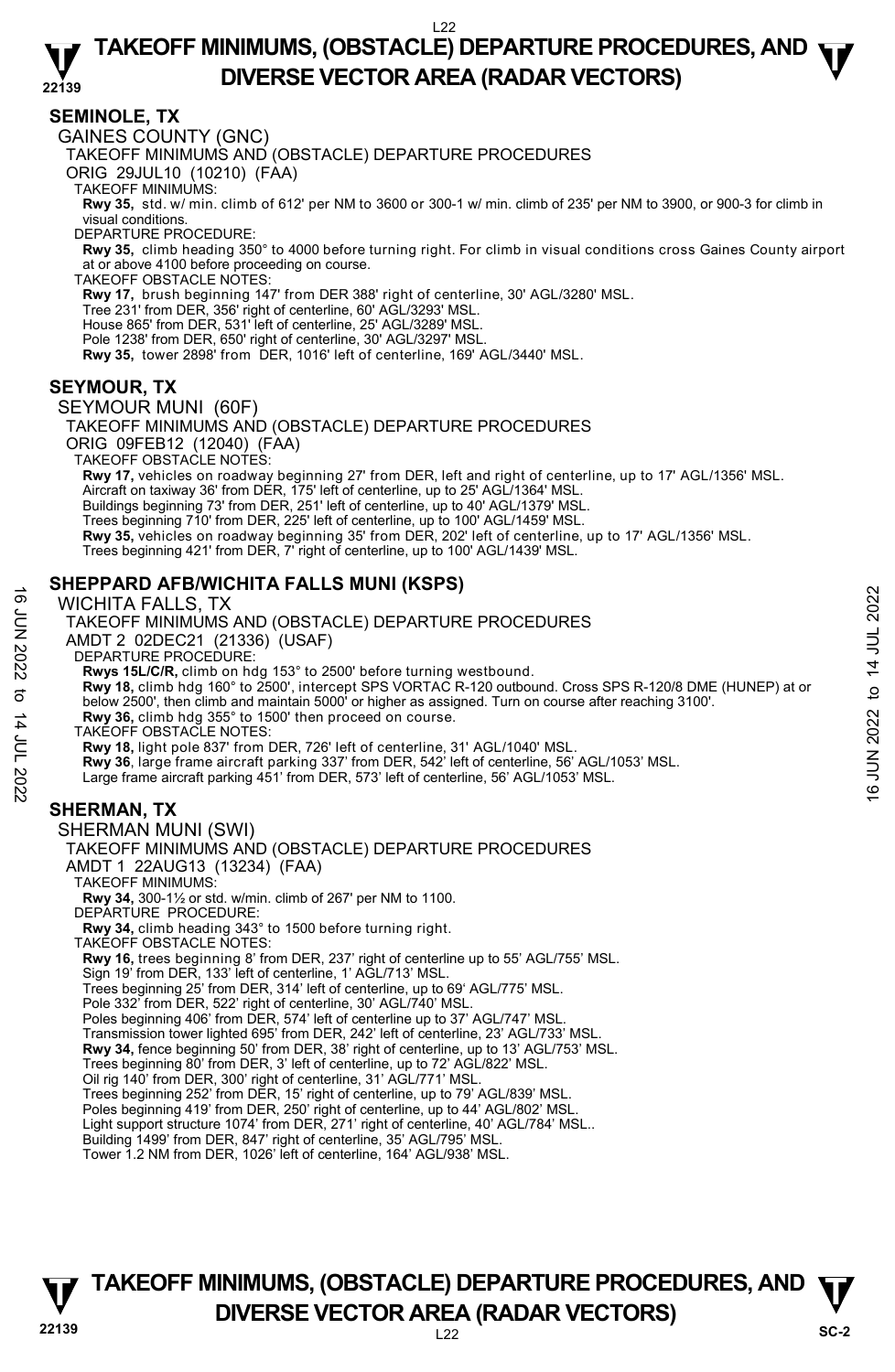#### **22139 TAKEOFF MINIMUMS, (OBSTACLE) DEPARTURE PROCEDURES, AND**  $\Psi$ **DIVERSE VECTOR AREA (RADAR VECTORS)**

#### **SEMINOLE, TX**

GAINES COUNTY (GNC)

TAKEOFF MINIMUMS AND (OBSTACLE) DEPARTURE PROCEDURES

ORIG 29JUL10 (10210) (FAA)

TAKEOFF MINIMUMS:

**Rwy 35,** std. w/ min. climb of 612' per NM to 3600 or 300-1 w/ min. climb of 235' per NM to 3900, or 900-3 for climb in visual conditions.

DEPARTURE PROCEDURE:

**Rwy 35,** climb heading 350° to 4000 before turning right. For climb in visual conditions cross Gaines County airport at or above 4100 before proceeding on course. TAKEOFF OBSTACLE NOTES:

**Rwy 17,** brush beginning 147' from DER 388' right of centerline, 30' AGL/3280' MSL.

Tree 231' from DER, 356' right of centerline, 60' AGL/3293' MSL.

House 865' from DER, 531' left of centerline, 25' AGL/3289' MSL.

Pole 1238' from DER, 650' right of centerline, 30' AGL/3297' MSL.

**Rwy 35,** tower 2898' from DER, 1016' left of centerline, 169' AGL/3440' MSL.

#### **SEYMOUR, TX**

SEYMOUR MUNI (60F)

TAKEOFF MINIMUMS AND (OBSTACLE) DEPARTURE PROCEDURES ORIG 09FEB12 (12040) (FAA) TAKEOFF OBSTACLE NOTES: **Rwy 17,** vehicles on roadway beginning 27' from DER, left and right of centerline, up to 17' AGL/1356' MSL. Aircraft on taxiway 36' from DÉR, 175' left of centerline, up to 25' AGL/1364' MSL. Buildings beginning 73' from DER, 251' left of centerline, up to 40' AGL/1379' MSL. Trees beginning 710' from DER, 225' left of centerline, up to 100' AGL/1459' MSL. **Rwy 35,** vehicles on roadway beginning 35' from DER, 202' left of centerline, up to 17' AGL/1356' MSL. Trees beginning 421' from DER, 7' right of centerline, up to 100' AGL/1439' MSL.

#### **SHEPPARD AFB/WICHITA FALLS MUNI (KSPS)**

WICHITA FALLS, TX

TAKEOFF MINIMUMS AND (OBSTACLE) DEPARTURE PROCEDURES AMDT 2 02DEC21 (21336) (USAF) DEPARTURE PROCEDURE: **Rwys 15L/C/R,** climb on hdg 153° to 2500' before turning westbound.<br>**Rwy 18,** climb hdg 160° to 2500', intercept SPS VORTAC R-120 outbound. Cross SPS R-120/8 DME (HUNEP) at or below 2500', then climb and maintain 5000' or higher as assigned. Turn on course after reaching 3100'. **Rwy 36,** climb hdg 355° to 1500' then proceed on course. TAKEOFF OBSTACLE NOTES: **Rwy 18,** light pole 837' from DER, 726' left of centerline, 31' AGL/1040' MSL. **Rwy 36**, large frame aircraft parking 337' from DER, 542' left of centerline, 56' AGL/1053' MSL. Large frame aircraft parking 451' from DER, 573' left of centerline, 56' AGL/1053' MSL. SHERMAN MUNI (SWI) TAKEOFF MINIMUMS AND (OBSTACLE) DEPARTURE PROCEDURES AMDT 1 22AUG13 (13234) (FAA) TAKEOFF MINIMUMS: **Rwy 34,** 300-1½ or std. w/min. climb of 267' per NM to 1100. DEPARTURE PROCEDURE: **Rwy 34,** climb heading 343° to 1500 before turning right. TAKEOFF OBSTACLE NOTES: **Rwy 16,** trees beginning 8' from DER, 237' right of centerline up to 55' AGL/755' MSL. Sign 19' from DER, 133' left of centerline, 1' AGL/713' MSL. Trees beginning 25' from DER, 314' left of centerline, up to 69' AGL/775' MSL. Pole 332' from DER, 522' right of centerline, 30' AGL/740' MSL. WICHITA FALLS, TX<br>
INCHITA FALLS, TX<br>
INCHITA FALLS, TX<br>
AMDIT 2 02DEC21 (21336) (USAF)<br>
DEPARTURE PROCEDURES<br>
AMDIT 2 02DEC21 (21336) (USAF)<br>
NEWS 15LC/R, climb on hdg 153° to 2500' before turning westbound.<br>
Rwy 16, clim

#### **SHERMAN, TX**

Poles beginning 406' from DER, 574' left of centerline up to 37' AGL/747' MSL.

Transmission tower lighted 695' from DER, 242' left of centerline, 23' AGL/733' MSL.<br>**Rwy 34,** fence beginning 50' from DER, 38' right of centerline, up to 13' AGL/753' MSL.

Trees beginning 80' from DER, 3' left of centerline, up to 72' AGL/822' MSL.

Oil rig 140' from DER, 300' right of centerline, 31' AGL/771' MSL.

Trees beginning 252' from DER, 15' right of centerline, up to 79' AGL/839' MSL.

Poles beginning 419' from DER, 250' right of centerline, up to 44' AGL/802' MSL. Light support structure 1074' from DER, 271' right of centerline, 40' AGL/784' MSL..

Building 1499' from DER, 847' right of centerline, 35' AGL/795' MSL. Tower 1.2 NM from DER, 1026' left of centerline, 164' AGL/938' MSL.

#### **22139** L22 **TAKEOFF MINIMUMS, (OBSTACLE) DEPARTURE PROCEDURES, AND**  $\Psi$ **DIVERSE VECTOR AREA (RADAR VECTORS)** SC-2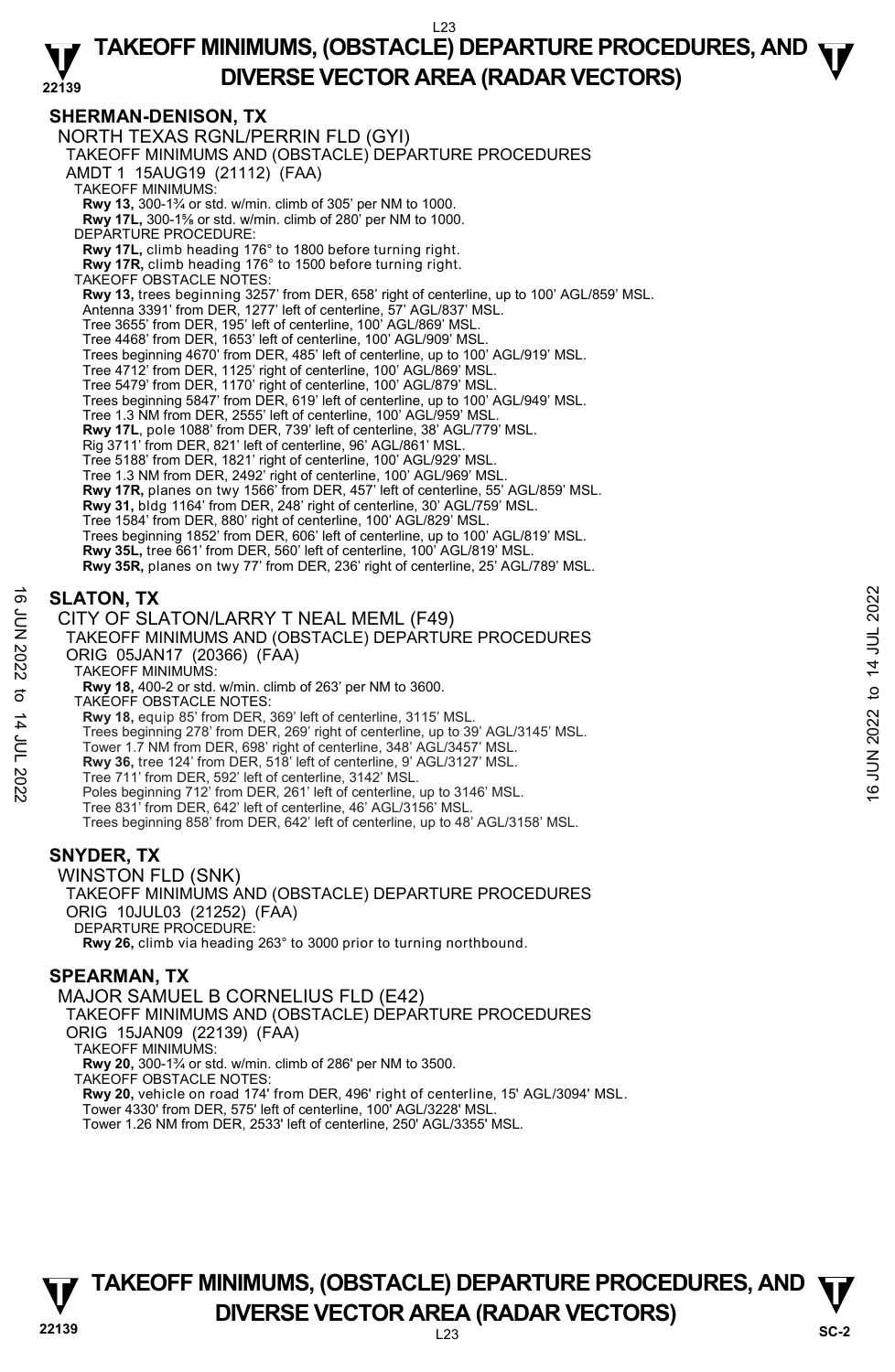#### **SHERMAN-DENISON, TX**

NORTH TEXAS RGNL/PERRIN FLD (GYI) TAKEOFF MINIMUMS AND (OBSTACLE) DEPARTURE PROCEDURES AMDT 1 15AUG19 (21112) (FAA) TAKEOFF MINIMUMS: **Rwy 13,** 300-1¾ or std. w/min. climb of 305' per NM to 1000.<br>**Rwy 17L,** 300-1⅔ or std. w/min. climb of 280' per NM to 1000. DEPARTURE PROCEDURE: **Rwy 17L,** climb heading 176° to 1800 before turning right. **Rwy 17R,** climb heading 176° to 1500 before turning right. TAKEOFF OBSTACLE NOTES: **Rwy 13,** trees beginning 3257' from DER, 658' right of centerline, up to 100' AGL/859' MSL. Antenna 3391' from DER, 1277' left of centerline, 57' AGL/837' MSL. Tree 3655' from DER, 195' left of centerline, 100' AGL/869' MSL. Tree 4468' from DER, 1653' left of centerline, 100' AGL/909' MSL. Trees beginning 4670' from DER, 485' left of centerline, up to 100' AGL/919' MSL. Tree 4712' from DER, 1125' right of centerline, 100' AGL/869' MSL. Tree 5479' from DER, 1170' right of centerline, 100' AGL/879' MSL. Trees beginning 5847' from DER, 619' left of centerline, up to 100' AGL/949' MSL. Tree 1.3 NM from DER, 2555' left of centerline, 100' AGL/959' MS **Rwy 17L**, pole 1088' from DER, 739' left of centerline, 38' AGL/779' MSL.<br>Rig 3711' from DER, 821' left of centerline, 96' AGL/861' MSL. Tree 5188' from DER, 1821' right of centerline, 100' AGL/929' MSL. Tree 1.3 NM from DER, 2492' right of centerline, 100' AGL/969' MSL. **Rwy 17R,** planes on twy 1566' from DER, 457' left of centerline, 55' AGL/859' MSL. **Rwy 31,** bldg 1164' from DER, 248' right of centerline, 30' AGL/759' MSL. Tree 1584' from DER, 880' right of centerline, 100' AGL/829' MSL. Trees beginning 1852' from DER, 606' left of centerline, up to 100' AGL/819' MSL. **Rwy 35L,** tree 661' from DER, 560' left of centerline, 100' AGL/819' MSL. **Rwy 35R,** planes on twy 77' from DER, 236' right of centerline, 25' AGL/789' MSL.

#### **SLATON, TX**

CITY OF SLATON/LARRY T NEAL MEML (F49)

# TAKEOFF MINIMUMS AND (OBSTACLE) DEPARTURE PROCEDURES ORIG 05JAN17 (20366) (FAA) **SLATON, TX**<br>
CITY OF SLATON/LARRY T NEAL MEML (F49)<br>
TAKEOFF MINIMUMS AND (OBSTACLE) DEPARTURE PROCEDURES<br>
ORIG 05JAN17 (20366) (FAA)<br>
NATE ORIG 05JAN17 (20366) (FAA)<br>
TAKEOFF MINIMUMS:<br>
TAKEOFF MINIMUMS:<br>
TAKEOFF MINIM

TAKEOFF MINIMUMS:

**Rwy 18,** 400-2 or std. w/min. climb of 263' per NM to 3600.

TAKEOFF OBSTACLE NOTES:

**Rwy 18,** equip 85' from DER, 369' left of centerline, 3115' MSL.<br>Trees beginning 278' from DER, 269' right of centerline, up to 39' AGL/3145' MSL.

- Tower 1.7 NM from DER, 698' right of centerline, 348' AGL/3457' MSL.
- **Rwy 36,** tree 124' from DER, 518' left of centerline, 9' AGL/3127' MSL.
- 
- Tree 711' from DER, 592' left of centerline, 3142' MSL. Poles beginning 712' from DER, 261' left of centerline, up to 3146' MSL.
- Tree 831' from DER, 642' left of centerline, 46' AGL/3156' MSL.

Trees beginning 858' from DER, 642' left of centerline, up to 48' AGL/3158' MSL.

#### **SNYDER, TX**

WINSTON FLD (SNK) TAKEOFF MINIMUMS AND (OBSTACLE) DEPARTURE PROCEDURES ORIG 10JUL03 (21252) (FAA) DEPARTURE PROCEDURE: **Rwy 26,** climb via heading 263° to 3000 prior to turning northbound.

#### **SPEARMAN, TX**

MAJOR SAMUEL B CORNELIUS FLD (E42) TAKEOFF MINIMUMS AND (OBSTACLE) DEPARTURE PROCEDURES ORIG 15JAN09 (22139) (FAA) TAKEOFF MINIMUMS: **Rwy 20,** 300-1¾ or std. w/min. climb of 286' per NM to 3500. TAKEOFF OBSTACLE NOTES: **Rwy 20,** vehicle on road 174' from DER, 496' right of centerline, 15' AGL/3094' MSL. Tower 4330' from DER, 575' left of centerline, 100' AGL/3228' MSL. Tower 1.26 NM from DER, 2533' left of centerline, 250' AGL/3355' MSL.

#### **22139** L23 **TAKEOFF MINIMUMS, (OBSTACLE) DEPARTURE PROCEDURES, AND**  $\Psi$ **DIVERSE VECTOR AREA (RADAR VECTORS)** SC-2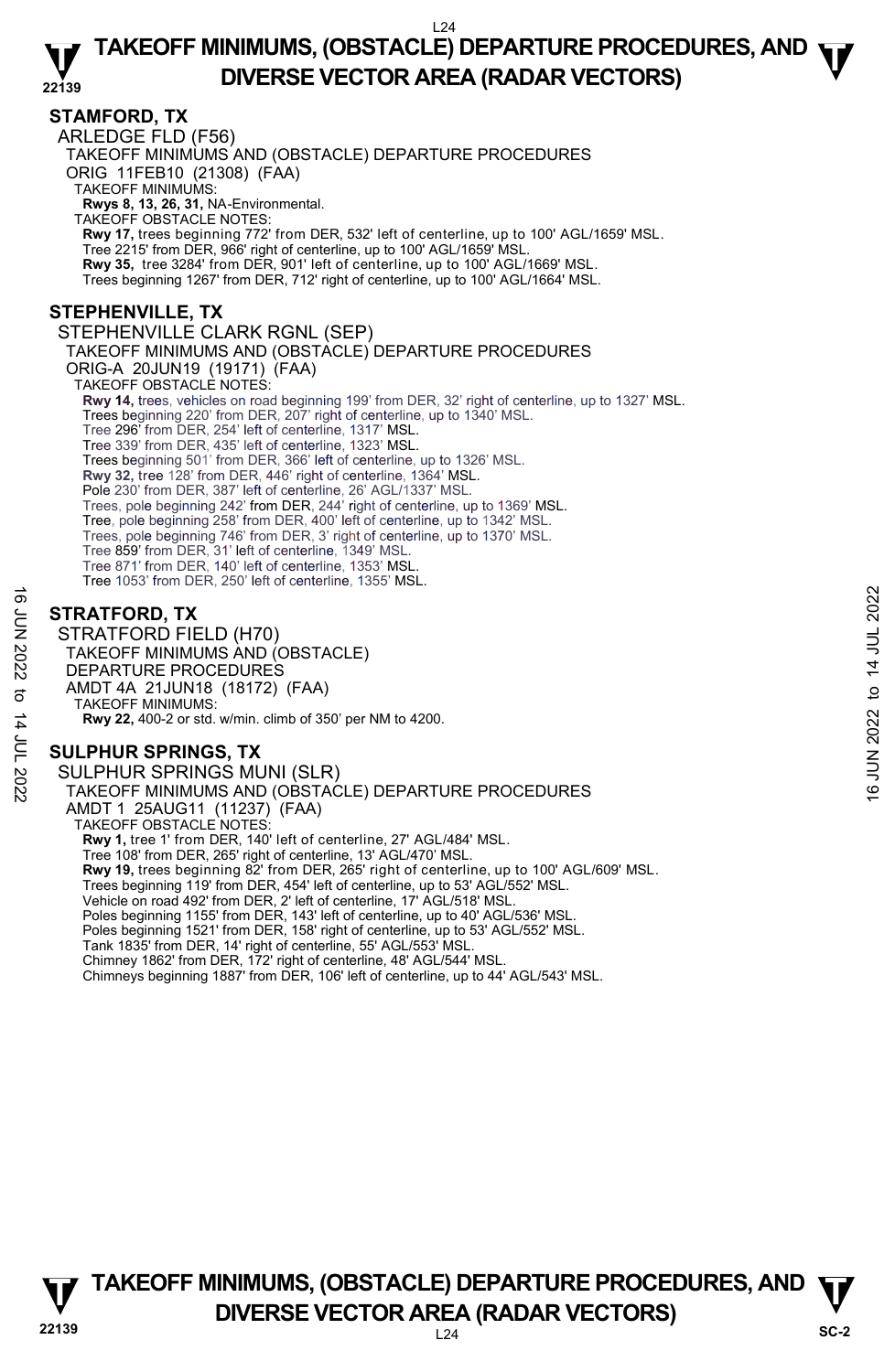#### **22139 TAKEOFF MINIMUMS, (OBSTACLE) DEPARTURE PROCEDURES, AND**  $\Psi$ **DIVERSE VECTOR AREA (RADAR VECTORS)**

#### **STAMFORD, TX**

ARLEDGE FLD (F56) TAKEOFF MINIMUMS AND (OBSTACLE) DEPARTURE PROCEDURES ORIG 11FEB10 (21308) (FAA) TAKEOFF MINIMUMS: **Rwys 8, 13, 26, 31,** NA-Environmental. TAKEOFF OBSTACLE NOTES: **Rwy 17,** trees beginning 772' from DER, 532' left of centerline, up to 100' AGL/1659' MSL. Tree 2215' from DER, 966' right of centerline, up to 100' AGL/1659' MSL. **Rwy 35,** tree 3284' from DER, 901' left of centerline, up to 100' AGL/1669' MSL. Trees beginning 1267' from DER, 712' right of centerline, up to 100' AGL/1664' MSL. **STEPHENVILLE, TX**  STEPHENVILLE CLARK RGNL (SEP) TAKEOFF MINIMUMS AND (OBSTACLE) DEPARTURE PROCEDURES ORIG-A 20JUN19 (19171) (FAA) TAKEOFF OBSTACLE NOTES: **Rwy 14,** trees, vehicles on road beginning 199' from DER, 32' right of centerline, up to 1327' MSL. Trees beginning 220' from DER, 207' right of centerline, up to 1340' MSL. Tree 296' from DER, 254' left of centerline, 1317' MSL. Tree 339' from DER, 435' left of centerline, 1323' MSL. Trees beginning 501' from DER, 366' left of centerline, up to 1326' MSL. **Rwy 32,** tree 128' from DER, 446' right of centerline, 1364' MSL. Pole 230' from DER, 387' left of centerline, 26' AGL/1337' MSL. Trees, pole beginning 242' from DER, 244' right of centerline, up to 1369' MSL. Tree, pole beginning 258' from DER, 400' left of centerline, up to 1342' MSL. Trees, pole beginning 746' from DER, 3' right of centerline, up to 1370' MSL. Tree 859' from DER, 31' left of centerline, 1349' MSL. Tree 871' from DER, 140' left of centerline, 1353' MSI Tree 1053' from DER, 250' left of centerline, 1355' MSL.

#### **STRATFORD, TX**

STRATFORD FIELD (H70) TAKEOFF MINIMUMS AND (OBSTACLE) DEPARTURE PROCEDURES AMDT 4A 21JUN18 (18172) (FAA) TAKEOFF MINIMUMS: **Rwy 22,** 400-2 or std. w/min. climb of 350' per NM to 4200.  $\frac{16}{5}$ STRATFORD, TX<br>
STRATFORD FIELD (H70)<br>
2022 TAKEOFF MINIMUMS AND (OBSTACLE)<br>
DEPARTURE PROCEDURES<br>
21 JUN 21JUN18 (18172) (FAA)<br>
TAKEOFF MINIMUMS (18172) (FAA)<br>
2 TAKEOFF MINIMUMS, TX<br>
3 SULPHUR SPRINGS, TX<br>
2

#### **SULPHUR SPRINGS, TX**

SULPHUR SPRINGS MUNI (SLR) TAKEOFF MINIMUMS AND (OBSTACLE) DEPARTURE PROCEDURES AMDT 1 25AUG11 (11237) (FAA) TAKEOFF OBSTACLE NOTES: **Rwy 1,** tree 1' from DER, 140' left of centerline, 27' AGL/484' MSL. Tree 108' from DER, 265' right of centerline, 13' AGL/470' MSL. **Rwy 19,** trees beginning 82' from DER, 265' right of centerline, up to 100' AGL/609' MSL. Trees beginning 119' from DER, 454' left of centerline, up to 53' AGL/552' MSL. Vehicle on road 492' from DER, 2' left of centerline, 17' AGL/518' MSL. Poles beginning 1155' from DER, 143' left of centerline, up to 40' AGL/536' MSL. Poles beginning 1521' from DER, 158' right of centerline, up to 53' AGL/552' MSL. Tank 1835' from DER, 14' right of centerline, 55' AGL/553' MSL. Chimney 1862' from DER, 172' right of centerline, 48' AGL/544' MSL. Chimneys beginning 1887' from DER, 106' left of centerline, up to 44' AGL/543' MSL.



#### **22139** L24 **TAKEOFF MINIMUMS, (OBSTACLE) DEPARTURE PROCEDURES, AND**  $\Psi$ **DIVERSE VECTOR AREA (RADAR VECTORS)** SC-2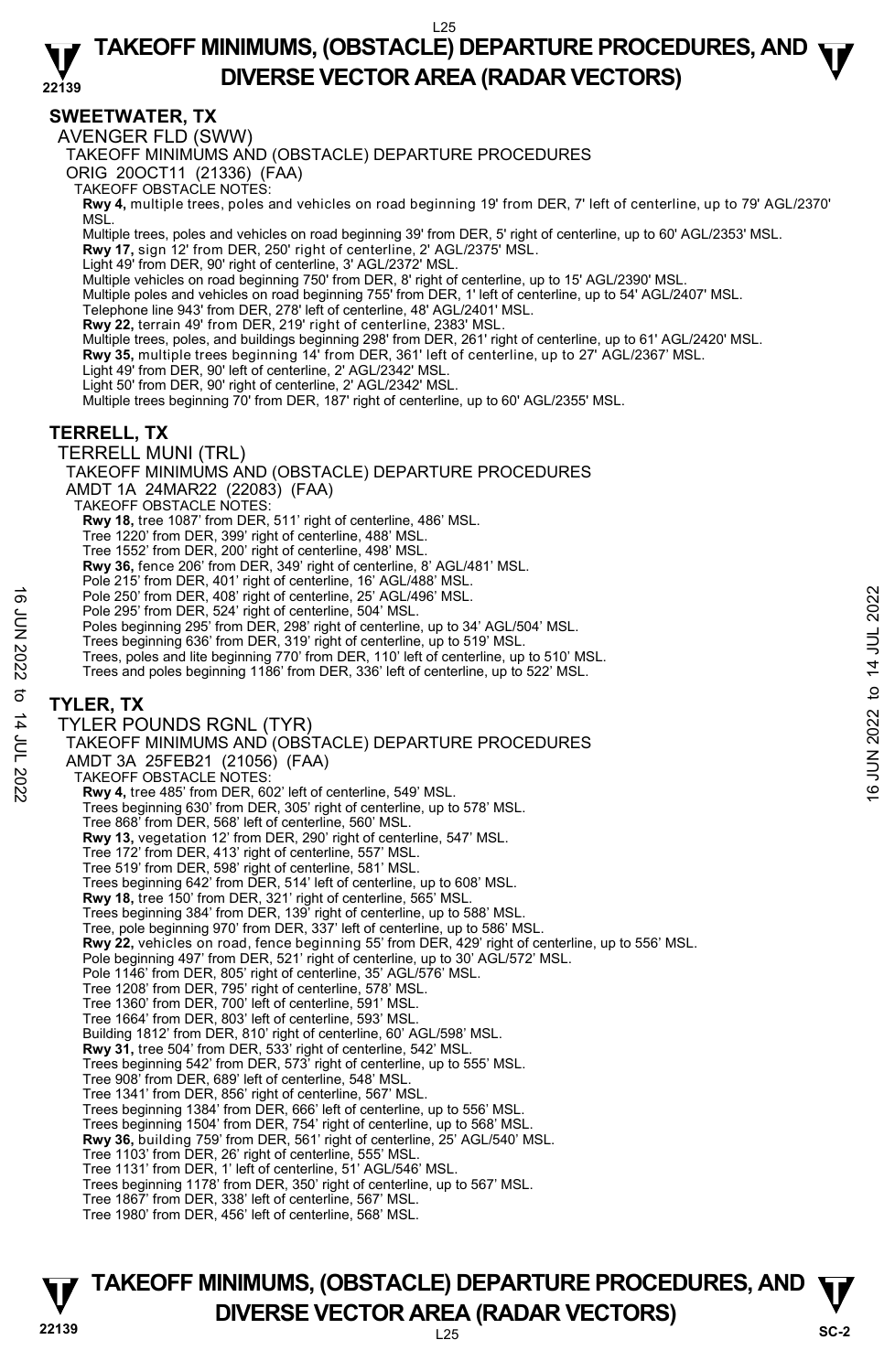#### **22139 TAKEOFF MINIMUMS, (OBSTACLE) DEPARTURE PROCEDURES, AND**  $\Psi$ **DIVERSE VECTOR AREA (RADAR VECTORS)**

#### **SWEETWATER, TX**

AVENGER FLD (SWW)

TAKEOFF MINIMUMS AND (OBSTACLE) DEPARTURE PROCEDURES

ORIG 20OCT11 (21336) (FAA)

TAKEOFF OBSTACLE NOTES:

**Rwy 4,** multiple trees, poles and vehicles on road beginning 19' from DER, 7' left of centerline, up to 79' AGL/2370' MSL.

Multiple trees, poles and vehicles on road beginning 39' from DER, 5' right of centerline, up to 60' AGL/2353' MSL.

**Rwy 17,** sign 12' from DER, 250' right of centerline, 2' AGL/2375' MSL.

Light 49' from DER, 90' right of centerline, 3' AGL/2372' MSL.

Multiple vehicles on road beginning 750' from DER, 8' right of centerline, up to 15' AGL/2390' MSL.

Multiple poles and vehicles on road beginning 755' from DER, 1' left of centerline, up to 54' AGL/2407' MSL.

Telephone line 943' from DER, 278' left of centerline, 48' AGL/2401' MSL.<br>**Rwy 22,** terrain 49' from DER, 219' right of centerline, 2383' MSL.

Multiple trees, poles, and buildings beginning 298' from DER, 261' right of centerline, up to 61' AGL/2420' MSL.

**Rwy 35,** multiple trees beginning 14' from DER, 361' left of centerline, up to 27' AGL/2367' MSL.

Light 49' from DER, 90' left of centerline, 2' AGL/2342' MSL.

Light 50' from DER, 90' right of centerline, 2' AGL/2342' MSL.

Multiple trees beginning 70' from DER, 187' right of centerline, up to 60' AGL/2355' MSL.

#### **TERRELL, TX**

TERRELL MUNI (TRL)

TAKEOFF MINIMUMS AND (OBSTACLE) DEPARTURE PROCEDURES

AMDT 1A 24MAR22 (22083) (FAA)

TAKEOFF OBSTACLE NOTES:

**Rwy 18,** tree 1087' from DER, 511' right of centerline, 486' MSL.

Tree 1220' from DER, 399' right of centerline, 488' MSL.

Tree 1552' from DER, 200' right of centerline, 498' MSL.

**Rwy 36,** fence 206' from DER, 349' right of centerline, 8' AGL/481' MSL.

Pole 215' from DER, 401' right of centerline, 16' AGL/488' MSL.

Pole 250' from DER, 408' right of centerline, 25' AGL/496' MSL.

Pole 295' from DER, 524' right of centerline, 504' MSL.

Poles beginning 295' from DER, 298' right of centerline, up to 34' AGL/504' MSL.

Trees beginning 636' from DER, 319' right of centerline, up to 519' MSL.

Trees, poles and lite beginning 770' from DER, 110' left of centerline, up to 510' MSL.

Trees and poles beginning 1186' from DER, 336' left of centerline, up to 522' MSL.

#### **TYLER, TX**

TYLER POUNDS RGNL (TYR) TAKEOFF MINIMUMS AND (OBSTACLE) DEPARTURE PROCEDURES AMDT 3A 25FEB21 (21056) (FAA) TAKEOFF OBSTACLE NOTES: **Rwy 4,** tree 485' from DER, 602' left of centerline, 549' MSL. Trees beginning 630' from DER, 305' right of centerline, up to 578' MSL. Tree 868' from DER, 568' left of centerline, 560' MSL. **Rwy 13,** vegetation 12' from DER, 290' right of centerline, 547' MSL. Tree 172' from DER, 413' right of centerline, 557' MSL. Tree 519' from DER, 598' right of centerline, 581' MSL. Trees beginning 642' from DER, 514' left of centerline, up to 608' MSL. **Rwy 18,** tree 150' from DER, 321' right of centerline, 565' MSL. Trees beginning 384' from DER, 139' right of centerline, up to 588' MSL. Tree, pole beginning 970' from DER, 337' left of centerline, up to 586' MSL. **Rwy 22,** vehicles on road, fence beginning 55' from DER, 429' right of centerline, up to 556' MSL. Pole beginning 497' from DER, 521' right of centerline, up to 30' AGL/572' MSL. Pole 1146' from DER, 805' right of centerline, 35' AGL/576' MSL. Tree 1208' from DER, 795' right of centerline, 578' MSL. Tree 1360' from DER, 700' left of centerline, 591' MSL. Tree 1664' from DER, 803' left of centerline, 593' MSL. Building 1812' from DER, 810' right of centerline, 60' AGL/598' MSL. **Rwy 31,** tree 504' from DER, 533' right of centerline, 542' MSL. Trees beginning 542' from DER, 573' right of centerline, up to 555' MSL. Tree 908' from DER, 689' left of centerline, 548' MSL. Tree 1341' from DER, 856' right of centerline, 567' MSL. Trees beginning 1384' from DER, 666' left of centerline, up to 556' MSL. Trees beginning 1504' from DER, 754' right of centerline, up to 568' MSL. **Rwy 36,** building 759' from DER, 561' right of centerline, 25' AGL/540' MSL. Tree 1103' from DER, 26' right of centerline, 555' MSL. Tree 1131' from DER, 1' left of centerline, 51' AGL/546' MSL. Trees beginning 1178' from DER, 350' right of centerline, up to 567' MSL. Tree 1867' from DER, 338' left of centerline, 567' MSL. Tree 1980' from DER, 456' left of centerline, 568' MSL. Pole 250' from DER, 408' right of centerline, 25' AGL/496' MSL.<br>
Pole 295' from DER, 524' right of centerline, up to 34' AGL/504' MSL.<br>
Poles beginning 295' from DER, 319' right of centerline, up to 34' AGL/504' MSL.<br>
Tr

#### **22139** L25 **TAKEOFF MINIMUMS, (OBSTACLE) DEPARTURE PROCEDURES, AND**  $\Psi$ **DIVERSE VECTOR AREA (RADAR VECTORS)** SC-2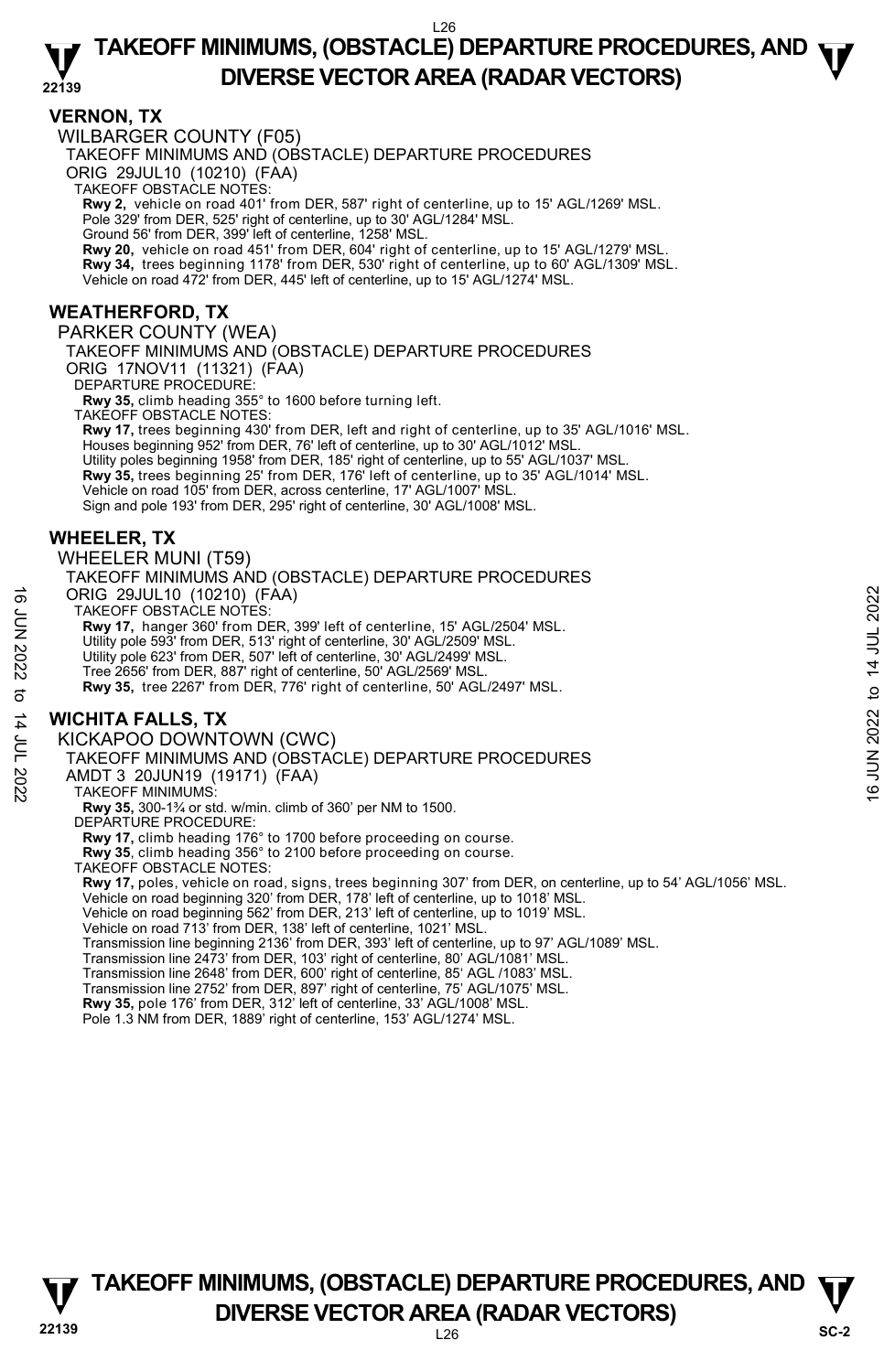#### **22139 TAKEOFF MINIMUMS, (OBSTACLE) DEPARTURE PROCEDURES, AND**  $\Psi$ **DIVERSE VECTOR AREA (RADAR VECTORS)**

#### **VERNON, TX**

WILBARGER COUNTY (F05)

TAKEOFF MINIMUMS AND (OBSTACLE) DEPARTURE PROCEDURES

ORIG 29JUL10 (10210) (FAA)

TAKEOFF OBSTACLE NOTES:

**Rwy 2,** vehicle on road 401' from DER, 587' right of centerline, up to 15' AGL/1269' MSL.<br>Pole 329' from DER, 525' right of centerline, up to 30' AGL/1284' MSL.

Ground 56' from DER, 399' left of centerline, 1258' MSL.

**Rwy 20,** vehicle on road 451' from DER, 604' right of centerline, up to 15' AGL/1279' MSL.

**Rwy 34,** trees beginning 1178' from DER, 530' right of centerline, up to 60' AGL/1309' MSL.

Vehicle on road 472' from DER, 445' left of centerline, up to 15' AGL/1274' MSL.

#### **WEATHERFORD, TX**

PARKER COUNTY (WEA) TAKEOFF MINIMUMS AND (OBSTACLE) DEPARTURE PROCEDURES ORIG 17NOV11 (11321) (FAA) DEPARTURE PROCEDURE: **Rwy 35,** climb heading 355° to 1600 before turning left.

TAKEOFF OBSTACLE NOTES: **Rwy 17,** trees beginning 430' from DER, left and right of centerline, up to 35' AGL/1016' MSL. Houses beginning 952' from DER, 76' left of centerline, up to 30' AGL/1012' MSL. Utility poles beginning 1958' from DER, 185' right of centerline, up to 55' AGL/1037' MSL.<br>**Rwy 35,** trees beginning 25' from DER, 176' left of centerline, up to 35' AGL/1014' MSL. Vehicle on road 105' from DER, across centerline, 17' AGL/1007' MSL. Sign and pole 193' from DER, 295' right of centerline, 30' AGL/1008' MSL.

#### **WHEELER, TX**

WHEELER MUNI (T59)

TAKEOFF MINIMUMS AND (OBSTACLE) DEPARTURE PROCEDURES ORIG 29JUL10 (10210) (FAA) TAKEOFF OBSTACLE NOTES: **Rwy 17,** hanger 360' from DER, 399' left of centerline, 15' AGL/2504' MSL. ORIG 29JUL10 (10210) (FAA)<br>
TAKEOFF OBSTACLE NOTES:<br>
TAWY 17, hanger 360 from DER, 399' left of centerline, 15' AGL/2504' MSL.<br>
Utility pole 693' from DER, 51' right of centerline, 30' AGL/2499' MSL.<br>
Utility pole 623'

Utility pole 593' from DER, 513' right of centerline, 30' AGL/2509' MSL.

Utility pole 623' from DER, 507' left of centerline, 30' AGL/2499' MSL.

Tree 2656' from DER, 887' right of centerline, 50' AGL/2569' MSL.

**Rwy 35,** tree 2267' from DER, 776' right of centerline, 50' AGL/2497' MSL.

#### **WICHITA FALLS, TX**

KICKAPOO DOWNTOWN (CWC)

TAKEOFF MINIMUMS AND (OBSTACLE) DEPARTURE PROCEDURES

AMDT 3 20JUN19 (19171) (FAA)

TAKEOFF MINIMUMS:

**Rwy 35,** 300-1¾ or std. w/min. climb of 360' per NM to 1500.

DEPARTURE PROCEDURE:

**Rwy 17,** climb heading 176° to 1700 before proceeding on course.

**Rwy 35**, climb heading 356° to 2100 before proceeding on course.

TAKEOFF OBSTACLE NOTES:

**Rwy 17,** poles, vehicle on road, signs, trees beginning 307' from DER, on centerline, up to 54' AGL/1056' MSL.<br>Vehicle on road beginning 320' from DER, 178' left of centerline, up to 1018' MSL.<br>Vehicle on road beginning 5

Vehicle on road 713' from DER, 138' left of centerline, 1021' MSL.

Transmission line beginning 2136' from DER, 393' left of centerline, up to 97' AGL/1089' MSL.

Transmission line 2473' from DER, 103' right of centerline, 80' AGL/1081' MSL.

Transmission line 2648' from DER, 600' right of centerline, 85' AGL /1083' MSL. Transmission line 2752' from DER, 897' right of centerline, 75' AGL/1075' MSL.

**Rwy 35,** pole 176' from DER, 312' left of centerline, 33' AGL/1008' MSL.

Pole 1.3 NM from DER, 1889' right of centerline, 153' AGL/1274' MSL.